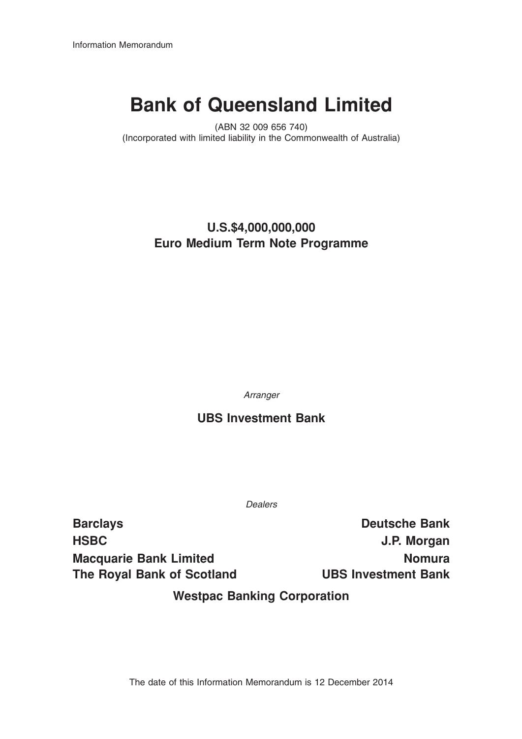# Bank of Queensland Limited

(ABN 32 009 656 740) (Incorporated with limited liability in the Commonwealth of Australia)

### U.S.\$4,000,000,000 Euro Medium Term Note Programme

**Arranger** 

### UBS Investment Bank

Dealers

Barclays Deutsche Bank HSBC J.P. Morgan Macquarie Bank Limited Nomura The Royal Bank of Scotland UBS Investment Bank

### Westpac Banking Corporation

The date of this Information Memorandum is 12 December 2014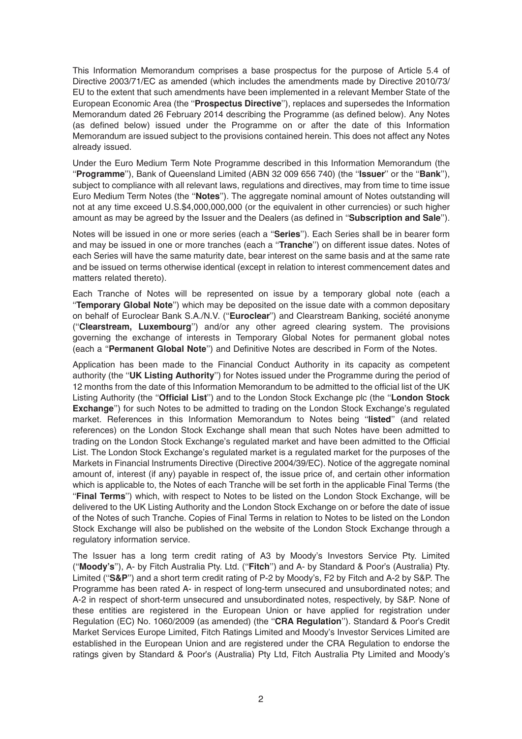This Information Memorandum comprises a base prospectus for the purpose of Article 5.4 of Directive 2003/71/EC as amended (which includes the amendments made by Directive 2010/73/ EU to the extent that such amendments have been implemented in a relevant Member State of the European Economic Area (the ''Prospectus Directive''), replaces and supersedes the Information Memorandum dated 26 February 2014 describing the Programme (as defined below). Any Notes (as defined below) issued under the Programme on or after the date of this Information Memorandum are issued subject to the provisions contained herein. This does not affect any Notes already issued.

Under the Euro Medium Term Note Programme described in this Information Memorandum (the "Programme"), Bank of Queensland Limited (ABN 32 009 656 740) (the "Issuer" or the "Bank"), subject to compliance with all relevant laws, regulations and directives, may from time to time issue Euro Medium Term Notes (the ''Notes''). The aggregate nominal amount of Notes outstanding will not at any time exceed U.S.\$4,000,000,000 (or the equivalent in other currencies) or such higher amount as may be agreed by the Issuer and the Dealers (as defined in "Subscription and Sale").

Notes will be issued in one or more series (each a "Series"). Each Series shall be in bearer form and may be issued in one or more tranches (each a "Tranche") on different issue dates. Notes of each Series will have the same maturity date, bear interest on the same basis and at the same rate and be issued on terms otherwise identical (except in relation to interest commencement dates and matters related thereto).

Each Tranche of Notes will be represented on issue by a temporary global note (each a ''Temporary Global Note'') which may be deposited on the issue date with a common depositary on behalf of Euroclear Bank S.A./N.V. ("Euroclear") and Clearstream Banking, société anonyme (''Clearstream, Luxembourg'') and/or any other agreed clearing system. The provisions governing the exchange of interests in Temporary Global Notes for permanent global notes (each a ''Permanent Global Note'') and Definitive Notes are described in Form of the Notes.

Application has been made to the Financial Conduct Authority in its capacity as competent authority (the "UK Listing Authority") for Notes issued under the Programme during the period of 12 months from the date of this Information Memorandum to be admitted to the official list of the UK Listing Authority (the "Official List") and to the London Stock Exchange plc (the "London Stock Exchange") for such Notes to be admitted to trading on the London Stock Exchange's regulated market. References in this Information Memorandum to Notes being "listed" (and related references) on the London Stock Exchange shall mean that such Notes have been admitted to trading on the London Stock Exchange's regulated market and have been admitted to the Official List. The London Stock Exchange's regulated market is a regulated market for the purposes of the Markets in Financial Instruments Directive (Directive 2004/39/EC). Notice of the aggregate nominal amount of, interest (if any) payable in respect of, the issue price of, and certain other information which is applicable to, the Notes of each Tranche will be set forth in the applicable Final Terms (the "Final Terms") which, with respect to Notes to be listed on the London Stock Exchange, will be delivered to the UK Listing Authority and the London Stock Exchange on or before the date of issue of the Notes of such Tranche. Copies of Final Terms in relation to Notes to be listed on the London Stock Exchange will also be published on the website of the London Stock Exchange through a regulatory information service.

The Issuer has a long term credit rating of A3 by Moody's Investors Service Pty. Limited (''Moody's''), A- by Fitch Australia Pty. Ltd. (''Fitch'') and A- by Standard & Poor's (Australia) Pty. Limited ("S&P") and a short term credit rating of P-2 by Moody's, F2 by Fitch and A-2 by S&P. The Programme has been rated A- in respect of long-term unsecured and unsubordinated notes; and A-2 in respect of short-term unsecured and unsubordinated notes, respectively, by S&P. None of these entities are registered in the European Union or have applied for registration under Regulation (EC) No. 1060/2009 (as amended) (the "CRA Regulation"). Standard & Poor's Credit Market Services Europe Limited, Fitch Ratings Limited and Moody's Investor Services Limited are established in the European Union and are registered under the CRA Regulation to endorse the ratings given by Standard & Poor's (Australia) Pty Ltd, Fitch Australia Pty Limited and Moody's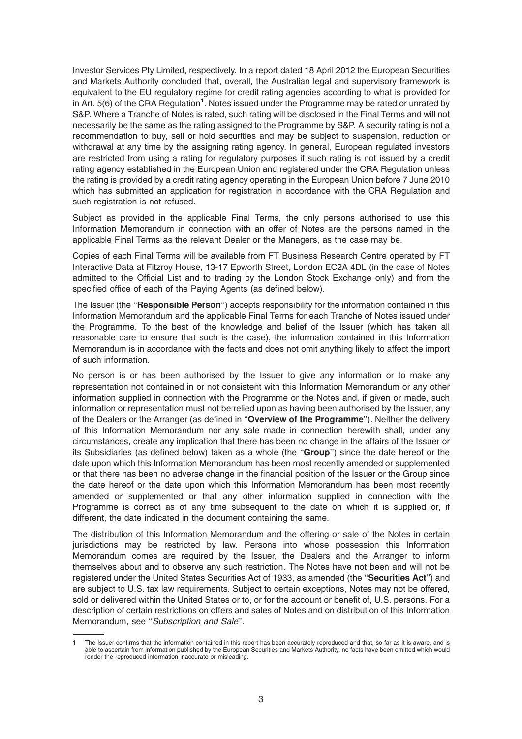Investor Services Pty Limited, respectively. In a report dated 18 April 2012 the European Securities and Markets Authority concluded that, overall, the Australian legal and supervisory framework is equivalent to the EU regulatory regime for credit rating agencies according to what is provided for in Art. 5(6) of the CRA Regulation<sup>1</sup>. Notes issued under the Programme may be rated or unrated by S&P. Where a Tranche of Notes is rated, such rating will be disclosed in the Final Terms and will not necessarily be the same as the rating assigned to the Programme by S&P. A security rating is not a recommendation to buy, sell or hold securities and may be subject to suspension, reduction or withdrawal at any time by the assigning rating agency. In general, European regulated investors are restricted from using a rating for regulatory purposes if such rating is not issued by a credit rating agency established in the European Union and registered under the CRA Regulation unless the rating is provided by a credit rating agency operating in the European Union before 7 June 2010 which has submitted an application for registration in accordance with the CRA Regulation and such registration is not refused.

Subject as provided in the applicable Final Terms, the only persons authorised to use this Information Memorandum in connection with an offer of Notes are the persons named in the applicable Final Terms as the relevant Dealer or the Managers, as the case may be.

Copies of each Final Terms will be available from FT Business Research Centre operated by FT Interactive Data at Fitzroy House, 13-17 Epworth Street, London EC2A 4DL (in the case of Notes admitted to the Official List and to trading by the London Stock Exchange only) and from the specified office of each of the Paying Agents (as defined below).

The Issuer (the "Responsible Person") accepts responsibility for the information contained in this Information Memorandum and the applicable Final Terms for each Tranche of Notes issued under the Programme. To the best of the knowledge and belief of the Issuer (which has taken all reasonable care to ensure that such is the case), the information contained in this Information Memorandum is in accordance with the facts and does not omit anything likely to affect the import of such information.

No person is or has been authorised by the Issuer to give any information or to make any representation not contained in or not consistent with this Information Memorandum or any other information supplied in connection with the Programme or the Notes and, if given or made, such information or representation must not be relied upon as having been authorised by the Issuer, any of the Dealers or the Arranger (as defined in "Overview of the Programme"). Neither the delivery of this Information Memorandum nor any sale made in connection herewith shall, under any circumstances, create any implication that there has been no change in the affairs of the Issuer or its Subsidiaries (as defined below) taken as a whole (the "Group") since the date hereof or the date upon which this Information Memorandum has been most recently amended or supplemented or that there has been no adverse change in the financial position of the Issuer or the Group since the date hereof or the date upon which this Information Memorandum has been most recently amended or supplemented or that any other information supplied in connection with the Programme is correct as of any time subsequent to the date on which it is supplied or, if different, the date indicated in the document containing the same.

The distribution of this Information Memorandum and the offering or sale of the Notes in certain jurisdictions may be restricted by law. Persons into whose possession this Information Memorandum comes are required by the Issuer, the Dealers and the Arranger to inform themselves about and to observe any such restriction. The Notes have not been and will not be registered under the United States Securities Act of 1933, as amended (the "Securities Act") and are subject to U.S. tax law requirements. Subject to certain exceptions, Notes may not be offered, sold or delivered within the United States or to, or for the account or benefit of, U.S. persons. For a description of certain restrictions on offers and sales of Notes and on distribution of this Information Memorandum, see ''Subscription and Sale''.

<sup>1</sup> The Issuer confirms that the information contained in this report has been accurately reproduced and that, so far as it is aware, and is able to ascertain from information published by the European Securities and Markets Authority, no facts have been omitted which would render the reproduced information inaccurate or misleading.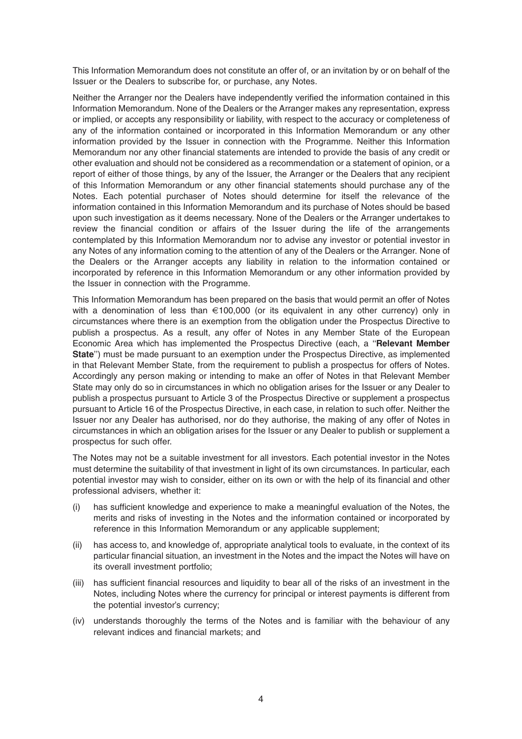This Information Memorandum does not constitute an offer of, or an invitation by or on behalf of the Issuer or the Dealers to subscribe for, or purchase, any Notes.

Neither the Arranger nor the Dealers have independently verified the information contained in this Information Memorandum. None of the Dealers or the Arranger makes any representation, express or implied, or accepts any responsibility or liability, with respect to the accuracy or completeness of any of the information contained or incorporated in this Information Memorandum or any other information provided by the Issuer in connection with the Programme. Neither this Information Memorandum nor any other financial statements are intended to provide the basis of any credit or other evaluation and should not be considered as a recommendation or a statement of opinion, or a report of either of those things, by any of the Issuer, the Arranger or the Dealers that any recipient of this Information Memorandum or any other financial statements should purchase any of the Notes. Each potential purchaser of Notes should determine for itself the relevance of the information contained in this Information Memorandum and its purchase of Notes should be based upon such investigation as it deems necessary. None of the Dealers or the Arranger undertakes to review the financial condition or affairs of the Issuer during the life of the arrangements contemplated by this Information Memorandum nor to advise any investor or potential investor in any Notes of any information coming to the attention of any of the Dealers or the Arranger. None of the Dealers or the Arranger accepts any liability in relation to the information contained or incorporated by reference in this Information Memorandum or any other information provided by the Issuer in connection with the Programme.

This Information Memorandum has been prepared on the basis that would permit an offer of Notes with a denomination of less than  $\epsilon$ 100,000 (or its equivalent in any other currency) only in circumstances where there is an exemption from the obligation under the Prospectus Directive to publish a prospectus. As a result, any offer of Notes in any Member State of the European Economic Area which has implemented the Prospectus Directive (each, a ''Relevant Member State") must be made pursuant to an exemption under the Prospectus Directive, as implemented in that Relevant Member State, from the requirement to publish a prospectus for offers of Notes. Accordingly any person making or intending to make an offer of Notes in that Relevant Member State may only do so in circumstances in which no obligation arises for the Issuer or any Dealer to publish a prospectus pursuant to Article 3 of the Prospectus Directive or supplement a prospectus pursuant to Article 16 of the Prospectus Directive, in each case, in relation to such offer. Neither the Issuer nor any Dealer has authorised, nor do they authorise, the making of any offer of Notes in circumstances in which an obligation arises for the Issuer or any Dealer to publish or supplement a prospectus for such offer.

The Notes may not be a suitable investment for all investors. Each potential investor in the Notes must determine the suitability of that investment in light of its own circumstances. In particular, each potential investor may wish to consider, either on its own or with the help of its financial and other professional advisers, whether it:

- (i) has sufficient knowledge and experience to make a meaningful evaluation of the Notes, the merits and risks of investing in the Notes and the information contained or incorporated by reference in this Information Memorandum or any applicable supplement;
- (ii) has access to, and knowledge of, appropriate analytical tools to evaluate, in the context of its particular financial situation, an investment in the Notes and the impact the Notes will have on its overall investment portfolio;
- (iii) has sufficient financial resources and liquidity to bear all of the risks of an investment in the Notes, including Notes where the currency for principal or interest payments is different from the potential investor's currency;
- (iv) understands thoroughly the terms of the Notes and is familiar with the behaviour of any relevant indices and financial markets; and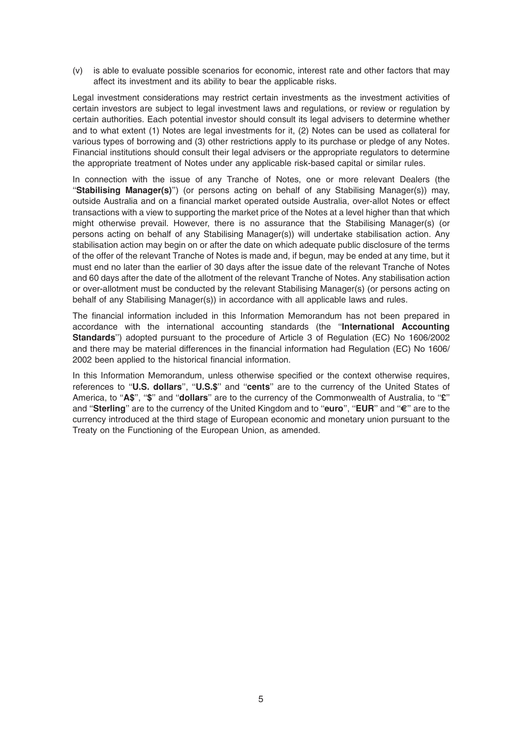(v) is able to evaluate possible scenarios for economic, interest rate and other factors that may affect its investment and its ability to bear the applicable risks.

Legal investment considerations may restrict certain investments as the investment activities of certain investors are subject to legal investment laws and regulations, or review or regulation by certain authorities. Each potential investor should consult its legal advisers to determine whether and to what extent (1) Notes are legal investments for it, (2) Notes can be used as collateral for various types of borrowing and (3) other restrictions apply to its purchase or pledge of any Notes. Financial institutions should consult their legal advisers or the appropriate regulators to determine the appropriate treatment of Notes under any applicable risk-based capital or similar rules.

In connection with the issue of any Tranche of Notes, one or more relevant Dealers (the ''Stabilising Manager(s)'') (or persons acting on behalf of any Stabilising Manager(s)) may, outside Australia and on a financial market operated outside Australia, over-allot Notes or effect transactions with a view to supporting the market price of the Notes at a level higher than that which might otherwise prevail. However, there is no assurance that the Stabilising Manager(s) (or persons acting on behalf of any Stabilising Manager(s)) will undertake stabilisation action. Any stabilisation action may begin on or after the date on which adequate public disclosure of the terms of the offer of the relevant Tranche of Notes is made and, if begun, may be ended at any time, but it must end no later than the earlier of 30 days after the issue date of the relevant Tranche of Notes and 60 days after the date of the allotment of the relevant Tranche of Notes. Any stabilisation action or over-allotment must be conducted by the relevant Stabilising Manager(s) (or persons acting on behalf of any Stabilising Manager(s)) in accordance with all applicable laws and rules.

The financial information included in this Information Memorandum has not been prepared in accordance with the international accounting standards (the ''International Accounting Standards'') adopted pursuant to the procedure of Article 3 of Regulation (EC) No 1606/2002 and there may be material differences in the financial information had Regulation (EC) No 1606/ 2002 been applied to the historical financial information.

In this Information Memorandum, unless otherwise specified or the context otherwise requires, references to "U.S. dollars", "U.S.\$" and "cents" are to the currency of the United States of America, to "A\$", "\$" and "dollars" are to the currency of the Commonwealth of Australia, to "£" and "Sterling" are to the currency of the United Kingdom and to "euro", "EUR" and "€" are to the currency introduced at the third stage of European economic and monetary union pursuant to the Treaty on the Functioning of the European Union, as amended.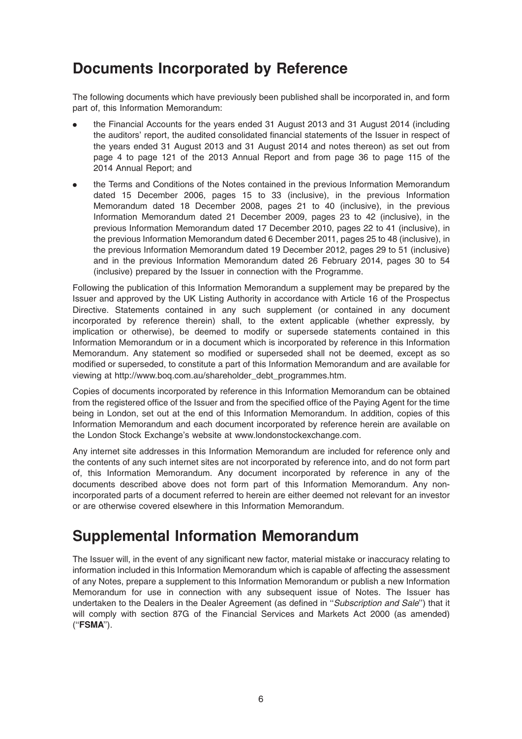### Documents Incorporated by Reference

The following documents which have previously been published shall be incorporated in, and form part of, this Information Memorandum:

- . the Financial Accounts for the years ended 31 August 2013 and 31 August 2014 (including the auditors' report, the audited consolidated financial statements of the Issuer in respect of the years ended 31 August 2013 and 31 August 2014 and notes thereon) as set out from page 4 to page 121 of the 2013 Annual Report and from page 36 to page 115 of the 2014 Annual Report; and
- . the Terms and Conditions of the Notes contained in the previous Information Memorandum dated 15 December 2006, pages 15 to 33 (inclusive), in the previous Information Memorandum dated 18 December 2008, pages 21 to 40 (inclusive), in the previous Information Memorandum dated 21 December 2009, pages 23 to 42 (inclusive), in the previous Information Memorandum dated 17 December 2010, pages 22 to 41 (inclusive), in the previous Information Memorandum dated 6 December 2011, pages 25 to 48 (inclusive), in the previous Information Memorandum dated 19 December 2012, pages 29 to 51 (inclusive) and in the previous Information Memorandum dated 26 February 2014, pages 30 to 54 (inclusive) prepared by the Issuer in connection with the Programme.

Following the publication of this Information Memorandum a supplement may be prepared by the Issuer and approved by the UK Listing Authority in accordance with Article 16 of the Prospectus Directive. Statements contained in any such supplement (or contained in any document incorporated by reference therein) shall, to the extent applicable (whether expressly, by implication or otherwise), be deemed to modify or supersede statements contained in this Information Memorandum or in a document which is incorporated by reference in this Information Memorandum. Any statement so modified or superseded shall not be deemed, except as so modified or superseded, to constitute a part of this Information Memorandum and are available for viewing at http://www.boq.com.au/shareholder\_debt\_programmes.htm.

Copies of documents incorporated by reference in this Information Memorandum can be obtained from the registered office of the Issuer and from the specified office of the Paying Agent for the time being in London, set out at the end of this Information Memorandum. In addition, copies of this Information Memorandum and each document incorporated by reference herein are available on the London Stock Exchange's website at www.londonstockexchange.com.

Any internet site addresses in this Information Memorandum are included for reference only and the contents of any such internet sites are not incorporated by reference into, and do not form part of, this Information Memorandum. Any document incorporated by reference in any of the documents described above does not form part of this Information Memorandum. Any nonincorporated parts of a document referred to herein are either deemed not relevant for an investor or are otherwise covered elsewhere in this Information Memorandum.

### Supplemental Information Memorandum

The Issuer will, in the event of any significant new factor, material mistake or inaccuracy relating to information included in this Information Memorandum which is capable of affecting the assessment of any Notes, prepare a supplement to this Information Memorandum or publish a new Information Memorandum for use in connection with any subsequent issue of Notes. The Issuer has undertaken to the Dealers in the Dealer Agreement (as defined in "Subscription and Sale") that it will comply with section 87G of the Financial Services and Markets Act 2000 (as amended) (''FSMA'').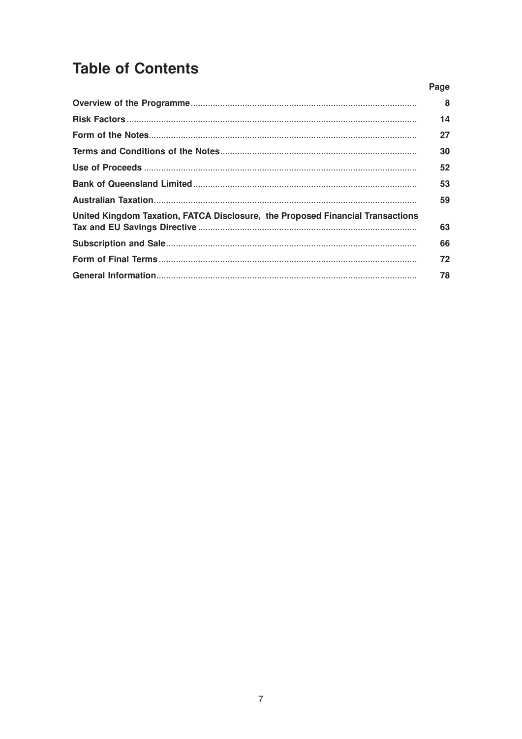# **Table of Contents**

|                                                                                | Page |
|--------------------------------------------------------------------------------|------|
|                                                                                | 8    |
|                                                                                | 14   |
|                                                                                | 27   |
|                                                                                | 30   |
|                                                                                | 52   |
|                                                                                | 53   |
|                                                                                | 59   |
| United Kingdom Taxation, FATCA Disclosure, the Proposed Financial Transactions | 63   |
|                                                                                | 66   |
|                                                                                | 72   |
|                                                                                | 78   |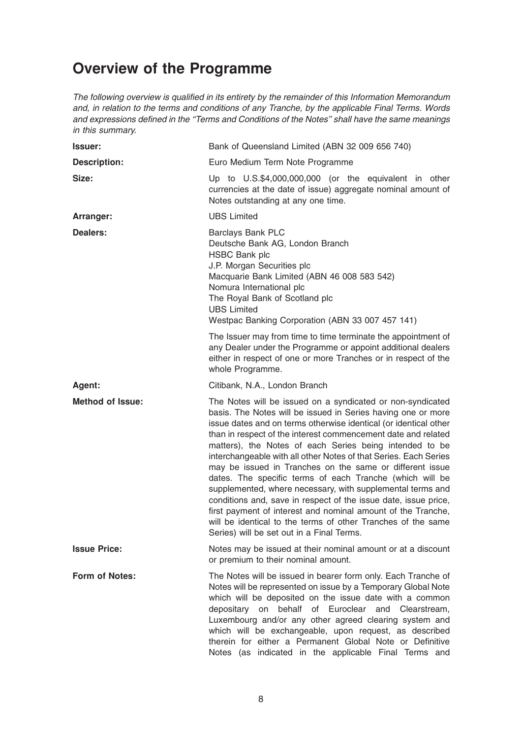### Overview of the Programme

The following overview is qualified in its entirety by the remainder of this Information Memorandum and, in relation to the terms and conditions of any Tranche, by the applicable Final Terms. Words and expressions defined in the ''Terms and Conditions of the Notes'' shall have the same meanings in this summary.

| Issuer:                 | Bank of Queensland Limited (ABN 32 009 656 740)                                                                                                                                                                                                                                                                                                                                                                                                                                                                                                                                                                                                                                                                                                                                                                                      |
|-------------------------|--------------------------------------------------------------------------------------------------------------------------------------------------------------------------------------------------------------------------------------------------------------------------------------------------------------------------------------------------------------------------------------------------------------------------------------------------------------------------------------------------------------------------------------------------------------------------------------------------------------------------------------------------------------------------------------------------------------------------------------------------------------------------------------------------------------------------------------|
| <b>Description:</b>     | Euro Medium Term Note Programme                                                                                                                                                                                                                                                                                                                                                                                                                                                                                                                                                                                                                                                                                                                                                                                                      |
| Size:                   | Up to U.S.\$4,000,000,000 (or the equivalent in other<br>currencies at the date of issue) aggregate nominal amount of<br>Notes outstanding at any one time.                                                                                                                                                                                                                                                                                                                                                                                                                                                                                                                                                                                                                                                                          |
| Arranger:               | <b>UBS Limited</b>                                                                                                                                                                                                                                                                                                                                                                                                                                                                                                                                                                                                                                                                                                                                                                                                                   |
| Dealers:                | <b>Barclays Bank PLC</b><br>Deutsche Bank AG, London Branch<br><b>HSBC Bank plc</b><br>J.P. Morgan Securities plc<br>Macquarie Bank Limited (ABN 46 008 583 542)<br>Nomura International plc<br>The Royal Bank of Scotland plc<br><b>UBS Limited</b><br>Westpac Banking Corporation (ABN 33 007 457 141)                                                                                                                                                                                                                                                                                                                                                                                                                                                                                                                             |
|                         | The Issuer may from time to time terminate the appointment of<br>any Dealer under the Programme or appoint additional dealers<br>either in respect of one or more Tranches or in respect of the<br>whole Programme.                                                                                                                                                                                                                                                                                                                                                                                                                                                                                                                                                                                                                  |
| Agent:                  | Citibank, N.A., London Branch                                                                                                                                                                                                                                                                                                                                                                                                                                                                                                                                                                                                                                                                                                                                                                                                        |
| <b>Method of Issue:</b> | The Notes will be issued on a syndicated or non-syndicated<br>basis. The Notes will be issued in Series having one or more<br>issue dates and on terms otherwise identical (or identical other<br>than in respect of the interest commencement date and related<br>matters), the Notes of each Series being intended to be<br>interchangeable with all other Notes of that Series. Each Series<br>may be issued in Tranches on the same or different issue<br>dates. The specific terms of each Tranche (which will be<br>supplemented, where necessary, with supplemental terms and<br>conditions and, save in respect of the issue date, issue price,<br>first payment of interest and nominal amount of the Tranche,<br>will be identical to the terms of other Tranches of the same<br>Series) will be set out in a Final Terms. |
| <b>Issue Price:</b>     | Notes may be issued at their nominal amount or at a discount<br>or premium to their nominal amount.                                                                                                                                                                                                                                                                                                                                                                                                                                                                                                                                                                                                                                                                                                                                  |
| <b>Form of Notes:</b>   | The Notes will be issued in bearer form only. Each Tranche of<br>Notes will be represented on issue by a Temporary Global Note<br>which will be deposited on the issue date with a common<br>behalf<br>of Euroclear and<br>depositary<br>on<br>Clearstream,<br>Luxembourg and/or any other agreed clearing system and<br>which will be exchangeable, upon request, as described<br>therein for either a Permanent Global Note or Definitive<br>Notes (as indicated in the applicable Final Terms and                                                                                                                                                                                                                                                                                                                                 |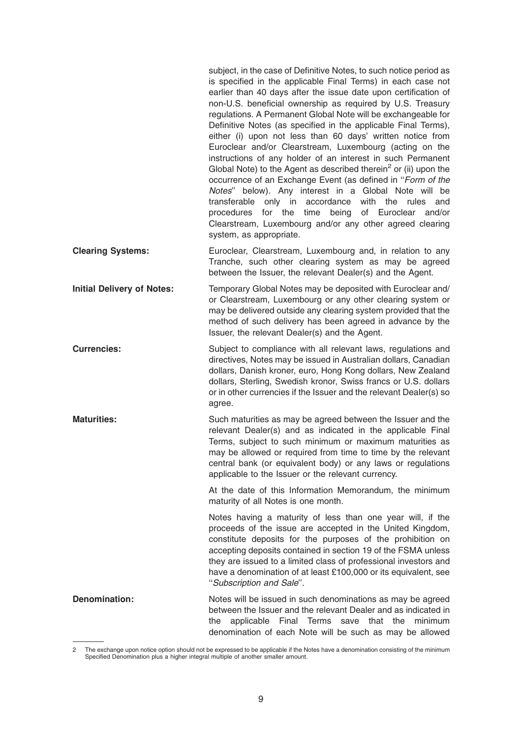|                                   | subject, in the case of Definitive Notes, to such notice period as<br>is specified in the applicable Final Terms) in each case not<br>earlier than 40 days after the issue date upon certification of<br>non-U.S. beneficial ownership as required by U.S. Treasury<br>regulations. A Permanent Global Note will be exchangeable for<br>Definitive Notes (as specified in the applicable Final Terms),<br>either (i) upon not less than 60 days' written notice from<br>Euroclear and/or Clearstream, Luxembourg (acting on the<br>instructions of any holder of an interest in such Permanent<br>Global Note) to the Agent as described therein <sup>2</sup> or (ii) upon the<br>occurrence of an Exchange Event (as defined in "Form of the<br>Notes" below). Any interest in a Global Note will be<br>transferable only in accordance with the rules<br>and<br>for the time being of Euroclear<br>procedures<br>and/or<br>Clearstream, Luxembourg and/or any other agreed clearing<br>system, as appropriate. |
|-----------------------------------|------------------------------------------------------------------------------------------------------------------------------------------------------------------------------------------------------------------------------------------------------------------------------------------------------------------------------------------------------------------------------------------------------------------------------------------------------------------------------------------------------------------------------------------------------------------------------------------------------------------------------------------------------------------------------------------------------------------------------------------------------------------------------------------------------------------------------------------------------------------------------------------------------------------------------------------------------------------------------------------------------------------|
| <b>Clearing Systems:</b>          | Euroclear, Clearstream, Luxembourg and, in relation to any<br>Tranche, such other clearing system as may be agreed<br>between the Issuer, the relevant Dealer(s) and the Agent.                                                                                                                                                                                                                                                                                                                                                                                                                                                                                                                                                                                                                                                                                                                                                                                                                                  |
| <b>Initial Delivery of Notes:</b> | Temporary Global Notes may be deposited with Euroclear and/<br>or Clearstream, Luxembourg or any other clearing system or<br>may be delivered outside any clearing system provided that the<br>method of such delivery has been agreed in advance by the<br>Issuer, the relevant Dealer(s) and the Agent.                                                                                                                                                                                                                                                                                                                                                                                                                                                                                                                                                                                                                                                                                                        |
| <b>Currencies:</b>                | Subject to compliance with all relevant laws, regulations and<br>directives, Notes may be issued in Australian dollars, Canadian<br>dollars, Danish kroner, euro, Hong Kong dollars, New Zealand<br>dollars, Sterling, Swedish kronor, Swiss francs or U.S. dollars<br>or in other currencies if the Issuer and the relevant Dealer(s) so<br>agree.                                                                                                                                                                                                                                                                                                                                                                                                                                                                                                                                                                                                                                                              |
| <b>Maturities:</b>                | Such maturities as may be agreed between the Issuer and the<br>relevant Dealer(s) and as indicated in the applicable Final<br>Terms, subject to such minimum or maximum maturities as<br>may be allowed or required from time to time by the relevant<br>central bank (or equivalent body) or any laws or regulations<br>applicable to the Issuer or the relevant currency.                                                                                                                                                                                                                                                                                                                                                                                                                                                                                                                                                                                                                                      |
|                                   | At the date of this Information Memorandum, the minimum<br>maturity of all Notes is one month.                                                                                                                                                                                                                                                                                                                                                                                                                                                                                                                                                                                                                                                                                                                                                                                                                                                                                                                   |
|                                   | Notes having a maturity of less than one year will, if the<br>proceeds of the issue are accepted in the United Kingdom,<br>constitute deposits for the purposes of the prohibition on<br>accepting deposits contained in section 19 of the FSMA unless<br>they are issued to a limited class of professional investors and<br>have a denomination of at least £100,000 or its equivalent, see<br>"Subscription and Sale".                                                                                                                                                                                                                                                                                                                                                                                                                                                                                                                                                                                        |
| <b>Denomination:</b>              | Notes will be issued in such denominations as may be agreed<br>between the Issuer and the relevant Dealer and as indicated in<br>the<br>applicable Final<br>Terms save that the<br>minimum<br>denomination of each Note will be such as may be allowed                                                                                                                                                                                                                                                                                                                                                                                                                                                                                                                                                                                                                                                                                                                                                           |

<sup>2</sup> The exchange upon notice option should not be expressed to be applicable if the Notes have a denomination consisting of the minimum Specified Denomination plus a higher integral multiple of another smaller amount.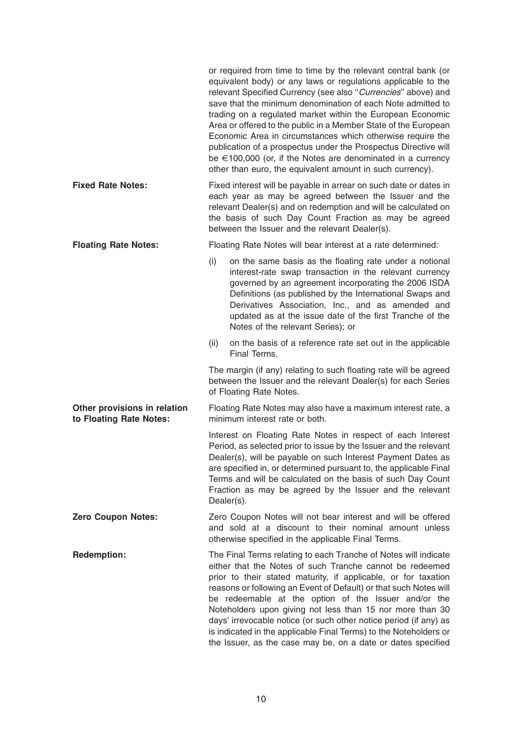|                                                         | or required from time to time by the relevant central bank (or<br>equivalent body) or any laws or regulations applicable to the<br>relevant Specified Currency (see also "Currencies" above) and<br>save that the minimum denomination of each Note admitted to<br>trading on a regulated market within the European Economic<br>Area or offered to the public in a Member State of the European<br>Economic Area in circumstances which otherwise require the<br>publication of a prospectus under the Prospectus Directive will<br>be $\in$ 100,000 (or, if the Notes are denominated in a currency<br>other than euro, the equivalent amount in such currency). |
|---------------------------------------------------------|--------------------------------------------------------------------------------------------------------------------------------------------------------------------------------------------------------------------------------------------------------------------------------------------------------------------------------------------------------------------------------------------------------------------------------------------------------------------------------------------------------------------------------------------------------------------------------------------------------------------------------------------------------------------|
| <b>Fixed Rate Notes:</b>                                | Fixed interest will be payable in arrear on such date or dates in<br>each year as may be agreed between the Issuer and the<br>relevant Dealer(s) and on redemption and will be calculated on<br>the basis of such Day Count Fraction as may be agreed<br>between the Issuer and the relevant Dealer(s).                                                                                                                                                                                                                                                                                                                                                            |
| <b>Floating Rate Notes:</b>                             | Floating Rate Notes will bear interest at a rate determined:                                                                                                                                                                                                                                                                                                                                                                                                                                                                                                                                                                                                       |
|                                                         | on the same basis as the floating rate under a notional<br>(i)<br>interest-rate swap transaction in the relevant currency<br>governed by an agreement incorporating the 2006 ISDA<br>Definitions (as published by the International Swaps and<br>Derivatives Association, Inc., and as amended and<br>updated as at the issue date of the first Tranche of the<br>Notes of the relevant Series); or                                                                                                                                                                                                                                                                |
|                                                         | (ii)<br>on the basis of a reference rate set out in the applicable<br>Final Terms.                                                                                                                                                                                                                                                                                                                                                                                                                                                                                                                                                                                 |
|                                                         | The margin (if any) relating to such floating rate will be agreed<br>between the Issuer and the relevant Dealer(s) for each Series<br>of Floating Rate Notes.                                                                                                                                                                                                                                                                                                                                                                                                                                                                                                      |
| Other provisions in relation<br>to Floating Rate Notes: | Floating Rate Notes may also have a maximum interest rate, a<br>minimum interest rate or both.                                                                                                                                                                                                                                                                                                                                                                                                                                                                                                                                                                     |
|                                                         | Interest on Floating Rate Notes in respect of each Interest<br>Period, as selected prior to issue by the Issuer and the relevant<br>Dealer(s), will be payable on such Interest Payment Dates as<br>are specified in, or determined pursuant to, the applicable Final<br>Terms and will be calculated on the basis of such Day Count<br>Fraction as may be agreed by the Issuer and the relevant<br>Dealer(s).                                                                                                                                                                                                                                                     |
| <b>Zero Coupon Notes:</b>                               | Zero Coupon Notes will not bear interest and will be offered<br>and sold at a discount to their nominal amount unless<br>otherwise specified in the applicable Final Terms.                                                                                                                                                                                                                                                                                                                                                                                                                                                                                        |
| <b>Redemption:</b>                                      | The Final Terms relating to each Tranche of Notes will indicate<br>either that the Notes of such Tranche cannot be redeemed<br>prior to their stated maturity, if applicable, or for taxation<br>reasons or following an Event of Default) or that such Notes will<br>be redeemable at the option of the Issuer and/or the<br>Noteholders upon giving not less than 15 nor more than 30<br>days' irrevocable notice (or such other notice period (if any) as<br>is indicated in the applicable Final Terms) to the Noteholders or<br>the Issuer, as the case may be, on a date or dates specified                                                                  |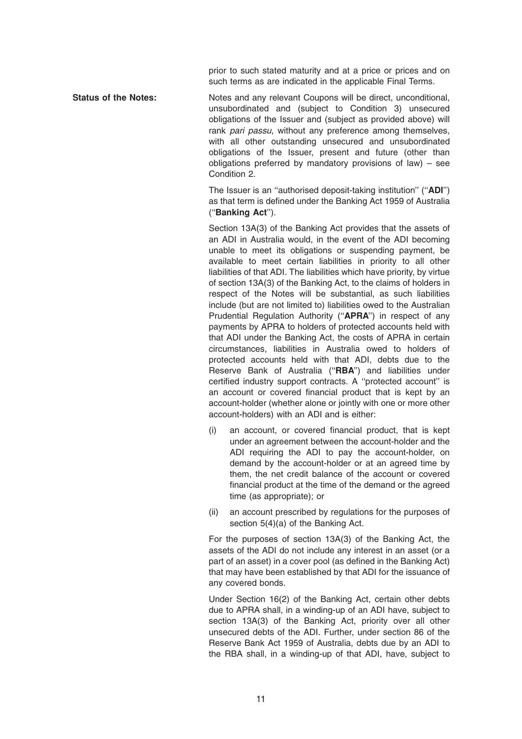prior to such stated maturity and at a price or prices and on such terms as are indicated in the applicable Final Terms.

Status of the Notes: Notes and any relevant Coupons will be direct, unconditional, unsubordinated and (subject to Condition 3) unsecured obligations of the Issuer and (subject as provided above) will rank pari passu, without any preference among themselves, with all other outstanding unsecured and unsubordinated obligations of the Issuer, present and future (other than obligations preferred by mandatory provisions of law) – see Condition 2.

> The Issuer is an "authorised deposit-taking institution" ("ADI") as that term is defined under the Banking Act 1959 of Australia (''Banking Act'').

> Section 13A(3) of the Banking Act provides that the assets of an ADI in Australia would, in the event of the ADI becoming unable to meet its obligations or suspending payment, be available to meet certain liabilities in priority to all other liabilities of that ADI. The liabilities which have priority, by virtue of section 13A(3) of the Banking Act, to the claims of holders in respect of the Notes will be substantial, as such liabilities include (but are not limited to) liabilities owed to the Australian Prudential Regulation Authority ("APRA") in respect of any payments by APRA to holders of protected accounts held with that ADI under the Banking Act, the costs of APRA in certain circumstances, liabilities in Australia owed to holders of protected accounts held with that ADI, debts due to the Reserve Bank of Australia ("RBA") and liabilities under certified industry support contracts. A ''protected account'' is an account or covered financial product that is kept by an account-holder (whether alone or jointly with one or more other account-holders) with an ADI and is either:

- (i) an account, or covered financial product, that is kept under an agreement between the account-holder and the ADI requiring the ADI to pay the account-holder, on demand by the account-holder or at an agreed time by them, the net credit balance of the account or covered financial product at the time of the demand or the agreed time (as appropriate); or
- (ii) an account prescribed by regulations for the purposes of section 5(4)(a) of the Banking Act.

For the purposes of section 13A(3) of the Banking Act, the assets of the ADI do not include any interest in an asset (or a part of an asset) in a cover pool (as defined in the Banking Act) that may have been established by that ADI for the issuance of any covered bonds.

Under Section 16(2) of the Banking Act, certain other debts due to APRA shall, in a winding-up of an ADI have, subject to section 13A(3) of the Banking Act, priority over all other unsecured debts of the ADI. Further, under section 86 of the Reserve Bank Act 1959 of Australia, debts due by an ADI to the RBA shall, in a winding-up of that ADI, have, subject to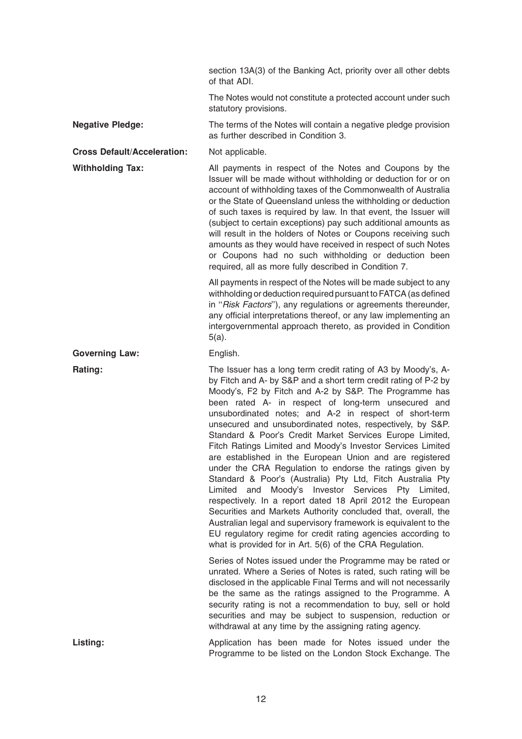|                                    | section 13A(3) of the Banking Act, priority over all other debts<br>of that ADI.                                                                                                                                                                                                                                                                                                                                                                                                                                                                                                                                                                                                                                                                                                                                                                                                                                                                                                                                                                                                          |
|------------------------------------|-------------------------------------------------------------------------------------------------------------------------------------------------------------------------------------------------------------------------------------------------------------------------------------------------------------------------------------------------------------------------------------------------------------------------------------------------------------------------------------------------------------------------------------------------------------------------------------------------------------------------------------------------------------------------------------------------------------------------------------------------------------------------------------------------------------------------------------------------------------------------------------------------------------------------------------------------------------------------------------------------------------------------------------------------------------------------------------------|
|                                    | The Notes would not constitute a protected account under such<br>statutory provisions.                                                                                                                                                                                                                                                                                                                                                                                                                                                                                                                                                                                                                                                                                                                                                                                                                                                                                                                                                                                                    |
| <b>Negative Pledge:</b>            | The terms of the Notes will contain a negative pledge provision<br>as further described in Condition 3.                                                                                                                                                                                                                                                                                                                                                                                                                                                                                                                                                                                                                                                                                                                                                                                                                                                                                                                                                                                   |
| <b>Cross Default/Acceleration:</b> | Not applicable.                                                                                                                                                                                                                                                                                                                                                                                                                                                                                                                                                                                                                                                                                                                                                                                                                                                                                                                                                                                                                                                                           |
| <b>Withholding Tax:</b>            | All payments in respect of the Notes and Coupons by the<br>Issuer will be made without withholding or deduction for or on<br>account of withholding taxes of the Commonwealth of Australia<br>or the State of Queensland unless the withholding or deduction<br>of such taxes is required by law. In that event, the Issuer will<br>(subject to certain exceptions) pay such additional amounts as<br>will result in the holders of Notes or Coupons receiving such<br>amounts as they would have received in respect of such Notes<br>or Coupons had no such withholding or deduction been<br>required, all as more fully described in Condition 7.                                                                                                                                                                                                                                                                                                                                                                                                                                      |
|                                    | All payments in respect of the Notes will be made subject to any<br>withholding or deduction required pursuant to FATCA (as defined<br>in "Risk Factors"), any regulations or agreements thereunder,<br>any official interpretations thereof, or any law implementing an<br>intergovernmental approach thereto, as provided in Condition<br>$5(a)$ .                                                                                                                                                                                                                                                                                                                                                                                                                                                                                                                                                                                                                                                                                                                                      |
| <b>Governing Law:</b>              | English.                                                                                                                                                                                                                                                                                                                                                                                                                                                                                                                                                                                                                                                                                                                                                                                                                                                                                                                                                                                                                                                                                  |
| Rating:                            | The Issuer has a long term credit rating of A3 by Moody's, A-<br>by Fitch and A- by S&P and a short term credit rating of P-2 by<br>Moody's, F2 by Fitch and A-2 by S&P. The Programme has<br>been rated A- in respect of long-term unsecured and<br>unsubordinated notes; and A-2 in respect of short-term<br>unsecured and unsubordinated notes, respectively, by S&P.<br>Standard & Poor's Credit Market Services Europe Limited,<br>Fitch Ratings Limited and Moody's Investor Services Limited<br>are established in the European Union and are registered<br>under the CRA Regulation to endorse the ratings given by<br>Standard & Poor's (Australia) Pty Ltd, Fitch Australia Pty<br>Moody's<br>Limited<br>and<br>Investor Services<br>Pty Limited,<br>respectively. In a report dated 18 April 2012 the European<br>Securities and Markets Authority concluded that, overall, the<br>Australian legal and supervisory framework is equivalent to the<br>EU regulatory regime for credit rating agencies according to<br>what is provided for in Art. 5(6) of the CRA Regulation. |
|                                    | Series of Notes issued under the Programme may be rated or<br>unrated. Where a Series of Notes is rated, such rating will be<br>disclosed in the applicable Final Terms and will not necessarily<br>be the same as the ratings assigned to the Programme. A<br>security rating is not a recommendation to buy, sell or hold<br>securities and may be subject to suspension, reduction or<br>withdrawal at any time by the assigning rating agency.                                                                                                                                                                                                                                                                                                                                                                                                                                                                                                                                                                                                                                        |
| Listing:                           | Application has been made for Notes issued under the<br>Programme to be listed on the London Stock Exchange. The                                                                                                                                                                                                                                                                                                                                                                                                                                                                                                                                                                                                                                                                                                                                                                                                                                                                                                                                                                          |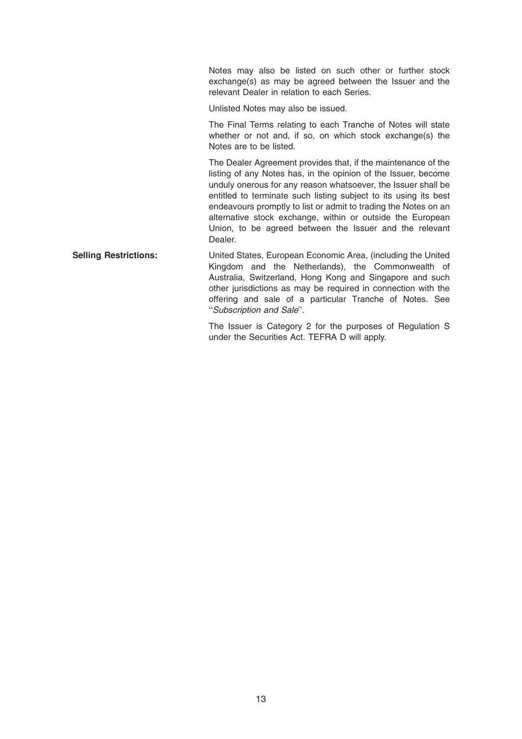Notes may also be listed on such other or further stock exchange(s) as may be agreed between the Issuer and the relevant Dealer in relation to each Series.

Unlisted Notes may also be issued.

The Final Terms relating to each Tranche of Notes will state whether or not and, if so, on which stock exchange(s) the Notes are to be listed.

The Dealer Agreement provides that, if the maintenance of the listing of any Notes has, in the opinion of the Issuer, become unduly onerous for any reason whatsoever, the Issuer shall be entitled to terminate such listing subject to its using its best endeavours promptly to list or admit to trading the Notes on an alternative stock exchange, within or outside the European Union, to be agreed between the Issuer and the relevant Dealer.

Selling Restrictions: United States, European Economic Area, (including the United Kingdom and the Netherlands), the Commonwealth of Australia, Switzerland, Hong Kong and Singapore and such other jurisdictions as may be required in connection with the offering and sale of a particular Tranche of Notes. See ''Subscription and Sale''.

> The Issuer is Category 2 for the purposes of Regulation S under the Securities Act. TEFRA D will apply.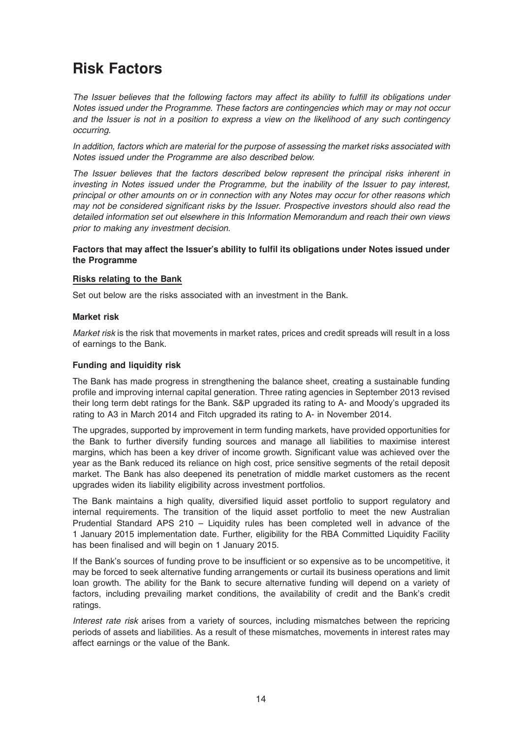# Risk Factors

The Issuer believes that the following factors may affect its ability to fulfill its obligations under Notes issued under the Programme. These factors are contingencies which may or may not occur and the Issuer is not in a position to express a view on the likelihood of any such contingency occurring.

In addition, factors which are material for the purpose of assessing the market risks associated with Notes issued under the Programme are also described below.

The Issuer believes that the factors described below represent the principal risks inherent in investing in Notes issued under the Programme, but the inability of the Issuer to pay interest, principal or other amounts on or in connection with any Notes may occur for other reasons which may not be considered significant risks by the Issuer. Prospective investors should also read the detailed information set out elsewhere in this Information Memorandum and reach their own views prior to making any investment decision.

#### Factors that may affect the Issuer's ability to fulfil its obligations under Notes issued under the Programme

#### Risks relating to the Bank

Set out below are the risks associated with an investment in the Bank.

#### Market risk

Market risk is the risk that movements in market rates, prices and credit spreads will result in a loss of earnings to the Bank.

#### Funding and liquidity risk

The Bank has made progress in strengthening the balance sheet, creating a sustainable funding profile and improving internal capital generation. Three rating agencies in September 2013 revised their long term debt ratings for the Bank. S&P upgraded its rating to A- and Moody's upgraded its rating to A3 in March 2014 and Fitch upgraded its rating to A- in November 2014.

The upgrades, supported by improvement in term funding markets, have provided opportunities for the Bank to further diversify funding sources and manage all liabilities to maximise interest margins, which has been a key driver of income growth. Significant value was achieved over the year as the Bank reduced its reliance on high cost, price sensitive segments of the retail deposit market. The Bank has also deepened its penetration of middle market customers as the recent upgrades widen its liability eligibility across investment portfolios.

The Bank maintains a high quality, diversified liquid asset portfolio to support regulatory and internal requirements. The transition of the liquid asset portfolio to meet the new Australian Prudential Standard APS 210 – Liquidity rules has been completed well in advance of the 1 January 2015 implementation date. Further, eligibility for the RBA Committed Liquidity Facility has been finalised and will begin on 1 January 2015.

If the Bank's sources of funding prove to be insufficient or so expensive as to be uncompetitive, it may be forced to seek alternative funding arrangements or curtail its business operations and limit loan growth. The ability for the Bank to secure alternative funding will depend on a variety of factors, including prevailing market conditions, the availability of credit and the Bank's credit ratings.

Interest rate risk arises from a variety of sources, including mismatches between the repricing periods of assets and liabilities. As a result of these mismatches, movements in interest rates may affect earnings or the value of the Bank.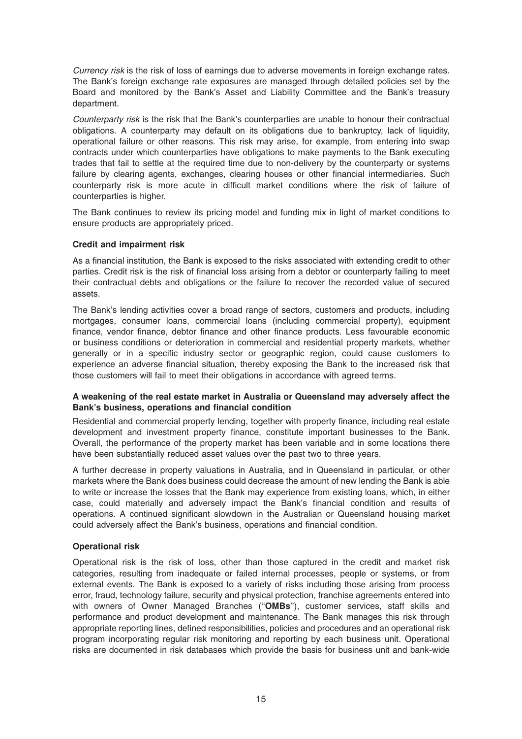Currency risk is the risk of loss of earnings due to adverse movements in foreign exchange rates. The Bank's foreign exchange rate exposures are managed through detailed policies set by the Board and monitored by the Bank's Asset and Liability Committee and the Bank's treasury department.

Counterparty risk is the risk that the Bank's counterparties are unable to honour their contractual obligations. A counterparty may default on its obligations due to bankruptcy, lack of liquidity, operational failure or other reasons. This risk may arise, for example, from entering into swap contracts under which counterparties have obligations to make payments to the Bank executing trades that fail to settle at the required time due to non-delivery by the counterparty or systems failure by clearing agents, exchanges, clearing houses or other financial intermediaries. Such counterparty risk is more acute in difficult market conditions where the risk of failure of counterparties is higher.

The Bank continues to review its pricing model and funding mix in light of market conditions to ensure products are appropriately priced.

#### Credit and impairment risk

As a financial institution, the Bank is exposed to the risks associated with extending credit to other parties. Credit risk is the risk of financial loss arising from a debtor or counterparty failing to meet their contractual debts and obligations or the failure to recover the recorded value of secured assets.

The Bank's lending activities cover a broad range of sectors, customers and products, including mortgages, consumer loans, commercial loans (including commercial property), equipment finance, vendor finance, debtor finance and other finance products. Less favourable economic or business conditions or deterioration in commercial and residential property markets, whether generally or in a specific industry sector or geographic region, could cause customers to experience an adverse financial situation, thereby exposing the Bank to the increased risk that those customers will fail to meet their obligations in accordance with agreed terms.

#### A weakening of the real estate market in Australia or Queensland may adversely affect the Bank's business, operations and financial condition

Residential and commercial property lending, together with property finance, including real estate development and investment property finance, constitute important businesses to the Bank. Overall, the performance of the property market has been variable and in some locations there have been substantially reduced asset values over the past two to three years.

A further decrease in property valuations in Australia, and in Queensland in particular, or other markets where the Bank does business could decrease the amount of new lending the Bank is able to write or increase the losses that the Bank may experience from existing loans, which, in either case, could materially and adversely impact the Bank's financial condition and results of operations. A continued significant slowdown in the Australian or Queensland housing market could adversely affect the Bank's business, operations and financial condition.

#### Operational risk

Operational risk is the risk of loss, other than those captured in the credit and market risk categories, resulting from inadequate or failed internal processes, people or systems, or from external events. The Bank is exposed to a variety of risks including those arising from process error, fraud, technology failure, security and physical protection, franchise agreements entered into with owners of Owner Managed Branches ("OMBs"), customer services, staff skills and performance and product development and maintenance. The Bank manages this risk through appropriate reporting lines, defined responsibilities, policies and procedures and an operational risk program incorporating regular risk monitoring and reporting by each business unit. Operational risks are documented in risk databases which provide the basis for business unit and bank-wide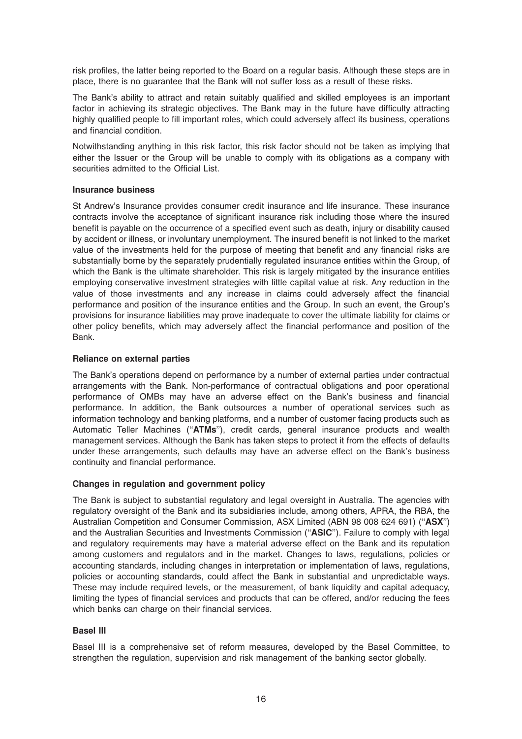risk profiles, the latter being reported to the Board on a regular basis. Although these steps are in place, there is no guarantee that the Bank will not suffer loss as a result of these risks.

The Bank's ability to attract and retain suitably qualified and skilled employees is an important factor in achieving its strategic objectives. The Bank may in the future have difficulty attracting highly qualified people to fill important roles, which could adversely affect its business, operations and financial condition.

Notwithstanding anything in this risk factor, this risk factor should not be taken as implying that either the Issuer or the Group will be unable to comply with its obligations as a company with securities admitted to the Official List.

#### Insurance business

St Andrew's Insurance provides consumer credit insurance and life insurance. These insurance contracts involve the acceptance of significant insurance risk including those where the insured benefit is payable on the occurrence of a specified event such as death, injury or disability caused by accident or illness, or involuntary unemployment. The insured benefit is not linked to the market value of the investments held for the purpose of meeting that benefit and any financial risks are substantially borne by the separately prudentially regulated insurance entities within the Group, of which the Bank is the ultimate shareholder. This risk is largely mitigated by the insurance entities employing conservative investment strategies with little capital value at risk. Any reduction in the value of those investments and any increase in claims could adversely affect the financial performance and position of the insurance entities and the Group. In such an event, the Group's provisions for insurance liabilities may prove inadequate to cover the ultimate liability for claims or other policy benefits, which may adversely affect the financial performance and position of the Bank.

#### Reliance on external parties

The Bank's operations depend on performance by a number of external parties under contractual arrangements with the Bank. Non-performance of contractual obligations and poor operational performance of OMBs may have an adverse effect on the Bank's business and financial performance. In addition, the Bank outsources a number of operational services such as information technology and banking platforms, and a number of customer facing products such as Automatic Teller Machines ("ATMs"), credit cards, general insurance products and wealth management services. Although the Bank has taken steps to protect it from the effects of defaults under these arrangements, such defaults may have an adverse effect on the Bank's business continuity and financial performance.

#### Changes in regulation and government policy

The Bank is subject to substantial regulatory and legal oversight in Australia. The agencies with regulatory oversight of the Bank and its subsidiaries include, among others, APRA, the RBA, the Australian Competition and Consumer Commission, ASX Limited (ABN 98 008 624 691) ("ASX") and the Australian Securities and Investments Commission ("ASIC"). Failure to comply with legal and regulatory requirements may have a material adverse effect on the Bank and its reputation among customers and regulators and in the market. Changes to laws, regulations, policies or accounting standards, including changes in interpretation or implementation of laws, regulations, policies or accounting standards, could affect the Bank in substantial and unpredictable ways. These may include required levels, or the measurement, of bank liquidity and capital adequacy, limiting the types of financial services and products that can be offered, and/or reducing the fees which banks can charge on their financial services.

#### Basel III

Basel III is a comprehensive set of reform measures, developed by the Basel Committee, to strengthen the regulation, supervision and risk management of the banking sector globally.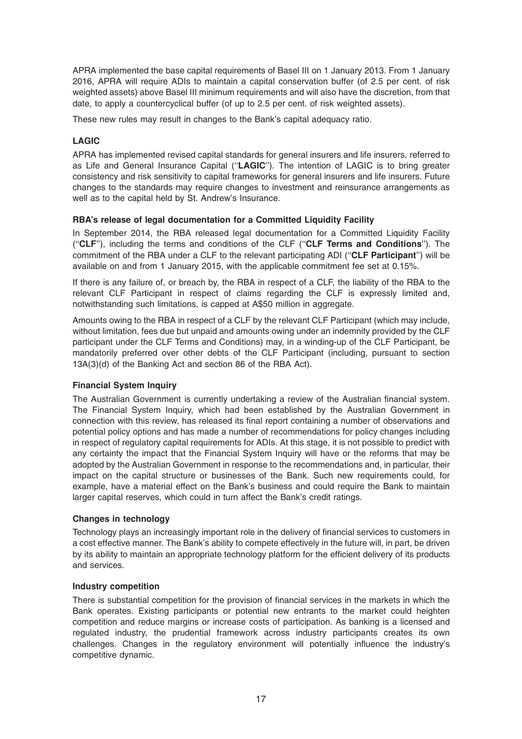APRA implemented the base capital requirements of Basel III on 1 January 2013. From 1 January 2016, APRA will require ADIs to maintain a capital conservation buffer (of 2.5 per cent. of risk weighted assets) above Basel III minimum requirements and will also have the discretion, from that date, to apply a countercyclical buffer (of up to 2.5 per cent. of risk weighted assets).

These new rules may result in changes to the Bank's capital adequacy ratio.

#### LAGIC

APRA has implemented revised capital standards for general insurers and life insurers, referred to as Life and General Insurance Capital ("LAGIC"). The intention of LAGIC is to bring greater consistency and risk sensitivity to capital frameworks for general insurers and life insurers. Future changes to the standards may require changes to investment and reinsurance arrangements as well as to the capital held by St. Andrew's Insurance.

#### RBA's release of legal documentation for a Committed Liquidity Facility

In September 2014, the RBA released legal documentation for a Committed Liquidity Facility (''CLF''), including the terms and conditions of the CLF (''CLF Terms and Conditions''). The commitment of the RBA under a CLF to the relevant participating ADI (''CLF Participant'') will be available on and from 1 January 2015, with the applicable commitment fee set at 0.15%.

If there is any failure of, or breach by, the RBA in respect of a CLF, the liability of the RBA to the relevant CLF Participant in respect of claims regarding the CLF is expressly limited and, notwithstanding such limitations, is capped at A\$50 million in aggregate.

Amounts owing to the RBA in respect of a CLF by the relevant CLF Participant (which may include, without limitation, fees due but unpaid and amounts owing under an indemnity provided by the CLF participant under the CLF Terms and Conditions) may, in a winding-up of the CLF Participant, be mandatorily preferred over other debts of the CLF Participant (including, pursuant to section 13A(3)(d) of the Banking Act and section 86 of the RBA Act).

#### Financial System Inquiry

The Australian Government is currently undertaking a review of the Australian financial system. The Financial System Inquiry, which had been established by the Australian Government in connection with this review, has released its final report containing a number of observations and potential policy options and has made a number of recommendations for policy changes including in respect of regulatory capital requirements for ADIs. At this stage, it is not possible to predict with any certainty the impact that the Financial System Inquiry will have or the reforms that may be adopted by the Australian Government in response to the recommendations and, in particular, their impact on the capital structure or businesses of the Bank. Such new requirements could, for example, have a material effect on the Bank's business and could require the Bank to maintain larger capital reserves, which could in turn affect the Bank's credit ratings.

#### Changes in technology

Technology plays an increasingly important role in the delivery of financial services to customers in a cost effective manner. The Bank's ability to compete effectively in the future will, in part, be driven by its ability to maintain an appropriate technology platform for the efficient delivery of its products and services.

#### Industry competition

There is substantial competition for the provision of financial services in the markets in which the Bank operates. Existing participants or potential new entrants to the market could heighten competition and reduce margins or increase costs of participation. As banking is a licensed and regulated industry, the prudential framework across industry participants creates its own challenges. Changes in the regulatory environment will potentially influence the industry's competitive dynamic.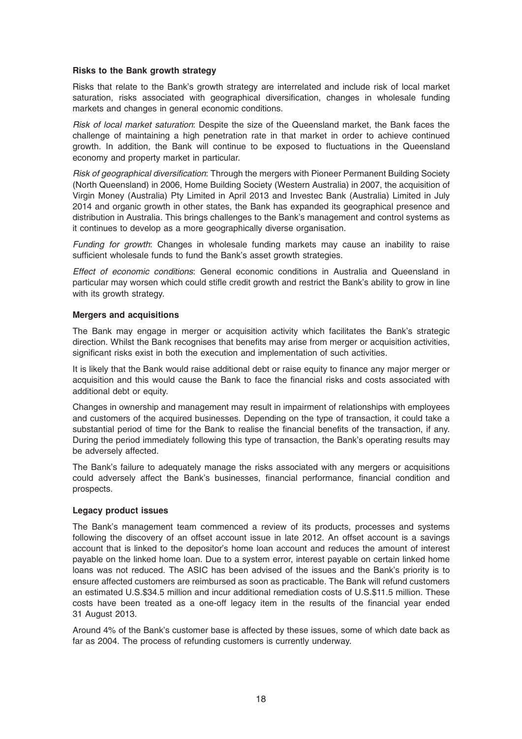#### Risks to the Bank growth strategy

Risks that relate to the Bank's growth strategy are interrelated and include risk of local market saturation, risks associated with geographical diversification, changes in wholesale funding markets and changes in general economic conditions.

Risk of local market saturation: Despite the size of the Queensland market, the Bank faces the challenge of maintaining a high penetration rate in that market in order to achieve continued growth. In addition, the Bank will continue to be exposed to fluctuations in the Queensland economy and property market in particular.

Risk of geographical diversification: Through the mergers with Pioneer Permanent Building Society (North Queensland) in 2006, Home Building Society (Western Australia) in 2007, the acquisition of Virgin Money (Australia) Pty Limited in April 2013 and Investec Bank (Australia) Limited in July 2014 and organic growth in other states, the Bank has expanded its geographical presence and distribution in Australia. This brings challenges to the Bank's management and control systems as it continues to develop as a more geographically diverse organisation.

Funding for growth: Changes in wholesale funding markets may cause an inability to raise sufficient wholesale funds to fund the Bank's asset growth strategies.

Effect of economic conditions: General economic conditions in Australia and Queensland in particular may worsen which could stifle credit growth and restrict the Bank's ability to grow in line with its growth strategy.

#### Mergers and acquisitions

The Bank may engage in merger or acquisition activity which facilitates the Bank's strategic direction. Whilst the Bank recognises that benefits may arise from merger or acquisition activities, significant risks exist in both the execution and implementation of such activities.

It is likely that the Bank would raise additional debt or raise equity to finance any major merger or acquisition and this would cause the Bank to face the financial risks and costs associated with additional debt or equity.

Changes in ownership and management may result in impairment of relationships with employees and customers of the acquired businesses. Depending on the type of transaction, it could take a substantial period of time for the Bank to realise the financial benefits of the transaction, if any. During the period immediately following this type of transaction, the Bank's operating results may be adversely affected.

The Bank's failure to adequately manage the risks associated with any mergers or acquisitions could adversely affect the Bank's businesses, financial performance, financial condition and prospects.

#### Legacy product issues

The Bank's management team commenced a review of its products, processes and systems following the discovery of an offset account issue in late 2012. An offset account is a savings account that is linked to the depositor's home loan account and reduces the amount of interest payable on the linked home loan. Due to a system error, interest payable on certain linked home loans was not reduced. The ASIC has been advised of the issues and the Bank's priority is to ensure affected customers are reimbursed as soon as practicable. The Bank will refund customers an estimated U.S.\$34.5 million and incur additional remediation costs of U.S.\$11.5 million. These costs have been treated as a one-off legacy item in the results of the financial year ended 31 August 2013.

Around 4% of the Bank's customer base is affected by these issues, some of which date back as far as 2004. The process of refunding customers is currently underway.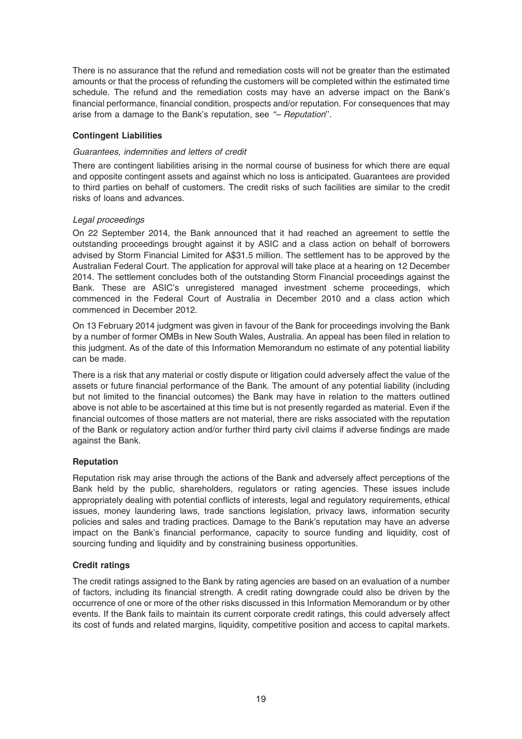There is no assurance that the refund and remediation costs will not be greater than the estimated amounts or that the process of refunding the customers will be completed within the estimated time schedule. The refund and the remediation costs may have an adverse impact on the Bank's financial performance, financial condition, prospects and/or reputation. For consequences that may arise from a damage to the Bank's reputation, see ''– Reputation''.

#### Contingent Liabilities

#### Guarantees, indemnities and letters of credit

There are contingent liabilities arising in the normal course of business for which there are equal and opposite contingent assets and against which no loss is anticipated. Guarantees are provided to third parties on behalf of customers. The credit risks of such facilities are similar to the credit risks of loans and advances.

#### Legal proceedings

On 22 September 2014, the Bank announced that it had reached an agreement to settle the outstanding proceedings brought against it by ASIC and a class action on behalf of borrowers advised by Storm Financial Limited for A\$31.5 million. The settlement has to be approved by the Australian Federal Court. The application for approval will take place at a hearing on 12 December 2014. The settlement concludes both of the outstanding Storm Financial proceedings against the Bank. These are ASIC's unregistered managed investment scheme proceedings, which commenced in the Federal Court of Australia in December 2010 and a class action which commenced in December 2012.

On 13 February 2014 judgment was given in favour of the Bank for proceedings involving the Bank by a number of former OMBs in New South Wales, Australia. An appeal has been filed in relation to this judgment. As of the date of this Information Memorandum no estimate of any potential liability can be made.

There is a risk that any material or costly dispute or litigation could adversely affect the value of the assets or future financial performance of the Bank. The amount of any potential liability (including but not limited to the financial outcomes) the Bank may have in relation to the matters outlined above is not able to be ascertained at this time but is not presently regarded as material. Even if the financial outcomes of those matters are not material, there are risks associated with the reputation of the Bank or regulatory action and/or further third party civil claims if adverse findings are made against the Bank.

#### Reputation

Reputation risk may arise through the actions of the Bank and adversely affect perceptions of the Bank held by the public, shareholders, regulators or rating agencies. These issues include appropriately dealing with potential conflicts of interests, legal and regulatory requirements, ethical issues, money laundering laws, trade sanctions legislation, privacy laws, information security policies and sales and trading practices. Damage to the Bank's reputation may have an adverse impact on the Bank's financial performance, capacity to source funding and liquidity, cost of sourcing funding and liquidity and by constraining business opportunities.

#### Credit ratings

The credit ratings assigned to the Bank by rating agencies are based on an evaluation of a number of factors, including its financial strength. A credit rating downgrade could also be driven by the occurrence of one or more of the other risks discussed in this Information Memorandum or by other events. If the Bank fails to maintain its current corporate credit ratings, this could adversely affect its cost of funds and related margins, liquidity, competitive position and access to capital markets.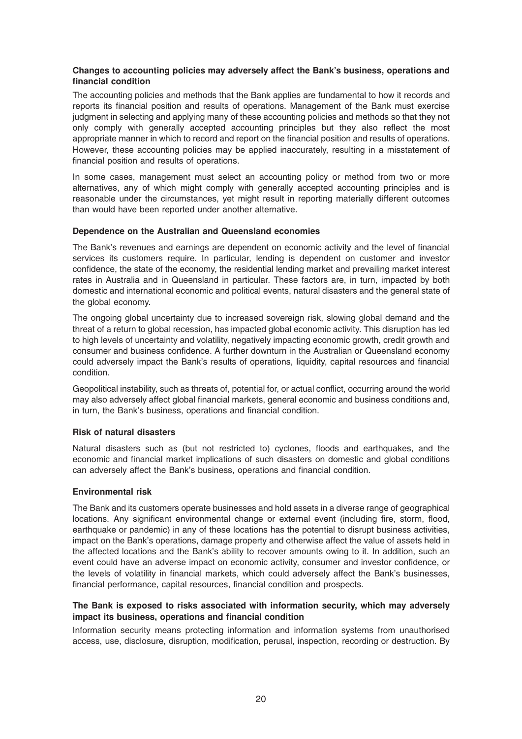#### Changes to accounting policies may adversely affect the Bank's business, operations and financial condition

The accounting policies and methods that the Bank applies are fundamental to how it records and reports its financial position and results of operations. Management of the Bank must exercise judgment in selecting and applying many of these accounting policies and methods so that they not only comply with generally accepted accounting principles but they also reflect the most appropriate manner in which to record and report on the financial position and results of operations. However, these accounting policies may be applied inaccurately, resulting in a misstatement of financial position and results of operations.

In some cases, management must select an accounting policy or method from two or more alternatives, any of which might comply with generally accepted accounting principles and is reasonable under the circumstances, yet might result in reporting materially different outcomes than would have been reported under another alternative.

#### Dependence on the Australian and Queensland economies

The Bank's revenues and earnings are dependent on economic activity and the level of financial services its customers require. In particular, lending is dependent on customer and investor confidence, the state of the economy, the residential lending market and prevailing market interest rates in Australia and in Queensland in particular. These factors are, in turn, impacted by both domestic and international economic and political events, natural disasters and the general state of the global economy.

The ongoing global uncertainty due to increased sovereign risk, slowing global demand and the threat of a return to global recession, has impacted global economic activity. This disruption has led to high levels of uncertainty and volatility, negatively impacting economic growth, credit growth and consumer and business confidence. A further downturn in the Australian or Queensland economy could adversely impact the Bank's results of operations, liquidity, capital resources and financial condition.

Geopolitical instability, such as threats of, potential for, or actual conflict, occurring around the world may also adversely affect global financial markets, general economic and business conditions and, in turn, the Bank's business, operations and financial condition.

#### Risk of natural disasters

Natural disasters such as (but not restricted to) cyclones, floods and earthquakes, and the economic and financial market implications of such disasters on domestic and global conditions can adversely affect the Bank's business, operations and financial condition.

#### Environmental risk

The Bank and its customers operate businesses and hold assets in a diverse range of geographical locations. Any significant environmental change or external event (including fire, storm, flood, earthquake or pandemic) in any of these locations has the potential to disrupt business activities, impact on the Bank's operations, damage property and otherwise affect the value of assets held in the affected locations and the Bank's ability to recover amounts owing to it. In addition, such an event could have an adverse impact on economic activity, consumer and investor confidence, or the levels of volatility in financial markets, which could adversely affect the Bank's businesses, financial performance, capital resources, financial condition and prospects.

#### The Bank is exposed to risks associated with information security, which may adversely impact its business, operations and financial condition

Information security means protecting information and information systems from unauthorised access, use, disclosure, disruption, modification, perusal, inspection, recording or destruction. By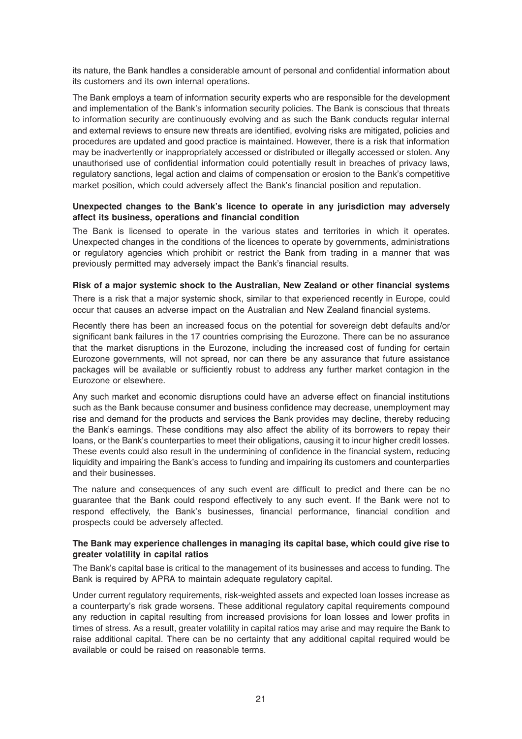its nature, the Bank handles a considerable amount of personal and confidential information about its customers and its own internal operations.

The Bank employs a team of information security experts who are responsible for the development and implementation of the Bank's information security policies. The Bank is conscious that threats to information security are continuously evolving and as such the Bank conducts regular internal and external reviews to ensure new threats are identified, evolving risks are mitigated, policies and procedures are updated and good practice is maintained. However, there is a risk that information may be inadvertently or inappropriately accessed or distributed or illegally accessed or stolen. Any unauthorised use of confidential information could potentially result in breaches of privacy laws, regulatory sanctions, legal action and claims of compensation or erosion to the Bank's competitive market position, which could adversely affect the Bank's financial position and reputation.

#### Unexpected changes to the Bank's licence to operate in any jurisdiction may adversely affect its business, operations and financial condition

The Bank is licensed to operate in the various states and territories in which it operates. Unexpected changes in the conditions of the licences to operate by governments, administrations or regulatory agencies which prohibit or restrict the Bank from trading in a manner that was previously permitted may adversely impact the Bank's financial results.

#### Risk of a major systemic shock to the Australian, New Zealand or other financial systems

There is a risk that a major systemic shock, similar to that experienced recently in Europe, could occur that causes an adverse impact on the Australian and New Zealand financial systems.

Recently there has been an increased focus on the potential for sovereign debt defaults and/or significant bank failures in the 17 countries comprising the Eurozone. There can be no assurance that the market disruptions in the Eurozone, including the increased cost of funding for certain Eurozone governments, will not spread, nor can there be any assurance that future assistance packages will be available or sufficiently robust to address any further market contagion in the Eurozone or elsewhere.

Any such market and economic disruptions could have an adverse effect on financial institutions such as the Bank because consumer and business confidence may decrease, unemployment may rise and demand for the products and services the Bank provides may decline, thereby reducing the Bank's earnings. These conditions may also affect the ability of its borrowers to repay their loans, or the Bank's counterparties to meet their obligations, causing it to incur higher credit losses. These events could also result in the undermining of confidence in the financial system, reducing liquidity and impairing the Bank's access to funding and impairing its customers and counterparties and their businesses.

The nature and consequences of any such event are difficult to predict and there can be no guarantee that the Bank could respond effectively to any such event. If the Bank were not to respond effectively, the Bank's businesses, financial performance, financial condition and prospects could be adversely affected.

#### The Bank may experience challenges in managing its capital base, which could give rise to greater volatility in capital ratios

The Bank's capital base is critical to the management of its businesses and access to funding. The Bank is required by APRA to maintain adequate regulatory capital.

Under current regulatory requirements, risk-weighted assets and expected loan losses increase as a counterparty's risk grade worsens. These additional regulatory capital requirements compound any reduction in capital resulting from increased provisions for loan losses and lower profits in times of stress. As a result, greater volatility in capital ratios may arise and may require the Bank to raise additional capital. There can be no certainty that any additional capital required would be available or could be raised on reasonable terms.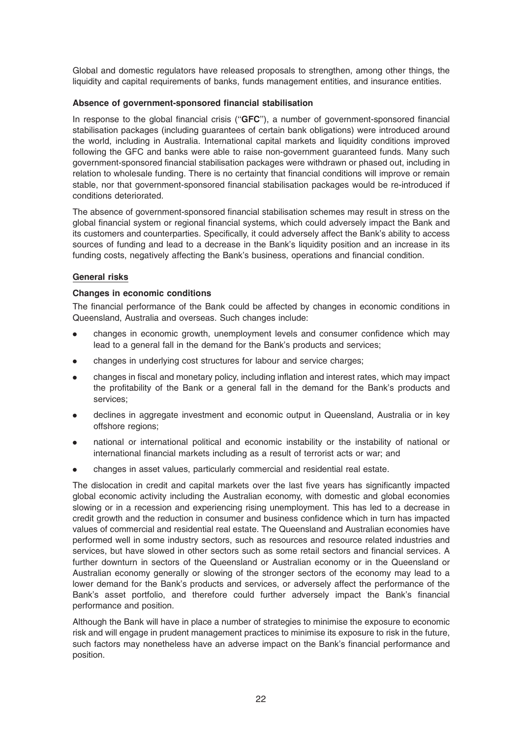Global and domestic regulators have released proposals to strengthen, among other things, the liquidity and capital requirements of banks, funds management entities, and insurance entities.

#### Absence of government-sponsored financial stabilisation

In response to the global financial crisis ("GFC"), a number of government-sponsored financial stabilisation packages (including guarantees of certain bank obligations) were introduced around the world, including in Australia. International capital markets and liquidity conditions improved following the GFC and banks were able to raise non-government guaranteed funds. Many such government-sponsored financial stabilisation packages were withdrawn or phased out, including in relation to wholesale funding. There is no certainty that financial conditions will improve or remain stable, nor that government-sponsored financial stabilisation packages would be re-introduced if conditions deteriorated.

The absence of government-sponsored financial stabilisation schemes may result in stress on the global financial system or regional financial systems, which could adversely impact the Bank and its customers and counterparties. Specifically, it could adversely affect the Bank's ability to access sources of funding and lead to a decrease in the Bank's liquidity position and an increase in its funding costs, negatively affecting the Bank's business, operations and financial condition.

#### General risks

#### Changes in economic conditions

The financial performance of the Bank could be affected by changes in economic conditions in Queensland, Australia and overseas. Such changes include:

- . changes in economic growth, unemployment levels and consumer confidence which may lead to a general fall in the demand for the Bank's products and services;
- . changes in underlying cost structures for labour and service charges;
- . changes in fiscal and monetary policy, including inflation and interest rates, which may impact the profitability of the Bank or a general fall in the demand for the Bank's products and services;
- . declines in aggregate investment and economic output in Queensland, Australia or in key offshore regions;
- . national or international political and economic instability or the instability of national or international financial markets including as a result of terrorist acts or war; and
- . changes in asset values, particularly commercial and residential real estate.

The dislocation in credit and capital markets over the last five years has significantly impacted global economic activity including the Australian economy, with domestic and global economies slowing or in a recession and experiencing rising unemployment. This has led to a decrease in credit growth and the reduction in consumer and business confidence which in turn has impacted values of commercial and residential real estate. The Queensland and Australian economies have performed well in some industry sectors, such as resources and resource related industries and services, but have slowed in other sectors such as some retail sectors and financial services. A further downturn in sectors of the Queensland or Australian economy or in the Queensland or Australian economy generally or slowing of the stronger sectors of the economy may lead to a lower demand for the Bank's products and services, or adversely affect the performance of the Bank's asset portfolio, and therefore could further adversely impact the Bank's financial performance and position.

Although the Bank will have in place a number of strategies to minimise the exposure to economic risk and will engage in prudent management practices to minimise its exposure to risk in the future, such factors may nonetheless have an adverse impact on the Bank's financial performance and position.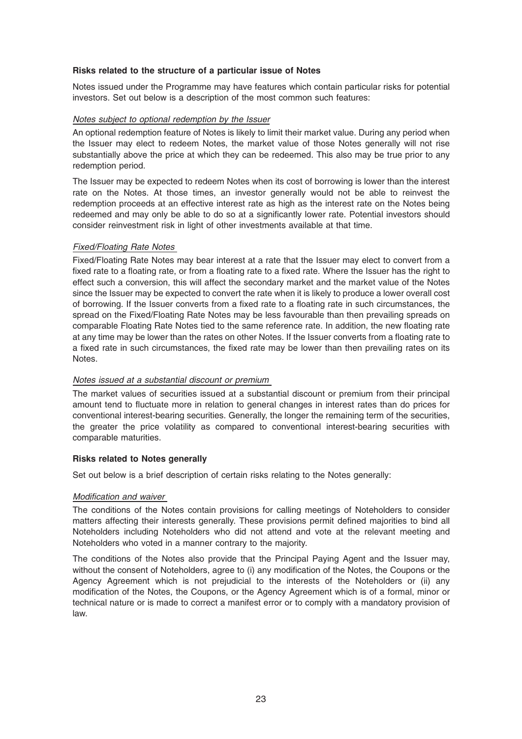#### Risks related to the structure of a particular issue of Notes

Notes issued under the Programme may have features which contain particular risks for potential investors. Set out below is a description of the most common such features:

#### Notes subject to optional redemption by the Issuer

An optional redemption feature of Notes is likely to limit their market value. During any period when the Issuer may elect to redeem Notes, the market value of those Notes generally will not rise substantially above the price at which they can be redeemed. This also may be true prior to any redemption period.

The Issuer may be expected to redeem Notes when its cost of borrowing is lower than the interest rate on the Notes. At those times, an investor generally would not be able to reinvest the redemption proceeds at an effective interest rate as high as the interest rate on the Notes being redeemed and may only be able to do so at a significantly lower rate. Potential investors should consider reinvestment risk in light of other investments available at that time.

#### Fixed/Floating Rate Notes

Fixed/Floating Rate Notes may bear interest at a rate that the Issuer may elect to convert from a fixed rate to a floating rate, or from a floating rate to a fixed rate. Where the Issuer has the right to effect such a conversion, this will affect the secondary market and the market value of the Notes since the Issuer may be expected to convert the rate when it is likely to produce a lower overall cost of borrowing. If the Issuer converts from a fixed rate to a floating rate in such circumstances, the spread on the Fixed/Floating Rate Notes may be less favourable than then prevailing spreads on comparable Floating Rate Notes tied to the same reference rate. In addition, the new floating rate at any time may be lower than the rates on other Notes. If the Issuer converts from a floating rate to a fixed rate in such circumstances, the fixed rate may be lower than then prevailing rates on its Notes.

#### Notes issued at a substantial discount or premium

The market values of securities issued at a substantial discount or premium from their principal amount tend to fluctuate more in relation to general changes in interest rates than do prices for conventional interest-bearing securities. Generally, the longer the remaining term of the securities, the greater the price volatility as compared to conventional interest-bearing securities with comparable maturities.

#### Risks related to Notes generally

Set out below is a brief description of certain risks relating to the Notes generally:

#### Modification and waiver

The conditions of the Notes contain provisions for calling meetings of Noteholders to consider matters affecting their interests generally. These provisions permit defined majorities to bind all Noteholders including Noteholders who did not attend and vote at the relevant meeting and Noteholders who voted in a manner contrary to the majority.

The conditions of the Notes also provide that the Principal Paying Agent and the Issuer may, without the consent of Noteholders, agree to (i) any modification of the Notes, the Coupons or the Agency Agreement which is not prejudicial to the interests of the Noteholders or (ii) any modification of the Notes, the Coupons, or the Agency Agreement which is of a formal, minor or technical nature or is made to correct a manifest error or to comply with a mandatory provision of law.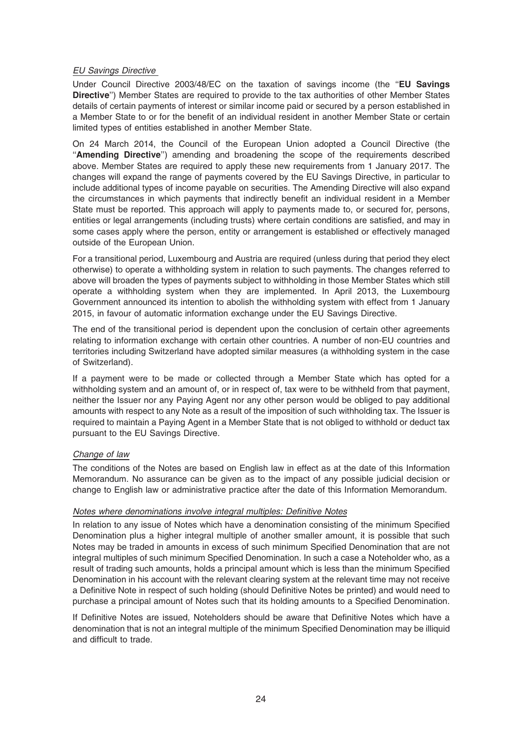#### EU Savings Directive

Under Council Directive 2003/48/EC on the taxation of savings income (the "EU Savings Directive'') Member States are required to provide to the tax authorities of other Member States details of certain payments of interest or similar income paid or secured by a person established in a Member State to or for the benefit of an individual resident in another Member State or certain limited types of entities established in another Member State.

On 24 March 2014, the Council of the European Union adopted a Council Directive (the ''Amending Directive'') amending and broadening the scope of the requirements described above. Member States are required to apply these new requirements from 1 January 2017. The changes will expand the range of payments covered by the EU Savings Directive, in particular to include additional types of income payable on securities. The Amending Directive will also expand the circumstances in which payments that indirectly benefit an individual resident in a Member State must be reported. This approach will apply to payments made to, or secured for, persons, entities or legal arrangements (including trusts) where certain conditions are satisfied, and may in some cases apply where the person, entity or arrangement is established or effectively managed outside of the European Union.

For a transitional period, Luxembourg and Austria are required (unless during that period they elect otherwise) to operate a withholding system in relation to such payments. The changes referred to above will broaden the types of payments subject to withholding in those Member States which still operate a withholding system when they are implemented. In April 2013, the Luxembourg Government announced its intention to abolish the withholding system with effect from 1 January 2015, in favour of automatic information exchange under the EU Savings Directive.

The end of the transitional period is dependent upon the conclusion of certain other agreements relating to information exchange with certain other countries. A number of non-EU countries and territories including Switzerland have adopted similar measures (a withholding system in the case of Switzerland).

If a payment were to be made or collected through a Member State which has opted for a withholding system and an amount of, or in respect of, tax were to be withheld from that payment, neither the Issuer nor any Paying Agent nor any other person would be obliged to pay additional amounts with respect to any Note as a result of the imposition of such withholding tax. The Issuer is required to maintain a Paying Agent in a Member State that is not obliged to withhold or deduct tax pursuant to the EU Savings Directive.

#### Change of law

The conditions of the Notes are based on English law in effect as at the date of this Information Memorandum. No assurance can be given as to the impact of any possible judicial decision or change to English law or administrative practice after the date of this Information Memorandum.

#### Notes where denominations involve integral multiples: Definitive Notes

In relation to any issue of Notes which have a denomination consisting of the minimum Specified Denomination plus a higher integral multiple of another smaller amount, it is possible that such Notes may be traded in amounts in excess of such minimum Specified Denomination that are not integral multiples of such minimum Specified Denomination. In such a case a Noteholder who, as a result of trading such amounts, holds a principal amount which is less than the minimum Specified Denomination in his account with the relevant clearing system at the relevant time may not receive a Definitive Note in respect of such holding (should Definitive Notes be printed) and would need to purchase a principal amount of Notes such that its holding amounts to a Specified Denomination.

If Definitive Notes are issued, Noteholders should be aware that Definitive Notes which have a denomination that is not an integral multiple of the minimum Specified Denomination may be illiquid and difficult to trade.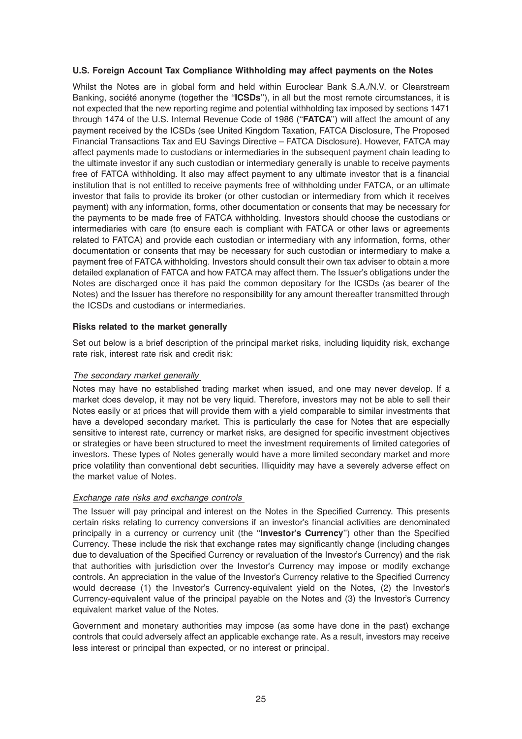#### U.S. Foreign Account Tax Compliance Withholding may affect payments on the Notes

Whilst the Notes are in global form and held within Euroclear Bank S.A./N.V. or Clearstream Banking, société anonyme (together the "ICSDs"), in all but the most remote circumstances, it is not expected that the new reporting regime and potential withholding tax imposed by sections 1471 through 1474 of the U.S. Internal Revenue Code of 1986 ("FATCA") will affect the amount of any payment received by the ICSDs (see United Kingdom Taxation, FATCA Disclosure, The Proposed Financial Transactions Tax and EU Savings Directive – FATCA Disclosure). However, FATCA may affect payments made to custodians or intermediaries in the subsequent payment chain leading to the ultimate investor if any such custodian or intermediary generally is unable to receive payments free of FATCA withholding. It also may affect payment to any ultimate investor that is a financial institution that is not entitled to receive payments free of withholding under FATCA, or an ultimate investor that fails to provide its broker (or other custodian or intermediary from which it receives payment) with any information, forms, other documentation or consents that may be necessary for the payments to be made free of FATCA withholding. Investors should choose the custodians or intermediaries with care (to ensure each is compliant with FATCA or other laws or agreements related to FATCA) and provide each custodian or intermediary with any information, forms, other documentation or consents that may be necessary for such custodian or intermediary to make a payment free of FATCA withholding. Investors should consult their own tax adviser to obtain a more detailed explanation of FATCA and how FATCA may affect them. The Issuer's obligations under the Notes are discharged once it has paid the common depositary for the ICSDs (as bearer of the Notes) and the Issuer has therefore no responsibility for any amount thereafter transmitted through the ICSDs and custodians or intermediaries.

#### Risks related to the market generally

Set out below is a brief description of the principal market risks, including liquidity risk, exchange rate risk, interest rate risk and credit risk:

#### The secondary market generally

Notes may have no established trading market when issued, and one may never develop. If a market does develop, it may not be very liquid. Therefore, investors may not be able to sell their Notes easily or at prices that will provide them with a yield comparable to similar investments that have a developed secondary market. This is particularly the case for Notes that are especially sensitive to interest rate, currency or market risks, are designed for specific investment objectives or strategies or have been structured to meet the investment requirements of limited categories of investors. These types of Notes generally would have a more limited secondary market and more price volatility than conventional debt securities. Illiquidity may have a severely adverse effect on the market value of Notes.

#### Exchange rate risks and exchange controls

The Issuer will pay principal and interest on the Notes in the Specified Currency. This presents certain risks relating to currency conversions if an investor's financial activities are denominated principally in a currency or currency unit (the "Investor's Currency") other than the Specified Currency. These include the risk that exchange rates may significantly change (including changes due to devaluation of the Specified Currency or revaluation of the Investor's Currency) and the risk that authorities with jurisdiction over the Investor's Currency may impose or modify exchange controls. An appreciation in the value of the Investor's Currency relative to the Specified Currency would decrease (1) the Investor's Currency-equivalent yield on the Notes, (2) the Investor's Currency-equivalent value of the principal payable on the Notes and (3) the Investor's Currency equivalent market value of the Notes.

Government and monetary authorities may impose (as some have done in the past) exchange controls that could adversely affect an applicable exchange rate. As a result, investors may receive less interest or principal than expected, or no interest or principal.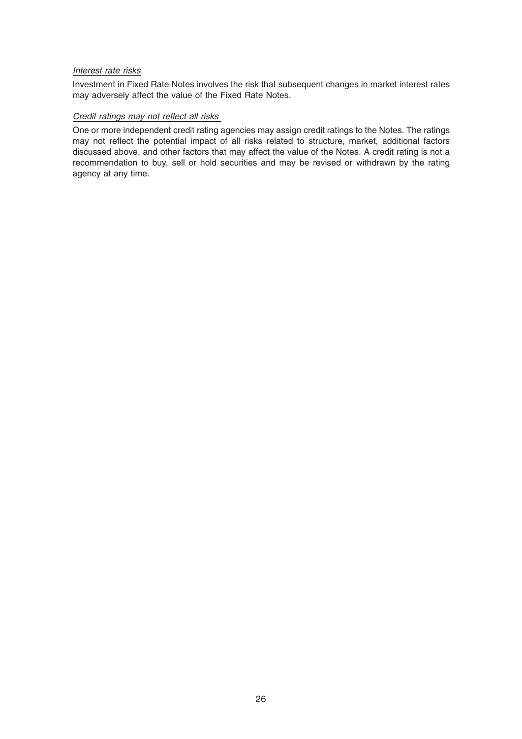#### Interest rate risks

Investment in Fixed Rate Notes involves the risk that subsequent changes in market interest rates may adversely affect the value of the Fixed Rate Notes.

#### Credit ratings may not reflect all risks

One or more independent credit rating agencies may assign credit ratings to the Notes. The ratings may not reflect the potential impact of all risks related to structure, market, additional factors discussed above, and other factors that may affect the value of the Notes. A credit rating is not a recommendation to buy, sell or hold securities and may be revised or withdrawn by the rating agency at any time.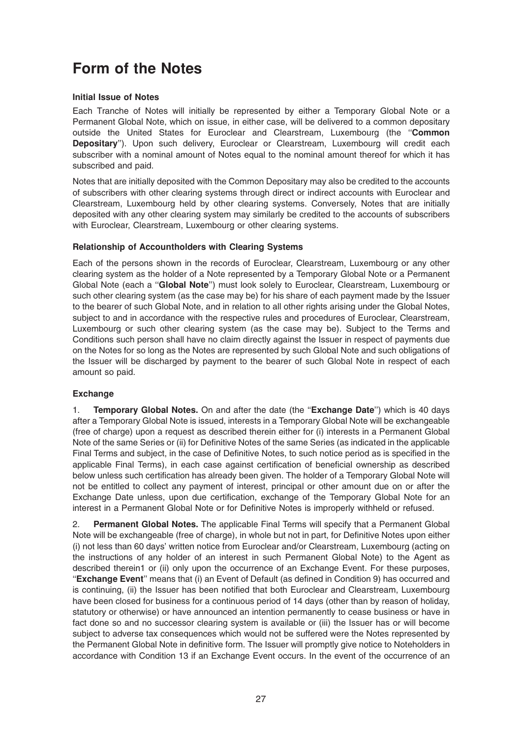# Form of the Notes

#### Initial Issue of Notes

Each Tranche of Notes will initially be represented by either a Temporary Global Note or a Permanent Global Note, which on issue, in either case, will be delivered to a common depositary outside the United States for Euroclear and Clearstream, Luxembourg (the "Common Depositary"). Upon such delivery, Euroclear or Clearstream, Luxembourg will credit each subscriber with a nominal amount of Notes equal to the nominal amount thereof for which it has subscribed and paid.

Notes that are initially deposited with the Common Depositary may also be credited to the accounts of subscribers with other clearing systems through direct or indirect accounts with Euroclear and Clearstream, Luxembourg held by other clearing systems. Conversely, Notes that are initially deposited with any other clearing system may similarly be credited to the accounts of subscribers with Euroclear, Clearstream, Luxembourg or other clearing systems.

#### Relationship of Accountholders with Clearing Systems

Each of the persons shown in the records of Euroclear, Clearstream, Luxembourg or any other clearing system as the holder of a Note represented by a Temporary Global Note or a Permanent Global Note (each a ''Global Note'') must look solely to Euroclear, Clearstream, Luxembourg or such other clearing system (as the case may be) for his share of each payment made by the Issuer to the bearer of such Global Note, and in relation to all other rights arising under the Global Notes, subject to and in accordance with the respective rules and procedures of Euroclear, Clearstream, Luxembourg or such other clearing system (as the case may be). Subject to the Terms and Conditions such person shall have no claim directly against the Issuer in respect of payments due on the Notes for so long as the Notes are represented by such Global Note and such obligations of the Issuer will be discharged by payment to the bearer of such Global Note in respect of each amount so paid.

#### **Exchange**

1. **Temporary Global Notes.** On and after the date (the "Exchange Date") which is 40 days after a Temporary Global Note is issued, interests in a Temporary Global Note will be exchangeable (free of charge) upon a request as described therein either for (i) interests in a Permanent Global Note of the same Series or (ii) for Definitive Notes of the same Series (as indicated in the applicable Final Terms and subject, in the case of Definitive Notes, to such notice period as is specified in the applicable Final Terms), in each case against certification of beneficial ownership as described below unless such certification has already been given. The holder of a Temporary Global Note will not be entitled to collect any payment of interest, principal or other amount due on or after the Exchange Date unless, upon due certification, exchange of the Temporary Global Note for an interest in a Permanent Global Note or for Definitive Notes is improperly withheld or refused.

2. Permanent Global Notes. The applicable Final Terms will specify that a Permanent Global Note will be exchangeable (free of charge), in whole but not in part, for Definitive Notes upon either (i) not less than 60 days' written notice from Euroclear and/or Clearstream, Luxembourg (acting on the instructions of any holder of an interest in such Permanent Global Note) to the Agent as described therein1 or (ii) only upon the occurrence of an Exchange Event. For these purposes, ''Exchange Event'' means that (i) an Event of Default (as defined in Condition 9) has occurred and is continuing, (ii) the Issuer has been notified that both Euroclear and Clearstream, Luxembourg have been closed for business for a continuous period of 14 days (other than by reason of holiday, statutory or otherwise) or have announced an intention permanently to cease business or have in fact done so and no successor clearing system is available or (iii) the Issuer has or will become subject to adverse tax consequences which would not be suffered were the Notes represented by the Permanent Global Note in definitive form. The Issuer will promptly give notice to Noteholders in accordance with Condition 13 if an Exchange Event occurs. In the event of the occurrence of an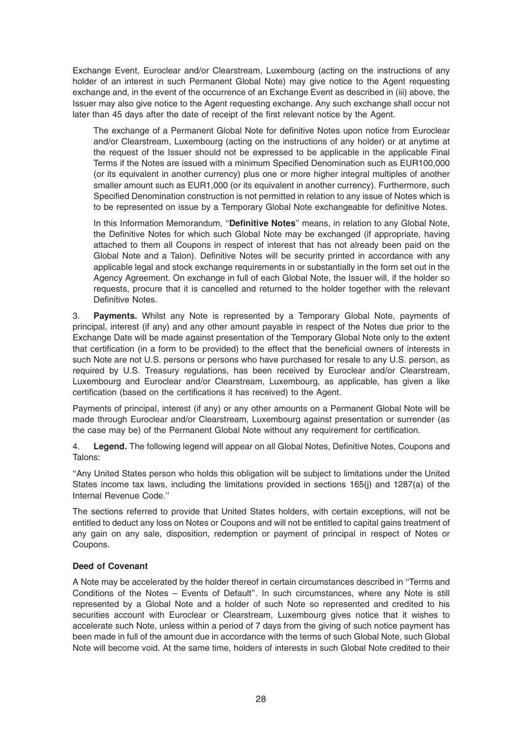Exchange Event, Euroclear and/or Clearstream, Luxembourg (acting on the instructions of any holder of an interest in such Permanent Global Note) may give notice to the Agent requesting exchange and, in the event of the occurrence of an Exchange Event as described in (iii) above, the Issuer may also give notice to the Agent requesting exchange. Any such exchange shall occur not later than 45 days after the date of receipt of the first relevant notice by the Agent.

The exchange of a Permanent Global Note for definitive Notes upon notice from Euroclear and/or Clearstream, Luxembourg (acting on the instructions of any holder) or at anytime at the request of the Issuer should not be expressed to be applicable in the applicable Final Terms if the Notes are issued with a minimum Specified Denomination such as EUR100,000 (or its equivalent in another currency) plus one or more higher integral multiples of another smaller amount such as EUR1,000 (or its equivalent in another currency). Furthermore, such Specified Denomination construction is not permitted in relation to any issue of Notes which is to be represented on issue by a Temporary Global Note exchangeable for definitive Notes.

In this Information Memorandum, "Definitive Notes" means, in relation to any Global Note, the Definitive Notes for which such Global Note may be exchanged (if appropriate, having attached to them all Coupons in respect of interest that has not already been paid on the Global Note and a Talon). Definitive Notes will be security printed in accordance with any applicable legal and stock exchange requirements in or substantially in the form set out in the Agency Agreement. On exchange in full of each Global Note, the Issuer will, if the holder so requests, procure that it is cancelled and returned to the holder together with the relevant Definitive Notes.

3. Payments. Whilst any Note is represented by a Temporary Global Note, payments of principal, interest (if any) and any other amount payable in respect of the Notes due prior to the Exchange Date will be made against presentation of the Temporary Global Note only to the extent that certification (in a form to be provided) to the effect that the beneficial owners of interests in such Note are not U.S. persons or persons who have purchased for resale to any U.S. person, as required by U.S. Treasury regulations, has been received by Euroclear and/or Clearstream, Luxembourg and Euroclear and/or Clearstream, Luxembourg, as applicable, has given a like certification (based on the certifications it has received) to the Agent.

Payments of principal, interest (if any) or any other amounts on a Permanent Global Note will be made through Euroclear and/or Clearstream, Luxembourg against presentation or surrender (as the case may be) of the Permanent Global Note without any requirement for certification.

4. Legend. The following legend will appear on all Global Notes, Definitive Notes, Coupons and Talons:

''Any United States person who holds this obligation will be subject to limitations under the United States income tax laws, including the limitations provided in sections 165(j) and 1287(a) of the Internal Revenue Code.''

The sections referred to provide that United States holders, with certain exceptions, will not be entitled to deduct any loss on Notes or Coupons and will not be entitled to capital gains treatment of any gain on any sale, disposition, redemption or payment of principal in respect of Notes or Coupons.

#### Deed of Covenant

A Note may be accelerated by the holder thereof in certain circumstances described in ''Terms and Conditions of the Notes – Events of Default''. In such circumstances, where any Note is still represented by a Global Note and a holder of such Note so represented and credited to his securities account with Euroclear or Clearstream, Luxembourg gives notice that it wishes to accelerate such Note, unless within a period of 7 days from the giving of such notice payment has been made in full of the amount due in accordance with the terms of such Global Note, such Global Note will become void. At the same time, holders of interests in such Global Note credited to their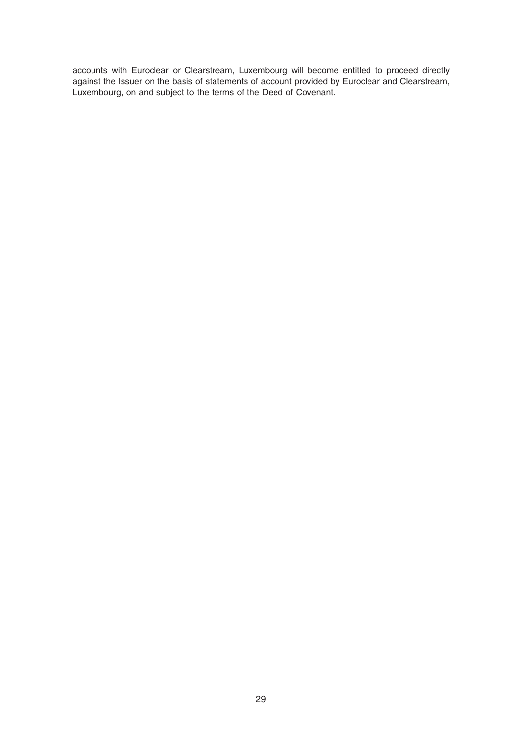accounts with Euroclear or Clearstream, Luxembourg will become entitled to proceed directly against the Issuer on the basis of statements of account provided by Euroclear and Clearstream, Luxembourg, on and subject to the terms of the Deed of Covenant.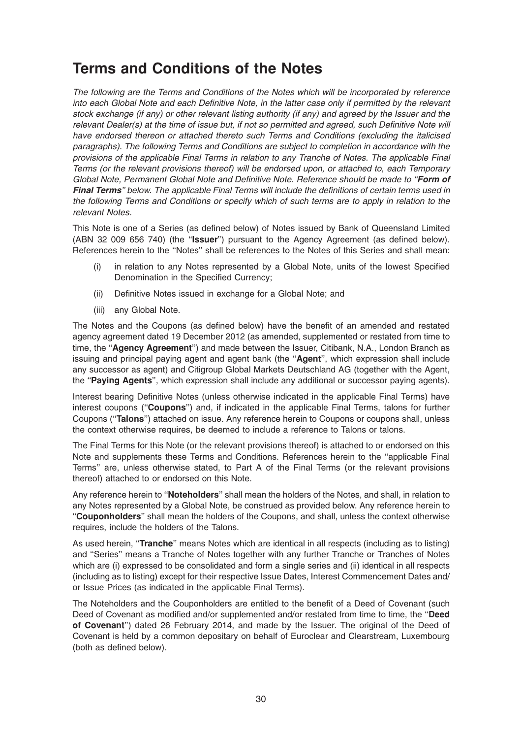### Terms and Conditions of the Notes

The following are the Terms and Conditions of the Notes which will be incorporated by reference into each Global Note and each Definitive Note, in the latter case only if permitted by the relevant stock exchange (if any) or other relevant listing authority (if any) and agreed by the Issuer and the relevant Dealer(s) at the time of issue but, if not so permitted and agreed, such Definitive Note will have endorsed thereon or attached thereto such Terms and Conditions (excluding the italicised paragraphs). The following Terms and Conditions are subject to completion in accordance with the provisions of the applicable Final Terms in relation to any Tranche of Notes. The applicable Final Terms (or the relevant provisions thereof) will be endorsed upon, or attached to, each Temporary Global Note, Permanent Global Note and Definitive Note. Reference should be made to "Form of Final Terms" below. The applicable Final Terms will include the definitions of certain terms used in the following Terms and Conditions or specify which of such terms are to apply in relation to the relevant Notes.

This Note is one of a Series (as defined below) of Notes issued by Bank of Queensland Limited (ABN 32 009 656 740) (the ''Issuer'') pursuant to the Agency Agreement (as defined below). References herein to the ''Notes'' shall be references to the Notes of this Series and shall mean:

- (i) in relation to any Notes represented by a Global Note, units of the lowest Specified Denomination in the Specified Currency;
- (ii) Definitive Notes issued in exchange for a Global Note; and
- (iii) any Global Note.

The Notes and the Coupons (as defined below) have the benefit of an amended and restated agency agreement dated 19 December 2012 (as amended, supplemented or restated from time to time, the "Agency Agreement") and made between the Issuer, Citibank, N.A., London Branch as issuing and principal paying agent and agent bank (the "Agent", which expression shall include any successor as agent) and Citigroup Global Markets Deutschland AG (together with the Agent, the ''Paying Agents'', which expression shall include any additional or successor paying agents).

Interest bearing Definitive Notes (unless otherwise indicated in the applicable Final Terms) have interest coupons ("Coupons") and, if indicated in the applicable Final Terms, talons for further Coupons (''Talons'') attached on issue. Any reference herein to Coupons or coupons shall, unless the context otherwise requires, be deemed to include a reference to Talons or talons.

The Final Terms for this Note (or the relevant provisions thereof) is attached to or endorsed on this Note and supplements these Terms and Conditions. References herein to the ''applicable Final Terms'' are, unless otherwise stated, to Part A of the Final Terms (or the relevant provisions thereof) attached to or endorsed on this Note.

Any reference herein to "Noteholders" shall mean the holders of the Notes, and shall, in relation to any Notes represented by a Global Note, be construed as provided below. Any reference herein to "Couponholders" shall mean the holders of the Coupons, and shall, unless the context otherwise requires, include the holders of the Talons.

As used herein, "Tranche" means Notes which are identical in all respects (including as to listing) and ''Series'' means a Tranche of Notes together with any further Tranche or Tranches of Notes which are (i) expressed to be consolidated and form a single series and (ii) identical in all respects (including as to listing) except for their respective Issue Dates, Interest Commencement Dates and/ or Issue Prices (as indicated in the applicable Final Terms).

The Noteholders and the Couponholders are entitled to the benefit of a Deed of Covenant (such Deed of Covenant as modified and/or supplemented and/or restated from time to time, the "Deed of Covenant'') dated 26 February 2014, and made by the Issuer. The original of the Deed of Covenant is held by a common depositary on behalf of Euroclear and Clearstream, Luxembourg (both as defined below).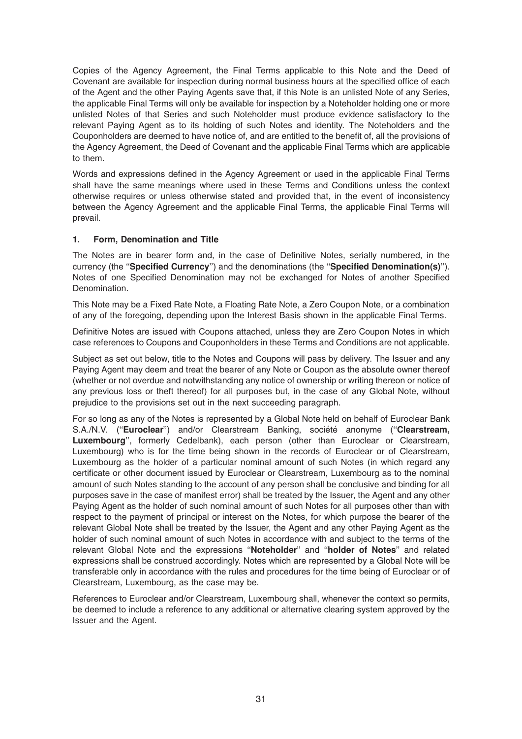Copies of the Agency Agreement, the Final Terms applicable to this Note and the Deed of Covenant are available for inspection during normal business hours at the specified office of each of the Agent and the other Paying Agents save that, if this Note is an unlisted Note of any Series, the applicable Final Terms will only be available for inspection by a Noteholder holding one or more unlisted Notes of that Series and such Noteholder must produce evidence satisfactory to the relevant Paying Agent as to its holding of such Notes and identity. The Noteholders and the Couponholders are deemed to have notice of, and are entitled to the benefit of, all the provisions of the Agency Agreement, the Deed of Covenant and the applicable Final Terms which are applicable to them.

Words and expressions defined in the Agency Agreement or used in the applicable Final Terms shall have the same meanings where used in these Terms and Conditions unless the context otherwise requires or unless otherwise stated and provided that, in the event of inconsistency between the Agency Agreement and the applicable Final Terms, the applicable Final Terms will prevail.

#### 1. Form, Denomination and Title

The Notes are in bearer form and, in the case of Definitive Notes, serially numbered, in the currency (the ''Specified Currency'') and the denominations (the ''Specified Denomination(s)''). Notes of one Specified Denomination may not be exchanged for Notes of another Specified Denomination.

This Note may be a Fixed Rate Note, a Floating Rate Note, a Zero Coupon Note, or a combination of any of the foregoing, depending upon the Interest Basis shown in the applicable Final Terms.

Definitive Notes are issued with Coupons attached, unless they are Zero Coupon Notes in which case references to Coupons and Couponholders in these Terms and Conditions are not applicable.

Subject as set out below, title to the Notes and Coupons will pass by delivery. The Issuer and any Paying Agent may deem and treat the bearer of any Note or Coupon as the absolute owner thereof (whether or not overdue and notwithstanding any notice of ownership or writing thereon or notice of any previous loss or theft thereof) for all purposes but, in the case of any Global Note, without prejudice to the provisions set out in the next succeeding paragraph.

For so long as any of the Notes is represented by a Global Note held on behalf of Euroclear Bank S.A./N.V. ("Euroclear") and/or Clearstream Banking, société anonyme ("Clearstream, Luxembourg'', formerly Cedelbank), each person (other than Euroclear or Clearstream, Luxembourg) who is for the time being shown in the records of Euroclear or of Clearstream, Luxembourg as the holder of a particular nominal amount of such Notes (in which regard any certificate or other document issued by Euroclear or Clearstream, Luxembourg as to the nominal amount of such Notes standing to the account of any person shall be conclusive and binding for all purposes save in the case of manifest error) shall be treated by the Issuer, the Agent and any other Paying Agent as the holder of such nominal amount of such Notes for all purposes other than with respect to the payment of principal or interest on the Notes, for which purpose the bearer of the relevant Global Note shall be treated by the Issuer, the Agent and any other Paying Agent as the holder of such nominal amount of such Notes in accordance with and subject to the terms of the relevant Global Note and the expressions "Noteholder" and "holder of Notes" and related expressions shall be construed accordingly. Notes which are represented by a Global Note will be transferable only in accordance with the rules and procedures for the time being of Euroclear or of Clearstream, Luxembourg, as the case may be.

References to Euroclear and/or Clearstream, Luxembourg shall, whenever the context so permits, be deemed to include a reference to any additional or alternative clearing system approved by the Issuer and the Agent.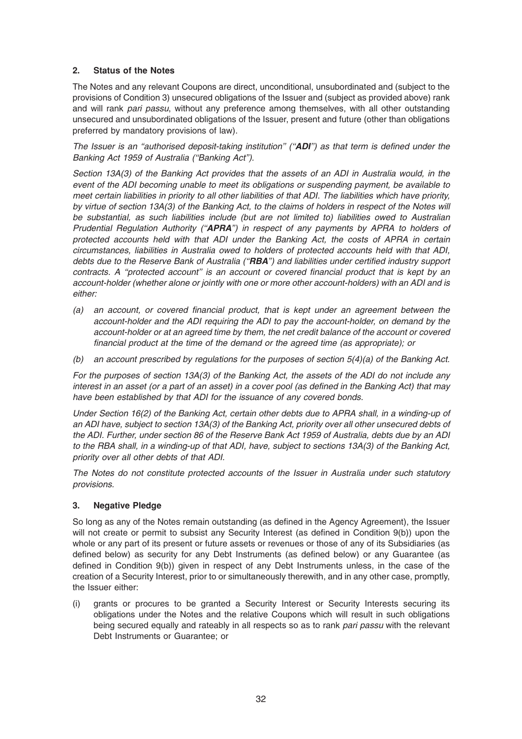#### 2. Status of the Notes

The Notes and any relevant Coupons are direct, unconditional, unsubordinated and (subject to the provisions of Condition 3) unsecured obligations of the Issuer and (subject as provided above) rank and will rank pari passu, without any preference among themselves, with all other outstanding unsecured and unsubordinated obligations of the Issuer, present and future (other than obligations preferred by mandatory provisions of law).

The Issuer is an "authorised deposit-taking institution" ("ADI") as that term is defined under the Banking Act 1959 of Australia (''Banking Act'').

Section 13A(3) of the Banking Act provides that the assets of an ADI in Australia would, in the event of the ADI becoming unable to meet its obligations or suspending payment, be available to meet certain liabilities in priority to all other liabilities of that ADI. The liabilities which have priority, by virtue of section 13A(3) of the Banking Act, to the claims of holders in respect of the Notes will be substantial, as such liabilities include (but are not limited to) liabilities owed to Australian Prudential Regulation Authority ("APRA") in respect of any payments by APRA to holders of protected accounts held with that ADI under the Banking Act, the costs of APRA in certain circumstances, liabilities in Australia owed to holders of protected accounts held with that ADI, debts due to the Reserve Bank of Australia ("RBA") and liabilities under certified industry support contracts. A ''protected account'' is an account or covered financial product that is kept by an account-holder (whether alone or jointly with one or more other account-holders) with an ADI and is either:

- (a) an account, or covered financial product, that is kept under an agreement between the account-holder and the ADI requiring the ADI to pay the account-holder, on demand by the account-holder or at an agreed time by them, the net credit balance of the account or covered financial product at the time of the demand or the agreed time (as appropriate); or
- (b) an account prescribed by regulations for the purposes of section  $5(4)(a)$  of the Banking Act.

For the purposes of section 13A(3) of the Banking Act, the assets of the ADI do not include any interest in an asset (or a part of an asset) in a cover pool (as defined in the Banking Act) that may have been established by that ADI for the issuance of any covered bonds.

Under Section 16(2) of the Banking Act, certain other debts due to APRA shall, in a winding-up of an ADI have, subject to section 13A(3) of the Banking Act, priority over all other unsecured debts of the ADI. Further, under section 86 of the Reserve Bank Act 1959 of Australia, debts due by an ADI to the RBA shall, in a winding-up of that ADI, have, subject to sections 13A(3) of the Banking Act, priority over all other debts of that ADI.

The Notes do not constitute protected accounts of the Issuer in Australia under such statutory provisions.

#### 3. Negative Pledge

So long as any of the Notes remain outstanding (as defined in the Agency Agreement), the Issuer will not create or permit to subsist any Security Interest (as defined in Condition 9(b)) upon the whole or any part of its present or future assets or revenues or those of any of its Subsidiaries (as defined below) as security for any Debt Instruments (as defined below) or any Guarantee (as defined in Condition 9(b)) given in respect of any Debt Instruments unless, in the case of the creation of a Security Interest, prior to or simultaneously therewith, and in any other case, promptly, the Issuer either:

(i) grants or procures to be granted a Security Interest or Security Interests securing its obligations under the Notes and the relative Coupons which will result in such obligations being secured equally and rateably in all respects so as to rank pari passu with the relevant Debt Instruments or Guarantee; or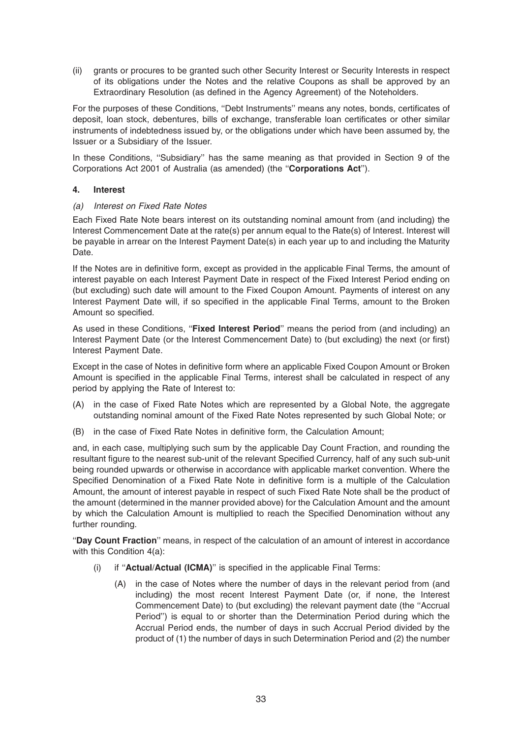(ii) grants or procures to be granted such other Security Interest or Security Interests in respect of its obligations under the Notes and the relative Coupons as shall be approved by an Extraordinary Resolution (as defined in the Agency Agreement) of the Noteholders.

For the purposes of these Conditions, ''Debt Instruments'' means any notes, bonds, certificates of deposit, loan stock, debentures, bills of exchange, transferable loan certificates or other similar instruments of indebtedness issued by, or the obligations under which have been assumed by, the Issuer or a Subsidiary of the Issuer.

In these Conditions, ''Subsidiary'' has the same meaning as that provided in Section 9 of the Corporations Act 2001 of Australia (as amended) (the ''Corporations Act'').

#### 4. Interest

#### (a) Interest on Fixed Rate Notes

Each Fixed Rate Note bears interest on its outstanding nominal amount from (and including) the Interest Commencement Date at the rate(s) per annum equal to the Rate(s) of Interest. Interest will be payable in arrear on the Interest Payment Date(s) in each year up to and including the Maturity Date.

If the Notes are in definitive form, except as provided in the applicable Final Terms, the amount of interest payable on each Interest Payment Date in respect of the Fixed Interest Period ending on (but excluding) such date will amount to the Fixed Coupon Amount. Payments of interest on any Interest Payment Date will, if so specified in the applicable Final Terms, amount to the Broken Amount so specified.

As used in these Conditions, "Fixed Interest Period" means the period from (and including) an Interest Payment Date (or the Interest Commencement Date) to (but excluding) the next (or first) Interest Payment Date.

Except in the case of Notes in definitive form where an applicable Fixed Coupon Amount or Broken Amount is specified in the applicable Final Terms, interest shall be calculated in respect of any period by applying the Rate of Interest to:

- (A) in the case of Fixed Rate Notes which are represented by a Global Note, the aggregate outstanding nominal amount of the Fixed Rate Notes represented by such Global Note; or
- (B) in the case of Fixed Rate Notes in definitive form, the Calculation Amount;

and, in each case, multiplying such sum by the applicable Day Count Fraction, and rounding the resultant figure to the nearest sub-unit of the relevant Specified Currency, half of any such sub-unit being rounded upwards or otherwise in accordance with applicable market convention. Where the Specified Denomination of a Fixed Rate Note in definitive form is a multiple of the Calculation Amount, the amount of interest payable in respect of such Fixed Rate Note shall be the product of the amount (determined in the manner provided above) for the Calculation Amount and the amount by which the Calculation Amount is multiplied to reach the Specified Denomination without any further rounding.

"Day Count Fraction" means, in respect of the calculation of an amount of interest in accordance with this Condition 4(a):

- (i) if ''Actual/Actual (ICMA)'' is specified in the applicable Final Terms:
	- (A) in the case of Notes where the number of days in the relevant period from (and including) the most recent Interest Payment Date (or, if none, the Interest Commencement Date) to (but excluding) the relevant payment date (the ''Accrual Period'') is equal to or shorter than the Determination Period during which the Accrual Period ends, the number of days in such Accrual Period divided by the product of (1) the number of days in such Determination Period and (2) the number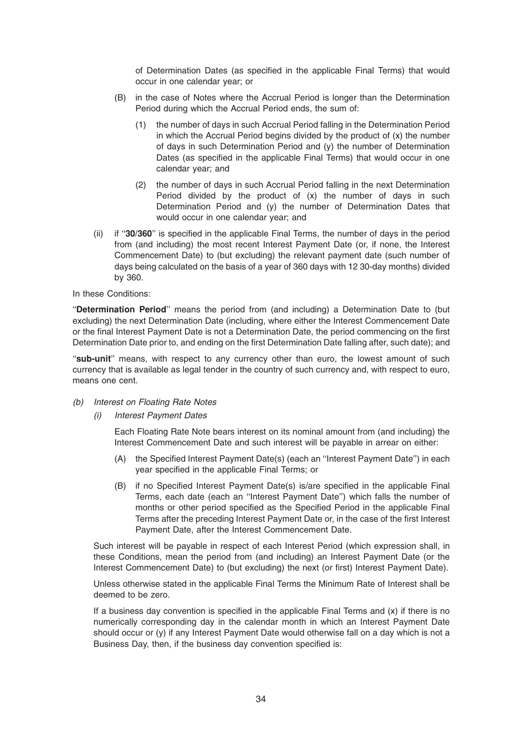of Determination Dates (as specified in the applicable Final Terms) that would occur in one calendar year; or

- (B) in the case of Notes where the Accrual Period is longer than the Determination Period during which the Accrual Period ends, the sum of:
	- (1) the number of days in such Accrual Period falling in the Determination Period in which the Accrual Period begins divided by the product of (x) the number of days in such Determination Period and (y) the number of Determination Dates (as specified in the applicable Final Terms) that would occur in one calendar year; and
	- (2) the number of days in such Accrual Period falling in the next Determination Period divided by the product of (x) the number of days in such Determination Period and (y) the number of Determination Dates that would occur in one calendar year; and
- (ii) if ''30/360'' is specified in the applicable Final Terms, the number of days in the period from (and including) the most recent Interest Payment Date (or, if none, the Interest Commencement Date) to (but excluding) the relevant payment date (such number of days being calculated on the basis of a year of 360 days with 12 30-day months) divided by 360.

In these Conditions:

"Determination Period" means the period from (and including) a Determination Date to (but excluding) the next Determination Date (including, where either the Interest Commencement Date or the final Interest Payment Date is not a Determination Date, the period commencing on the first Determination Date prior to, and ending on the first Determination Date falling after, such date); and

"sub-unit" means, with respect to any currency other than euro, the lowest amount of such currency that is available as legal tender in the country of such currency and, with respect to euro, means one cent.

- (b) Interest on Floating Rate Notes
	- (i) Interest Payment Dates

Each Floating Rate Note bears interest on its nominal amount from (and including) the Interest Commencement Date and such interest will be payable in arrear on either:

- (A) the Specified Interest Payment Date(s) (each an ''Interest Payment Date'') in each year specified in the applicable Final Terms; or
- (B) if no Specified Interest Payment Date(s) is/are specified in the applicable Final Terms, each date (each an ''Interest Payment Date'') which falls the number of months or other period specified as the Specified Period in the applicable Final Terms after the preceding Interest Payment Date or, in the case of the first Interest Payment Date, after the Interest Commencement Date.

Such interest will be payable in respect of each Interest Period (which expression shall, in these Conditions, mean the period from (and including) an Interest Payment Date (or the Interest Commencement Date) to (but excluding) the next (or first) Interest Payment Date).

Unless otherwise stated in the applicable Final Terms the Minimum Rate of Interest shall be deemed to be zero.

If a business day convention is specified in the applicable Final Terms and  $(x)$  if there is no numerically corresponding day in the calendar month in which an Interest Payment Date should occur or (y) if any Interest Payment Date would otherwise fall on a day which is not a Business Day, then, if the business day convention specified is: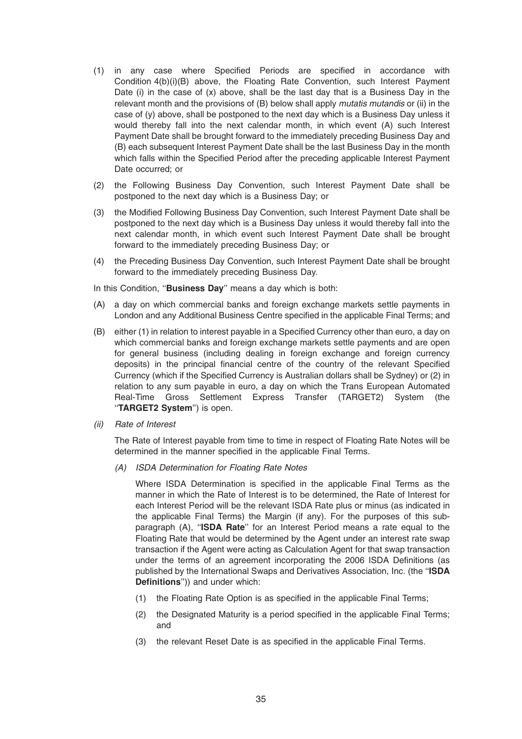- (1) in any case where Specified Periods are specified in accordance with Condition 4(b)(i)(B) above, the Floating Rate Convention, such Interest Payment Date (i) in the case of  $(x)$  above, shall be the last day that is a Business Day in the relevant month and the provisions of (B) below shall apply *mutatis mutandis* or (ii) in the case of (y) above, shall be postponed to the next day which is a Business Day unless it would thereby fall into the next calendar month, in which event (A) such Interest Payment Date shall be brought forward to the immediately preceding Business Day and (B) each subsequent Interest Payment Date shall be the last Business Day in the month which falls within the Specified Period after the preceding applicable Interest Payment Date occurred; or
- (2) the Following Business Day Convention, such Interest Payment Date shall be postponed to the next day which is a Business Day; or
- (3) the Modified Following Business Day Convention, such Interest Payment Date shall be postponed to the next day which is a Business Day unless it would thereby fall into the next calendar month, in which event such Interest Payment Date shall be brought forward to the immediately preceding Business Day; or
- (4) the Preceding Business Day Convention, such Interest Payment Date shall be brought forward to the immediately preceding Business Day.

In this Condition, "Business Day" means a day which is both:

- (A) a day on which commercial banks and foreign exchange markets settle payments in London and any Additional Business Centre specified in the applicable Final Terms; and
- (B) either (1) in relation to interest payable in a Specified Currency other than euro, a day on which commercial banks and foreign exchange markets settle payments and are open for general business (including dealing in foreign exchange and foreign currency deposits) in the principal financial centre of the country of the relevant Specified Currency (which if the Specified Currency is Australian dollars shall be Sydney) or (2) in relation to any sum payable in euro, a day on which the Trans European Automated Real-Time Gross Settlement Express Transfer (TARGET2) System (the "TARGET2 System") is open.
- (ii) Rate of Interest

The Rate of Interest payable from time to time in respect of Floating Rate Notes will be determined in the manner specified in the applicable Final Terms.

(A) ISDA Determination for Floating Rate Notes

Where ISDA Determination is specified in the applicable Final Terms as the manner in which the Rate of Interest is to be determined, the Rate of Interest for each Interest Period will be the relevant ISDA Rate plus or minus (as indicated in the applicable Final Terms) the Margin (if any). For the purposes of this subparagraph (A), "ISDA Rate" for an Interest Period means a rate equal to the Floating Rate that would be determined by the Agent under an interest rate swap transaction if the Agent were acting as Calculation Agent for that swap transaction under the terms of an agreement incorporating the 2006 ISDA Definitions (as published by the International Swaps and Derivatives Association, Inc. (the ''ISDA Definitions'')) and under which:

- (1) the Floating Rate Option is as specified in the applicable Final Terms;
- (2) the Designated Maturity is a period specified in the applicable Final Terms; and
- (3) the relevant Reset Date is as specified in the applicable Final Terms.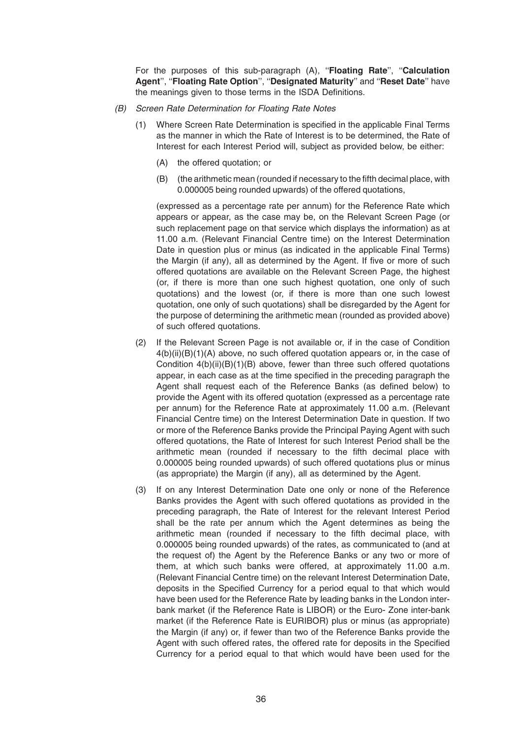For the purposes of this sub-paragraph (A), "Floating Rate", "Calculation Agent", "Floating Rate Option", "Designated Maturity" and "Reset Date" have the meanings given to those terms in the ISDA Definitions.

- (B) Screen Rate Determination for Floating Rate Notes
	- (1) Where Screen Rate Determination is specified in the applicable Final Terms as the manner in which the Rate of Interest is to be determined, the Rate of Interest for each Interest Period will, subject as provided below, be either:
		- (A) the offered quotation; or
		- (B) (the arithmetic mean (rounded if necessary to the fifth decimal place, with 0.000005 being rounded upwards) of the offered quotations,

(expressed as a percentage rate per annum) for the Reference Rate which appears or appear, as the case may be, on the Relevant Screen Page (or such replacement page on that service which displays the information) as at 11.00 a.m. (Relevant Financial Centre time) on the Interest Determination Date in question plus or minus (as indicated in the applicable Final Terms) the Margin (if any), all as determined by the Agent. If five or more of such offered quotations are available on the Relevant Screen Page, the highest (or, if there is more than one such highest quotation, one only of such quotations) and the lowest (or, if there is more than one such lowest quotation, one only of such quotations) shall be disregarded by the Agent for the purpose of determining the arithmetic mean (rounded as provided above) of such offered quotations.

- (2) If the Relevant Screen Page is not available or, if in the case of Condition  $4(b)(ii)(B)(1)(A)$  above, no such offered quotation appears or, in the case of Condition 4(b)(ii)(B)(1)(B) above, fewer than three such offered quotations appear, in each case as at the time specified in the preceding paragraph the Agent shall request each of the Reference Banks (as defined below) to provide the Agent with its offered quotation (expressed as a percentage rate per annum) for the Reference Rate at approximately 11.00 a.m. (Relevant Financial Centre time) on the Interest Determination Date in question. If two or more of the Reference Banks provide the Principal Paying Agent with such offered quotations, the Rate of Interest for such Interest Period shall be the arithmetic mean (rounded if necessary to the fifth decimal place with 0.000005 being rounded upwards) of such offered quotations plus or minus (as appropriate) the Margin (if any), all as determined by the Agent.
- (3) If on any Interest Determination Date one only or none of the Reference Banks provides the Agent with such offered quotations as provided in the preceding paragraph, the Rate of Interest for the relevant Interest Period shall be the rate per annum which the Agent determines as being the arithmetic mean (rounded if necessary to the fifth decimal place, with 0.000005 being rounded upwards) of the rates, as communicated to (and at the request of) the Agent by the Reference Banks or any two or more of them, at which such banks were offered, at approximately 11.00 a.m. (Relevant Financial Centre time) on the relevant Interest Determination Date, deposits in the Specified Currency for a period equal to that which would have been used for the Reference Rate by leading banks in the London interbank market (if the Reference Rate is LIBOR) or the Euro- Zone inter-bank market (if the Reference Rate is EURIBOR) plus or minus (as appropriate) the Margin (if any) or, if fewer than two of the Reference Banks provide the Agent with such offered rates, the offered rate for deposits in the Specified Currency for a period equal to that which would have been used for the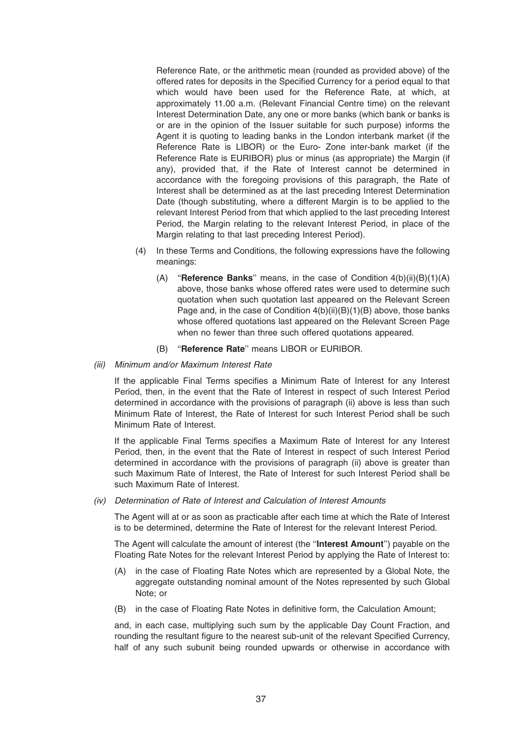Reference Rate, or the arithmetic mean (rounded as provided above) of the offered rates for deposits in the Specified Currency for a period equal to that which would have been used for the Reference Rate, at which, at approximately 11.00 a.m. (Relevant Financial Centre time) on the relevant Interest Determination Date, any one or more banks (which bank or banks is or are in the opinion of the Issuer suitable for such purpose) informs the Agent it is quoting to leading banks in the London interbank market (if the Reference Rate is LIBOR) or the Euro- Zone inter-bank market (if the Reference Rate is EURIBOR) plus or minus (as appropriate) the Margin (if any), provided that, if the Rate of Interest cannot be determined in accordance with the foregoing provisions of this paragraph, the Rate of Interest shall be determined as at the last preceding Interest Determination Date (though substituting, where a different Margin is to be applied to the relevant Interest Period from that which applied to the last preceding Interest Period, the Margin relating to the relevant Interest Period, in place of the Margin relating to that last preceding Interest Period).

- (4) In these Terms and Conditions, the following expressions have the following meanings:
	- (A) "**Reference Banks**" means, in the case of Condition  $4(b)(ii)(B)(1)(A)$ above, those banks whose offered rates were used to determine such quotation when such quotation last appeared on the Relevant Screen Page and, in the case of Condition  $4(b)(ii)(B)(1)(B)$  above, those banks whose offered quotations last appeared on the Relevant Screen Page when no fewer than three such offered quotations appeared.
	- (B) ''Reference Rate'' means LIBOR or EURIBOR.
- (iii) Minimum and/or Maximum Interest Rate

If the applicable Final Terms specifies a Minimum Rate of Interest for any Interest Period, then, in the event that the Rate of Interest in respect of such Interest Period determined in accordance with the provisions of paragraph (ii) above is less than such Minimum Rate of Interest, the Rate of Interest for such Interest Period shall be such Minimum Rate of Interest.

If the applicable Final Terms specifies a Maximum Rate of Interest for any Interest Period, then, in the event that the Rate of Interest in respect of such Interest Period determined in accordance with the provisions of paragraph (ii) above is greater than such Maximum Rate of Interest, the Rate of Interest for such Interest Period shall be such Maximum Rate of Interest.

(iv) Determination of Rate of Interest and Calculation of Interest Amounts

The Agent will at or as soon as practicable after each time at which the Rate of Interest is to be determined, determine the Rate of Interest for the relevant Interest Period.

The Agent will calculate the amount of interest (the "Interest Amount") payable on the Floating Rate Notes for the relevant Interest Period by applying the Rate of Interest to:

- (A) in the case of Floating Rate Notes which are represented by a Global Note, the aggregate outstanding nominal amount of the Notes represented by such Global Note; or
- (B) in the case of Floating Rate Notes in definitive form, the Calculation Amount;

and, in each case, multiplying such sum by the applicable Day Count Fraction, and rounding the resultant figure to the nearest sub-unit of the relevant Specified Currency, half of any such subunit being rounded upwards or otherwise in accordance with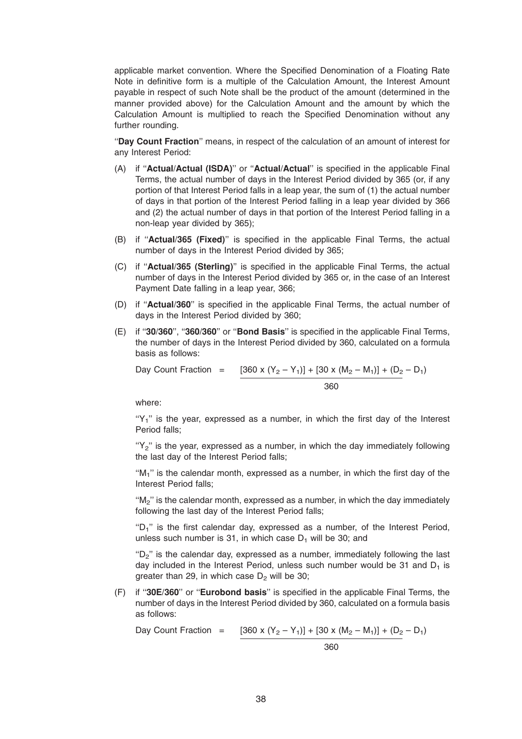applicable market convention. Where the Specified Denomination of a Floating Rate Note in definitive form is a multiple of the Calculation Amount, the Interest Amount payable in respect of such Note shall be the product of the amount (determined in the manner provided above) for the Calculation Amount and the amount by which the Calculation Amount is multiplied to reach the Specified Denomination without any further rounding.

"Day Count Fraction" means, in respect of the calculation of an amount of interest for any Interest Period:

- (A) if "Actual/Actual (ISDA)" or "Actual/Actual" is specified in the applicable Final Terms, the actual number of days in the Interest Period divided by 365 (or, if any portion of that Interest Period falls in a leap year, the sum of (1) the actual number of days in that portion of the Interest Period falling in a leap year divided by 366 and (2) the actual number of days in that portion of the Interest Period falling in a non-leap year divided by 365);
- (B) if ''Actual/365 (Fixed)'' is specified in the applicable Final Terms, the actual number of days in the Interest Period divided by 365;
- (C) if ''Actual/365 (Sterling)'' is specified in the applicable Final Terms, the actual number of days in the Interest Period divided by 365 or, in the case of an Interest Payment Date falling in a leap year, 366;
- (D) if ''Actual/360'' is specified in the applicable Final Terms, the actual number of days in the Interest Period divided by 360;
- (E) if ''30/360'', ''360/360'' or ''Bond Basis'' is specified in the applicable Final Terms, the number of days in the Interest Period divided by 360, calculated on a formula basis as follows:

Day Count Fraction =  $[360 \times (Y_2 - Y_1)] + [30 \times (M_2 - M_1)] + (D_2 - D_1)$ 360

where:

" $Y_1$ " is the year, expressed as a number, in which the first day of the Interest Period falls:

" $Y_2$ " is the year, expressed as a number, in which the day immediately following the last day of the Interest Period falls;

''M1'' is the calendar month, expressed as a number, in which the first day of the Interest Period falls;

''M2'' is the calendar month, expressed as a number, in which the day immediately following the last day of the Interest Period falls;

" $D_1$ " is the first calendar day, expressed as a number, of the Interest Period, unless such number is 31, in which case  $D_1$  will be 30; and

"D<sub>2</sub>" is the calendar day, expressed as a number, immediately following the last day included in the Interest Period, unless such number would be 31 and  $D_1$  is greater than 29, in which case  $D<sub>2</sub>$  will be 30;

(F) if ''30E/360'' or ''Eurobond basis'' is specified in the applicable Final Terms, the number of days in the Interest Period divided by 360, calculated on a formula basis as follows:

Day Count Fraction =  $\frac{[360 \times (Y_2 - Y_1)] + [30 \times (M_2 - M_1)] + (D_2 - D_1)}{200}$ 360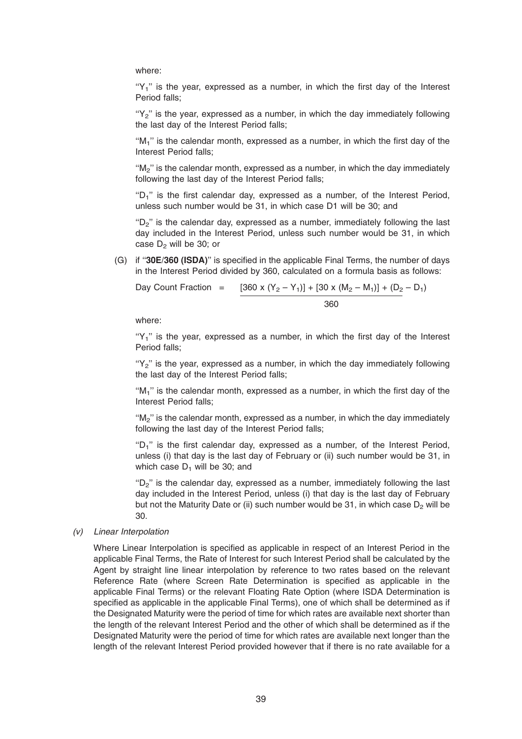where:

" $Y_1$ " is the year, expressed as a number, in which the first day of the Interest Period falls;

" $Y_2$ " is the year, expressed as a number, in which the day immediately following the last day of the Interest Period falls;

" $M_1$ " is the calendar month, expressed as a number, in which the first day of the Interest Period falls;

" $M_2$ " is the calendar month, expressed as a number, in which the day immediately following the last day of the Interest Period falls;

" $D_1$ " is the first calendar day, expressed as a number, of the Interest Period, unless such number would be 31, in which case D1 will be 30; and

" $D_2$ " is the calendar day, expressed as a number, immediately following the last day included in the Interest Period, unless such number would be 31, in which case  $D<sub>2</sub>$  will be 30; or

(G) if ''30E/360 (ISDA)'' is specified in the applicable Final Terms, the number of days in the Interest Period divided by 360, calculated on a formula basis as follows:

Day Count Fraction = 
$$
\frac{[360 \times (Y_2 - Y_1)] + [30 \times (M_2 - M_1)] + (D_2 - D_1)}{360}
$$

where:

" $Y_1$ " is the year, expressed as a number, in which the first day of the Interest Period falls;

" $Y_2$ " is the year, expressed as a number, in which the day immediately following the last day of the Interest Period falls;

" $M_1$ " is the calendar month, expressed as a number, in which the first day of the Interest Period falls;

"M<sub>2</sub>" is the calendar month, expressed as a number, in which the day immediately following the last day of the Interest Period falls;

" $D_1$ " is the first calendar day, expressed as a number, of the Interest Period, unless (i) that day is the last day of February or (ii) such number would be 31, in which case  $D_1$  will be 30; and

" $D<sub>2</sub>$ " is the calendar day, expressed as a number, immediately following the last day included in the Interest Period, unless (i) that day is the last day of February but not the Maturity Date or (ii) such number would be 31, in which case  $D<sub>2</sub>$  will be 30.

#### (v) Linear Interpolation

Where Linear Interpolation is specified as applicable in respect of an Interest Period in the applicable Final Terms, the Rate of Interest for such Interest Period shall be calculated by the Agent by straight line linear interpolation by reference to two rates based on the relevant Reference Rate (where Screen Rate Determination is specified as applicable in the applicable Final Terms) or the relevant Floating Rate Option (where ISDA Determination is specified as applicable in the applicable Final Terms), one of which shall be determined as if the Designated Maturity were the period of time for which rates are available next shorter than the length of the relevant Interest Period and the other of which shall be determined as if the Designated Maturity were the period of time for which rates are available next longer than the length of the relevant Interest Period provided however that if there is no rate available for a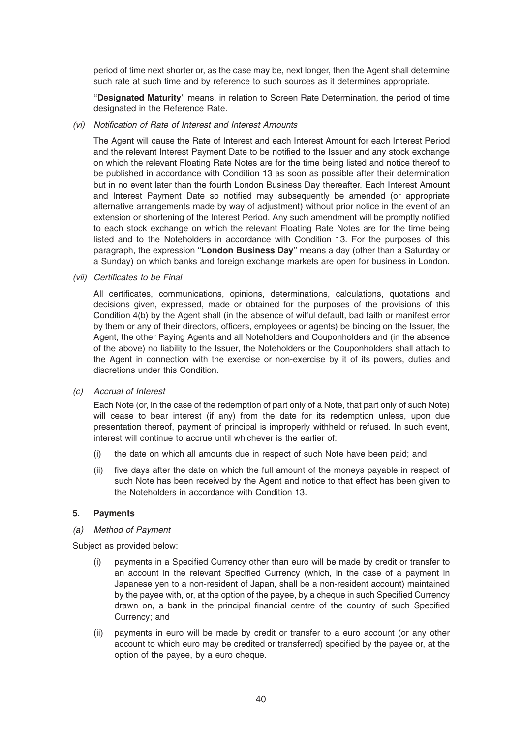period of time next shorter or, as the case may be, next longer, then the Agent shall determine such rate at such time and by reference to such sources as it determines appropriate.

"Designated Maturity" means, in relation to Screen Rate Determination, the period of time designated in the Reference Rate.

#### (vi) Notification of Rate of Interest and Interest Amounts

The Agent will cause the Rate of Interest and each Interest Amount for each Interest Period and the relevant Interest Payment Date to be notified to the Issuer and any stock exchange on which the relevant Floating Rate Notes are for the time being listed and notice thereof to be published in accordance with Condition 13 as soon as possible after their determination but in no event later than the fourth London Business Day thereafter. Each Interest Amount and Interest Payment Date so notified may subsequently be amended (or appropriate alternative arrangements made by way of adjustment) without prior notice in the event of an extension or shortening of the Interest Period. Any such amendment will be promptly notified to each stock exchange on which the relevant Floating Rate Notes are for the time being listed and to the Noteholders in accordance with Condition 13. For the purposes of this paragraph, the expression "London Business Day" means a day (other than a Saturday or a Sunday) on which banks and foreign exchange markets are open for business in London.

(vii) Certificates to be Final

All certificates, communications, opinions, determinations, calculations, quotations and decisions given, expressed, made or obtained for the purposes of the provisions of this Condition 4(b) by the Agent shall (in the absence of wilful default, bad faith or manifest error by them or any of their directors, officers, employees or agents) be binding on the Issuer, the Agent, the other Paying Agents and all Noteholders and Couponholders and (in the absence of the above) no liability to the Issuer, the Noteholders or the Couponholders shall attach to the Agent in connection with the exercise or non-exercise by it of its powers, duties and discretions under this Condition.

# (c) Accrual of Interest

Each Note (or, in the case of the redemption of part only of a Note, that part only of such Note) will cease to bear interest (if any) from the date for its redemption unless, upon due presentation thereof, payment of principal is improperly withheld or refused. In such event, interest will continue to accrue until whichever is the earlier of:

- (i) the date on which all amounts due in respect of such Note have been paid; and
- (ii) five days after the date on which the full amount of the moneys payable in respect of such Note has been received by the Agent and notice to that effect has been given to the Noteholders in accordance with Condition 13.

# 5. Payments

#### (a) Method of Payment

Subject as provided below:

- (i) payments in a Specified Currency other than euro will be made by credit or transfer to an account in the relevant Specified Currency (which, in the case of a payment in Japanese yen to a non-resident of Japan, shall be a non-resident account) maintained by the payee with, or, at the option of the payee, by a cheque in such Specified Currency drawn on, a bank in the principal financial centre of the country of such Specified Currency; and
- (ii) payments in euro will be made by credit or transfer to a euro account (or any other account to which euro may be credited or transferred) specified by the payee or, at the option of the payee, by a euro cheque.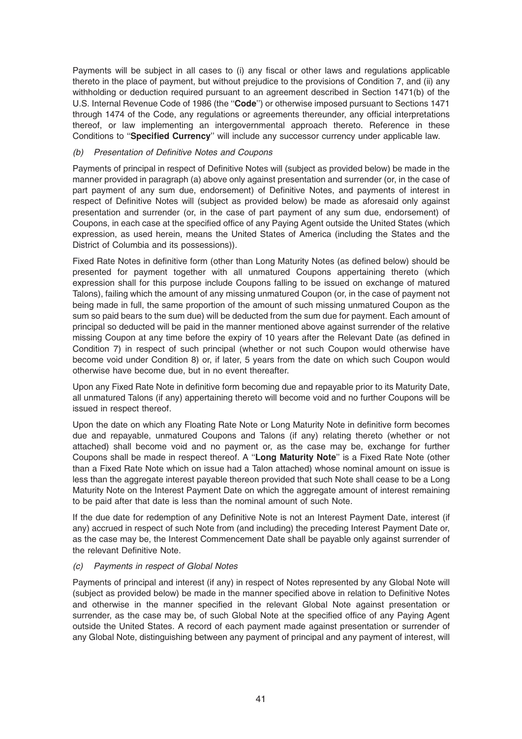Payments will be subject in all cases to (i) any fiscal or other laws and regulations applicable thereto in the place of payment, but without prejudice to the provisions of Condition 7, and (ii) any withholding or deduction required pursuant to an agreement described in Section 1471(b) of the U.S. Internal Revenue Code of 1986 (the ''Code'') or otherwise imposed pursuant to Sections 1471 through 1474 of the Code, any regulations or agreements thereunder, any official interpretations thereof, or law implementing an intergovernmental approach thereto. Reference in these Conditions to ''Specified Currency'' will include any successor currency under applicable law.

## (b) Presentation of Definitive Notes and Coupons

Payments of principal in respect of Definitive Notes will (subject as provided below) be made in the manner provided in paragraph (a) above only against presentation and surrender (or, in the case of part payment of any sum due, endorsement) of Definitive Notes, and payments of interest in respect of Definitive Notes will (subject as provided below) be made as aforesaid only against presentation and surrender (or, in the case of part payment of any sum due, endorsement) of Coupons, in each case at the specified office of any Paying Agent outside the United States (which expression, as used herein, means the United States of America (including the States and the District of Columbia and its possessions)).

Fixed Rate Notes in definitive form (other than Long Maturity Notes (as defined below) should be presented for payment together with all unmatured Coupons appertaining thereto (which expression shall for this purpose include Coupons falling to be issued on exchange of matured Talons), failing which the amount of any missing unmatured Coupon (or, in the case of payment not being made in full, the same proportion of the amount of such missing unmatured Coupon as the sum so paid bears to the sum due) will be deducted from the sum due for payment. Each amount of principal so deducted will be paid in the manner mentioned above against surrender of the relative missing Coupon at any time before the expiry of 10 years after the Relevant Date (as defined in Condition 7) in respect of such principal (whether or not such Coupon would otherwise have become void under Condition 8) or, if later, 5 years from the date on which such Coupon would otherwise have become due, but in no event thereafter.

Upon any Fixed Rate Note in definitive form becoming due and repayable prior to its Maturity Date, all unmatured Talons (if any) appertaining thereto will become void and no further Coupons will be issued in respect thereof.

Upon the date on which any Floating Rate Note or Long Maturity Note in definitive form becomes due and repayable, unmatured Coupons and Talons (if any) relating thereto (whether or not attached) shall become void and no payment or, as the case may be, exchange for further Coupons shall be made in respect thereof. A ''Long Maturity Note'' is a Fixed Rate Note (other than a Fixed Rate Note which on issue had a Talon attached) whose nominal amount on issue is less than the aggregate interest payable thereon provided that such Note shall cease to be a Long Maturity Note on the Interest Payment Date on which the aggregate amount of interest remaining to be paid after that date is less than the nominal amount of such Note.

If the due date for redemption of any Definitive Note is not an Interest Payment Date, interest (if any) accrued in respect of such Note from (and including) the preceding Interest Payment Date or, as the case may be, the Interest Commencement Date shall be payable only against surrender of the relevant Definitive Note.

# (c) Payments in respect of Global Notes

Payments of principal and interest (if any) in respect of Notes represented by any Global Note will (subject as provided below) be made in the manner specified above in relation to Definitive Notes and otherwise in the manner specified in the relevant Global Note against presentation or surrender, as the case may be, of such Global Note at the specified office of any Paying Agent outside the United States. A record of each payment made against presentation or surrender of any Global Note, distinguishing between any payment of principal and any payment of interest, will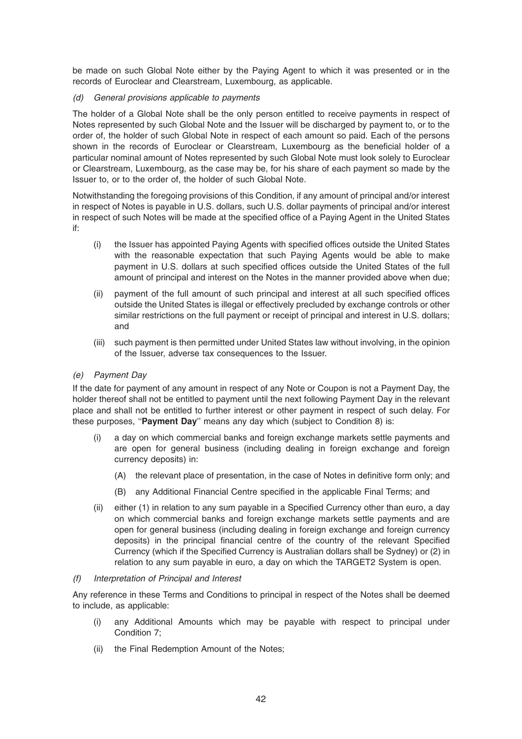be made on such Global Note either by the Paying Agent to which it was presented or in the records of Euroclear and Clearstream, Luxembourg, as applicable.

#### (d) General provisions applicable to payments

The holder of a Global Note shall be the only person entitled to receive payments in respect of Notes represented by such Global Note and the Issuer will be discharged by payment to, or to the order of, the holder of such Global Note in respect of each amount so paid. Each of the persons shown in the records of Euroclear or Clearstream, Luxembourg as the beneficial holder of a particular nominal amount of Notes represented by such Global Note must look solely to Euroclear or Clearstream, Luxembourg, as the case may be, for his share of each payment so made by the Issuer to, or to the order of, the holder of such Global Note.

Notwithstanding the foregoing provisions of this Condition, if any amount of principal and/or interest in respect of Notes is payable in U.S. dollars, such U.S. dollar payments of principal and/or interest in respect of such Notes will be made at the specified office of a Paying Agent in the United States if:

- (i) the Issuer has appointed Paying Agents with specified offices outside the United States with the reasonable expectation that such Paying Agents would be able to make payment in U.S. dollars at such specified offices outside the United States of the full amount of principal and interest on the Notes in the manner provided above when due;
- (ii) payment of the full amount of such principal and interest at all such specified offices outside the United States is illegal or effectively precluded by exchange controls or other similar restrictions on the full payment or receipt of principal and interest in U.S. dollars; and
- (iii) such payment is then permitted under United States law without involving, in the opinion of the Issuer, adverse tax consequences to the Issuer.

## (e) Payment Day

If the date for payment of any amount in respect of any Note or Coupon is not a Payment Day, the holder thereof shall not be entitled to payment until the next following Payment Day in the relevant place and shall not be entitled to further interest or other payment in respect of such delay. For these purposes, "Payment Day" means any day which (subject to Condition 8) is:

- (i) a day on which commercial banks and foreign exchange markets settle payments and are open for general business (including dealing in foreign exchange and foreign currency deposits) in:
	- (A) the relevant place of presentation, in the case of Notes in definitive form only; and
	- (B) any Additional Financial Centre specified in the applicable Final Terms; and
- (ii) either (1) in relation to any sum payable in a Specified Currency other than euro, a day on which commercial banks and foreign exchange markets settle payments and are open for general business (including dealing in foreign exchange and foreign currency deposits) in the principal financial centre of the country of the relevant Specified Currency (which if the Specified Currency is Australian dollars shall be Sydney) or (2) in relation to any sum payable in euro, a day on which the TARGET2 System is open.

#### (f) Interpretation of Principal and Interest

Any reference in these Terms and Conditions to principal in respect of the Notes shall be deemed to include, as applicable:

- (i) any Additional Amounts which may be payable with respect to principal under Condition 7;
- (ii) the Final Redemption Amount of the Notes;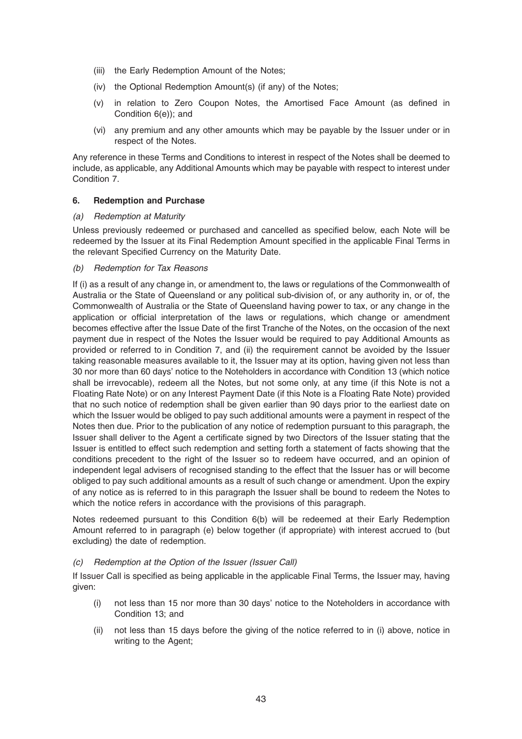- (iii) the Early Redemption Amount of the Notes;
- (iv) the Optional Redemption Amount(s) (if any) of the Notes;
- (v) in relation to Zero Coupon Notes, the Amortised Face Amount (as defined in Condition 6(e)); and
- (vi) any premium and any other amounts which may be payable by the Issuer under or in respect of the Notes.

Any reference in these Terms and Conditions to interest in respect of the Notes shall be deemed to include, as applicable, any Additional Amounts which may be payable with respect to interest under Condition 7.

#### 6. Redemption and Purchase

#### (a) Redemption at Maturity

Unless previously redeemed or purchased and cancelled as specified below, each Note will be redeemed by the Issuer at its Final Redemption Amount specified in the applicable Final Terms in the relevant Specified Currency on the Maturity Date.

#### (b) Redemption for Tax Reasons

If (i) as a result of any change in, or amendment to, the laws or regulations of the Commonwealth of Australia or the State of Queensland or any political sub-division of, or any authority in, or of, the Commonwealth of Australia or the State of Queensland having power to tax, or any change in the application or official interpretation of the laws or regulations, which change or amendment becomes effective after the Issue Date of the first Tranche of the Notes, on the occasion of the next payment due in respect of the Notes the Issuer would be required to pay Additional Amounts as provided or referred to in Condition 7, and (ii) the requirement cannot be avoided by the Issuer taking reasonable measures available to it, the Issuer may at its option, having given not less than 30 nor more than 60 days' notice to the Noteholders in accordance with Condition 13 (which notice shall be irrevocable), redeem all the Notes, but not some only, at any time (if this Note is not a Floating Rate Note) or on any Interest Payment Date (if this Note is a Floating Rate Note) provided that no such notice of redemption shall be given earlier than 90 days prior to the earliest date on which the Issuer would be obliged to pay such additional amounts were a payment in respect of the Notes then due. Prior to the publication of any notice of redemption pursuant to this paragraph, the Issuer shall deliver to the Agent a certificate signed by two Directors of the Issuer stating that the Issuer is entitled to effect such redemption and setting forth a statement of facts showing that the conditions precedent to the right of the Issuer so to redeem have occurred, and an opinion of independent legal advisers of recognised standing to the effect that the Issuer has or will become obliged to pay such additional amounts as a result of such change or amendment. Upon the expiry of any notice as is referred to in this paragraph the Issuer shall be bound to redeem the Notes to which the notice refers in accordance with the provisions of this paragraph.

Notes redeemed pursuant to this Condition 6(b) will be redeemed at their Early Redemption Amount referred to in paragraph (e) below together (if appropriate) with interest accrued to (but excluding) the date of redemption.

#### (c) Redemption at the Option of the Issuer (Issuer Call)

If Issuer Call is specified as being applicable in the applicable Final Terms, the Issuer may, having given:

- (i) not less than 15 nor more than 30 days' notice to the Noteholders in accordance with Condition 13; and
- (ii) not less than 15 days before the giving of the notice referred to in (i) above, notice in writing to the Agent;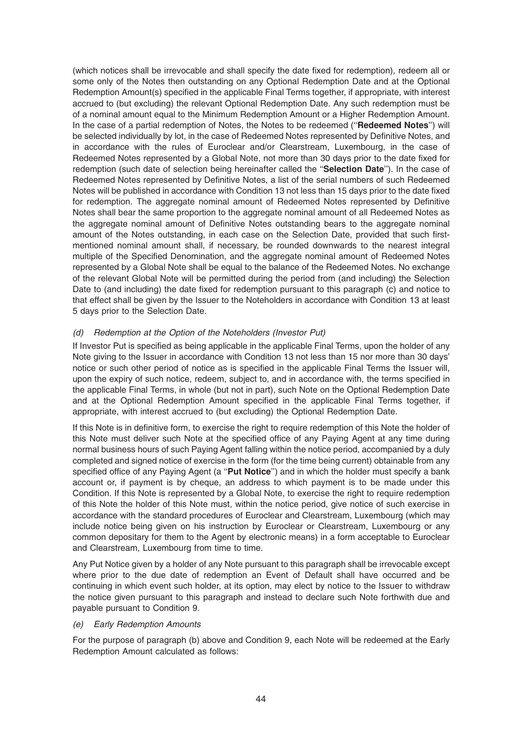(which notices shall be irrevocable and shall specify the date fixed for redemption), redeem all or some only of the Notes then outstanding on any Optional Redemption Date and at the Optional Redemption Amount(s) specified in the applicable Final Terms together, if appropriate, with interest accrued to (but excluding) the relevant Optional Redemption Date. Any such redemption must be of a nominal amount equal to the Minimum Redemption Amount or a Higher Redemption Amount. In the case of a partial redemption of Notes, the Notes to be redeemed ("Redeemed Notes") will be selected individually by lot, in the case of Redeemed Notes represented by Definitive Notes, and in accordance with the rules of Euroclear and/or Clearstream, Luxembourg, in the case of Redeemed Notes represented by a Global Note, not more than 30 days prior to the date fixed for redemption (such date of selection being hereinafter called the "Selection Date"). In the case of Redeemed Notes represented by Definitive Notes, a list of the serial numbers of such Redeemed Notes will be published in accordance with Condition 13 not less than 15 days prior to the date fixed for redemption. The aggregate nominal amount of Redeemed Notes represented by Definitive Notes shall bear the same proportion to the aggregate nominal amount of all Redeemed Notes as the aggregate nominal amount of Definitive Notes outstanding bears to the aggregate nominal amount of the Notes outstanding, in each case on the Selection Date, provided that such firstmentioned nominal amount shall, if necessary, be rounded downwards to the nearest integral multiple of the Specified Denomination, and the aggregate nominal amount of Redeemed Notes represented by a Global Note shall be equal to the balance of the Redeemed Notes. No exchange of the relevant Global Note will be permitted during the period from (and including) the Selection Date to (and including) the date fixed for redemption pursuant to this paragraph (c) and notice to that effect shall be given by the Issuer to the Noteholders in accordance with Condition 13 at least 5 days prior to the Selection Date.

# (d) Redemption at the Option of the Noteholders (Investor Put)

If Investor Put is specified as being applicable in the applicable Final Terms, upon the holder of any Note giving to the Issuer in accordance with Condition 13 not less than 15 nor more than 30 days' notice or such other period of notice as is specified in the applicable Final Terms the Issuer will, upon the expiry of such notice, redeem, subject to, and in accordance with, the terms specified in the applicable Final Terms, in whole (but not in part), such Note on the Optional Redemption Date and at the Optional Redemption Amount specified in the applicable Final Terms together, if appropriate, with interest accrued to (but excluding) the Optional Redemption Date.

If this Note is in definitive form, to exercise the right to require redemption of this Note the holder of this Note must deliver such Note at the specified office of any Paying Agent at any time during normal business hours of such Paying Agent falling within the notice period, accompanied by a duly completed and signed notice of exercise in the form (for the time being current) obtainable from any specified office of any Paying Agent (a "Put Notice") and in which the holder must specify a bank account or, if payment is by cheque, an address to which payment is to be made under this Condition. If this Note is represented by a Global Note, to exercise the right to require redemption of this Note the holder of this Note must, within the notice period, give notice of such exercise in accordance with the standard procedures of Euroclear and Clearstream, Luxembourg (which may include notice being given on his instruction by Euroclear or Clearstream, Luxembourg or any common depositary for them to the Agent by electronic means) in a form acceptable to Euroclear and Clearstream, Luxembourg from time to time.

Any Put Notice given by a holder of any Note pursuant to this paragraph shall be irrevocable except where prior to the due date of redemption an Event of Default shall have occurred and be continuing in which event such holder, at its option, may elect by notice to the Issuer to withdraw the notice given pursuant to this paragraph and instead to declare such Note forthwith due and payable pursuant to Condition 9.

# (e) Early Redemption Amounts

For the purpose of paragraph (b) above and Condition 9, each Note will be redeemed at the Early Redemption Amount calculated as follows: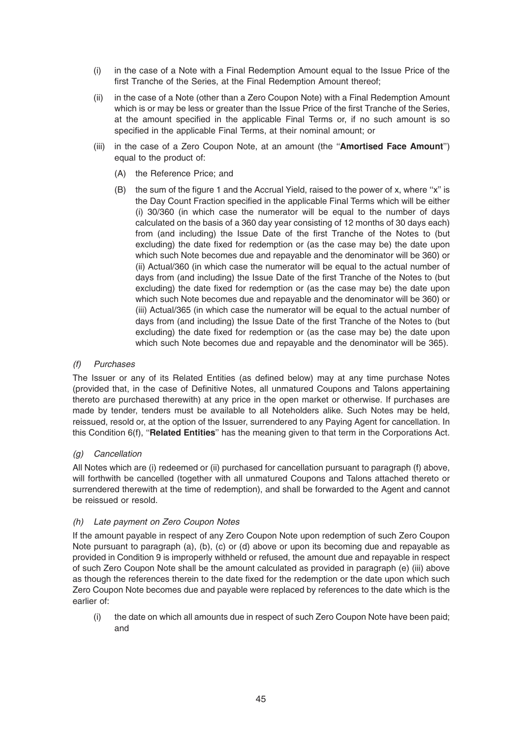- (i) in the case of a Note with a Final Redemption Amount equal to the Issue Price of the first Tranche of the Series, at the Final Redemption Amount thereof;
- (ii) in the case of a Note (other than a Zero Coupon Note) with a Final Redemption Amount which is or may be less or greater than the Issue Price of the first Tranche of the Series, at the amount specified in the applicable Final Terms or, if no such amount is so specified in the applicable Final Terms, at their nominal amount; or
- (iii) in the case of a Zero Coupon Note, at an amount (the "**Amortised Face Amount**") equal to the product of:
	- (A) the Reference Price; and
	- (B) the sum of the figure 1 and the Accrual Yield, raised to the power of x, where ''x'' is the Day Count Fraction specified in the applicable Final Terms which will be either (i) 30/360 (in which case the numerator will be equal to the number of days calculated on the basis of a 360 day year consisting of 12 months of 30 days each) from (and including) the Issue Date of the first Tranche of the Notes to (but excluding) the date fixed for redemption or (as the case may be) the date upon which such Note becomes due and repayable and the denominator will be 360) or (ii) Actual/360 (in which case the numerator will be equal to the actual number of days from (and including) the Issue Date of the first Tranche of the Notes to (but excluding) the date fixed for redemption or (as the case may be) the date upon which such Note becomes due and repayable and the denominator will be 360) or (iii) Actual/365 (in which case the numerator will be equal to the actual number of days from (and including) the Issue Date of the first Tranche of the Notes to (but excluding) the date fixed for redemption or (as the case may be) the date upon which such Note becomes due and repayable and the denominator will be 365).

#### (f) Purchases

The Issuer or any of its Related Entities (as defined below) may at any time purchase Notes (provided that, in the case of Definitive Notes, all unmatured Coupons and Talons appertaining thereto are purchased therewith) at any price in the open market or otherwise. If purchases are made by tender, tenders must be available to all Noteholders alike. Such Notes may be held, reissued, resold or, at the option of the Issuer, surrendered to any Paying Agent for cancellation. In this Condition 6(f), "Related Entities" has the meaning given to that term in the Corporations Act.

#### (g) Cancellation

All Notes which are (i) redeemed or (ii) purchased for cancellation pursuant to paragraph (f) above, will forthwith be cancelled (together with all unmatured Coupons and Talons attached thereto or surrendered therewith at the time of redemption), and shall be forwarded to the Agent and cannot be reissued or resold.

# (h) Late payment on Zero Coupon Notes

If the amount payable in respect of any Zero Coupon Note upon redemption of such Zero Coupon Note pursuant to paragraph (a), (b), (c) or (d) above or upon its becoming due and repayable as provided in Condition 9 is improperly withheld or refused, the amount due and repayable in respect of such Zero Coupon Note shall be the amount calculated as provided in paragraph (e) (iii) above as though the references therein to the date fixed for the redemption or the date upon which such Zero Coupon Note becomes due and payable were replaced by references to the date which is the earlier of:

(i) the date on which all amounts due in respect of such Zero Coupon Note have been paid; and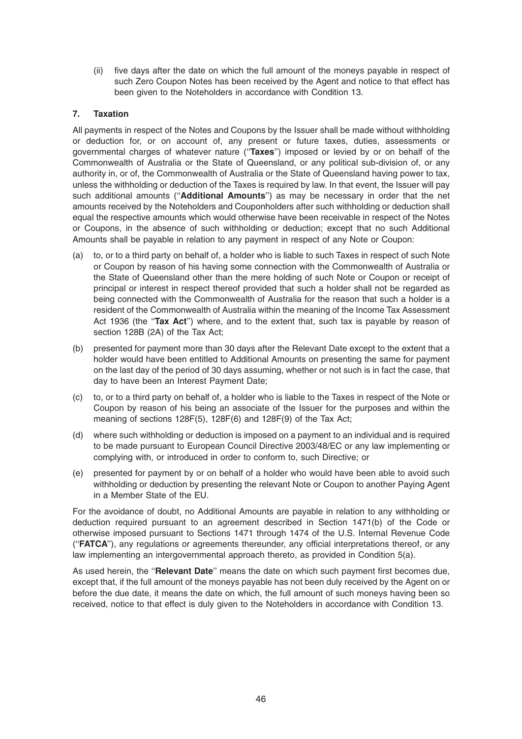(ii) five days after the date on which the full amount of the moneys payable in respect of such Zero Coupon Notes has been received by the Agent and notice to that effect has been given to the Noteholders in accordance with Condition 13.

# 7. Taxation

All payments in respect of the Notes and Coupons by the Issuer shall be made without withholding or deduction for, or on account of, any present or future taxes, duties, assessments or governmental charges of whatever nature ("Taxes") imposed or levied by or on behalf of the Commonwealth of Australia or the State of Queensland, or any political sub-division of, or any authority in, or of, the Commonwealth of Australia or the State of Queensland having power to tax, unless the withholding or deduction of the Taxes is required by law. In that event, the Issuer will pay such additional amounts ("Additional Amounts") as may be necessary in order that the net amounts received by the Noteholders and Couponholders after such withholding or deduction shall equal the respective amounts which would otherwise have been receivable in respect of the Notes or Coupons, in the absence of such withholding or deduction; except that no such Additional Amounts shall be payable in relation to any payment in respect of any Note or Coupon:

- (a) to, or to a third party on behalf of, a holder who is liable to such Taxes in respect of such Note or Coupon by reason of his having some connection with the Commonwealth of Australia or the State of Queensland other than the mere holding of such Note or Coupon or receipt of principal or interest in respect thereof provided that such a holder shall not be regarded as being connected with the Commonwealth of Australia for the reason that such a holder is a resident of the Commonwealth of Australia within the meaning of the Income Tax Assessment Act 1936 (the "Tax Act") where, and to the extent that, such tax is payable by reason of section 128B (2A) of the Tax Act;
- (b) presented for payment more than 30 days after the Relevant Date except to the extent that a holder would have been entitled to Additional Amounts on presenting the same for payment on the last day of the period of 30 days assuming, whether or not such is in fact the case, that day to have been an Interest Payment Date;
- (c) to, or to a third party on behalf of, a holder who is liable to the Taxes in respect of the Note or Coupon by reason of his being an associate of the Issuer for the purposes and within the meaning of sections 128F(5), 128F(6) and 128F(9) of the Tax Act;
- (d) where such withholding or deduction is imposed on a payment to an individual and is required to be made pursuant to European Council Directive 2003/48/EC or any law implementing or complying with, or introduced in order to conform to, such Directive; or
- (e) presented for payment by or on behalf of a holder who would have been able to avoid such withholding or deduction by presenting the relevant Note or Coupon to another Paying Agent in a Member State of the EU.

For the avoidance of doubt, no Additional Amounts are payable in relation to any withholding or deduction required pursuant to an agreement described in Section 1471(b) of the Code or otherwise imposed pursuant to Sections 1471 through 1474 of the U.S. Internal Revenue Code ("**FATCA**"), any regulations or agreements thereunder, any official interpretations thereof, or any law implementing an intergovernmental approach thereto, as provided in Condition 5(a).

As used herein, the "Relevant Date" means the date on which such payment first becomes due, except that, if the full amount of the moneys payable has not been duly received by the Agent on or before the due date, it means the date on which, the full amount of such moneys having been so received, notice to that effect is duly given to the Noteholders in accordance with Condition 13.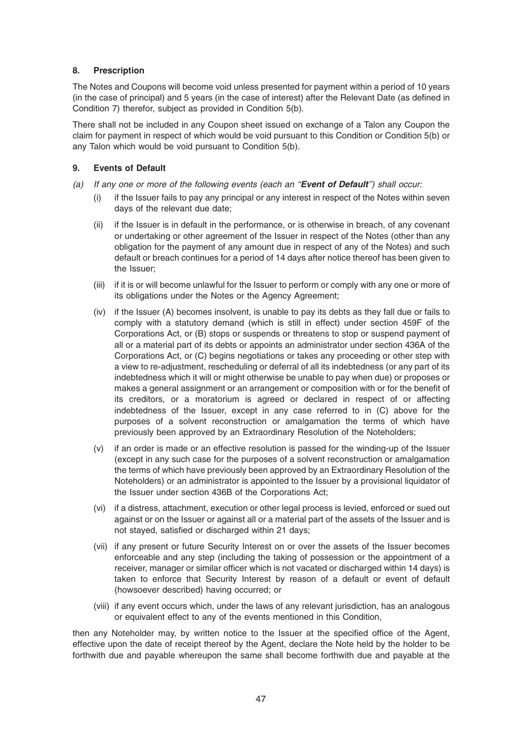# 8. Prescription

The Notes and Coupons will become void unless presented for payment within a period of 10 years (in the case of principal) and 5 years (in the case of interest) after the Relevant Date (as defined in Condition 7) therefor, subject as provided in Condition 5(b).

There shall not be included in any Coupon sheet issued on exchange of a Talon any Coupon the claim for payment in respect of which would be void pursuant to this Condition or Condition 5(b) or any Talon which would be void pursuant to Condition 5(b).

# 9. Events of Default

- (a) If any one or more of the following events (each an "Event of Default") shall occur:
	- (i) if the Issuer fails to pay any principal or any interest in respect of the Notes within seven days of the relevant due date;
	- (ii) if the Issuer is in default in the performance, or is otherwise in breach, of any covenant or undertaking or other agreement of the Issuer in respect of the Notes (other than any obligation for the payment of any amount due in respect of any of the Notes) and such default or breach continues for a period of 14 days after notice thereof has been given to the Issuer;
	- (iii) if it is or will become unlawful for the Issuer to perform or comply with any one or more of its obligations under the Notes or the Agency Agreement;
	- (iv) if the Issuer (A) becomes insolvent, is unable to pay its debts as they fall due or fails to comply with a statutory demand (which is still in effect) under section 459F of the Corporations Act, or (B) stops or suspends or threatens to stop or suspend payment of all or a material part of its debts or appoints an administrator under section 436A of the Corporations Act, or (C) begins negotiations or takes any proceeding or other step with a view to re-adjustment, rescheduling or deferral of all its indebtedness (or any part of its indebtedness which it will or might otherwise be unable to pay when due) or proposes or makes a general assignment or an arrangement or composition with or for the benefit of its creditors, or a moratorium is agreed or declared in respect of or affecting indebtedness of the Issuer, except in any case referred to in (C) above for the purposes of a solvent reconstruction or amalgamation the terms of which have previously been approved by an Extraordinary Resolution of the Noteholders;
	- (v) if an order is made or an effective resolution is passed for the winding-up of the Issuer (except in any such case for the purposes of a solvent reconstruction or amalgamation the terms of which have previously been approved by an Extraordinary Resolution of the Noteholders) or an administrator is appointed to the Issuer by a provisional liquidator of the Issuer under section 436B of the Corporations Act;
	- (vi) if a distress, attachment, execution or other legal process is levied, enforced or sued out against or on the Issuer or against all or a material part of the assets of the Issuer and is not stayed, satisfied or discharged within 21 days;
	- (vii) if any present or future Security Interest on or over the assets of the Issuer becomes enforceable and any step (including the taking of possession or the appointment of a receiver, manager or similar officer which is not vacated or discharged within 14 days) is taken to enforce that Security Interest by reason of a default or event of default (howsoever described) having occurred; or
	- (viii) if any event occurs which, under the laws of any relevant jurisdiction, has an analogous or equivalent effect to any of the events mentioned in this Condition,

then any Noteholder may, by written notice to the Issuer at the specified office of the Agent, effective upon the date of receipt thereof by the Agent, declare the Note held by the holder to be forthwith due and payable whereupon the same shall become forthwith due and payable at the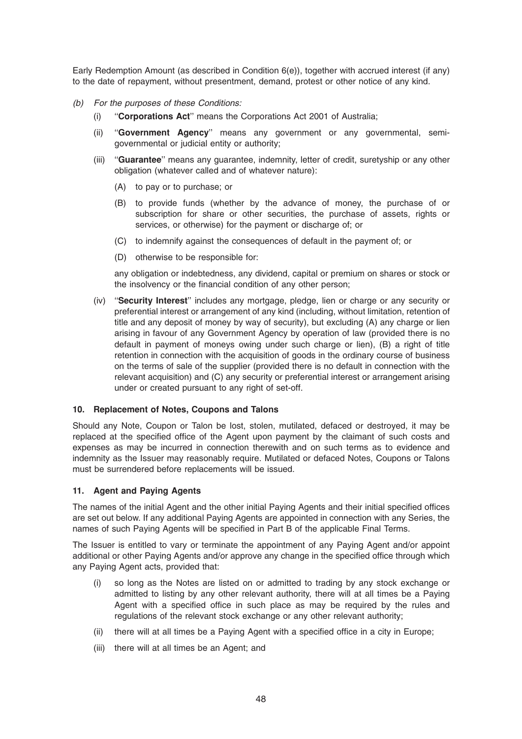Early Redemption Amount (as described in Condition 6(e)), together with accrued interest (if any) to the date of repayment, without presentment, demand, protest or other notice of any kind.

- (b) For the purposes of these Conditions:
	- (i) ''Corporations Act'' means the Corporations Act 2001 of Australia;
	- (ii) ''Government Agency'' means any government or any governmental, semigovernmental or judicial entity or authority;
	- (iii) ''Guarantee'' means any guarantee, indemnity, letter of credit, suretyship or any other obligation (whatever called and of whatever nature):
		- (A) to pay or to purchase; or
		- (B) to provide funds (whether by the advance of money, the purchase of or subscription for share or other securities, the purchase of assets, rights or services, or otherwise) for the payment or discharge of; or
		- (C) to indemnify against the consequences of default in the payment of; or
		- (D) otherwise to be responsible for:

any obligation or indebtedness, any dividend, capital or premium on shares or stock or the insolvency or the financial condition of any other person;

(iv) ''Security Interest'' includes any mortgage, pledge, lien or charge or any security or preferential interest or arrangement of any kind (including, without limitation, retention of title and any deposit of money by way of security), but excluding (A) any charge or lien arising in favour of any Government Agency by operation of law (provided there is no default in payment of moneys owing under such charge or lien), (B) a right of title retention in connection with the acquisition of goods in the ordinary course of business on the terms of sale of the supplier (provided there is no default in connection with the relevant acquisition) and (C) any security or preferential interest or arrangement arising under or created pursuant to any right of set-off.

### 10. Replacement of Notes, Coupons and Talons

Should any Note, Coupon or Talon be lost, stolen, mutilated, defaced or destroyed, it may be replaced at the specified office of the Agent upon payment by the claimant of such costs and expenses as may be incurred in connection therewith and on such terms as to evidence and indemnity as the Issuer may reasonably require. Mutilated or defaced Notes, Coupons or Talons must be surrendered before replacements will be issued.

# 11. Agent and Paying Agents

The names of the initial Agent and the other initial Paying Agents and their initial specified offices are set out below. If any additional Paying Agents are appointed in connection with any Series, the names of such Paying Agents will be specified in Part B of the applicable Final Terms.

The Issuer is entitled to vary or terminate the appointment of any Paying Agent and/or appoint additional or other Paying Agents and/or approve any change in the specified office through which any Paying Agent acts, provided that:

- (i) so long as the Notes are listed on or admitted to trading by any stock exchange or admitted to listing by any other relevant authority, there will at all times be a Paying Agent with a specified office in such place as may be required by the rules and regulations of the relevant stock exchange or any other relevant authority;
- (ii) there will at all times be a Paying Agent with a specified office in a city in Europe;
- (iii) there will at all times be an Agent; and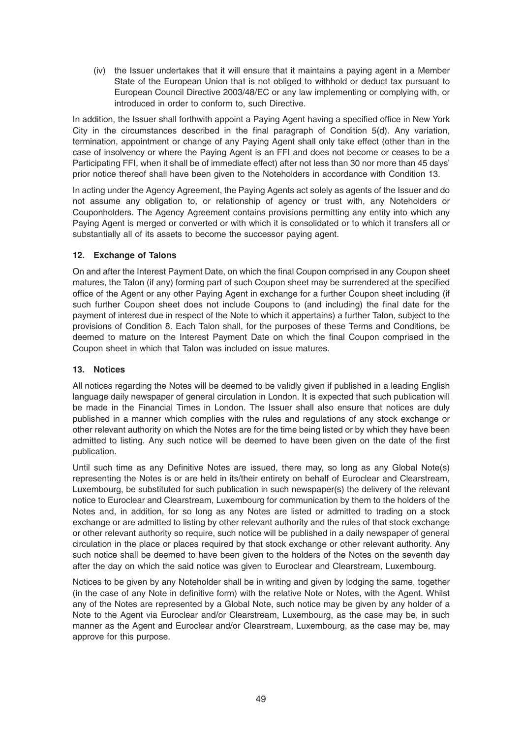(iv) the Issuer undertakes that it will ensure that it maintains a paying agent in a Member State of the European Union that is not obliged to withhold or deduct tax pursuant to European Council Directive 2003/48/EC or any law implementing or complying with, or introduced in order to conform to, such Directive.

In addition, the Issuer shall forthwith appoint a Paying Agent having a specified office in New York City in the circumstances described in the final paragraph of Condition 5(d). Any variation, termination, appointment or change of any Paying Agent shall only take effect (other than in the case of insolvency or where the Paying Agent is an FFI and does not become or ceases to be a Participating FFI, when it shall be of immediate effect) after not less than 30 nor more than 45 days' prior notice thereof shall have been given to the Noteholders in accordance with Condition 13.

In acting under the Agency Agreement, the Paying Agents act solely as agents of the Issuer and do not assume any obligation to, or relationship of agency or trust with, any Noteholders or Couponholders. The Agency Agreement contains provisions permitting any entity into which any Paying Agent is merged or converted or with which it is consolidated or to which it transfers all or substantially all of its assets to become the successor paying agent.

# 12. Exchange of Talons

On and after the Interest Payment Date, on which the final Coupon comprised in any Coupon sheet matures, the Talon (if any) forming part of such Coupon sheet may be surrendered at the specified office of the Agent or any other Paying Agent in exchange for a further Coupon sheet including (if such further Coupon sheet does not include Coupons to (and including) the final date for the payment of interest due in respect of the Note to which it appertains) a further Talon, subject to the provisions of Condition 8. Each Talon shall, for the purposes of these Terms and Conditions, be deemed to mature on the Interest Payment Date on which the final Coupon comprised in the Coupon sheet in which that Talon was included on issue matures.

# 13. Notices

All notices regarding the Notes will be deemed to be validly given if published in a leading English language daily newspaper of general circulation in London. It is expected that such publication will be made in the Financial Times in London. The Issuer shall also ensure that notices are duly published in a manner which complies with the rules and regulations of any stock exchange or other relevant authority on which the Notes are for the time being listed or by which they have been admitted to listing. Any such notice will be deemed to have been given on the date of the first publication.

Until such time as any Definitive Notes are issued, there may, so long as any Global Note(s) representing the Notes is or are held in its/their entirety on behalf of Euroclear and Clearstream, Luxembourg, be substituted for such publication in such newspaper(s) the delivery of the relevant notice to Euroclear and Clearstream, Luxembourg for communication by them to the holders of the Notes and, in addition, for so long as any Notes are listed or admitted to trading on a stock exchange or are admitted to listing by other relevant authority and the rules of that stock exchange or other relevant authority so require, such notice will be published in a daily newspaper of general circulation in the place or places required by that stock exchange or other relevant authority. Any such notice shall be deemed to have been given to the holders of the Notes on the seventh day after the day on which the said notice was given to Euroclear and Clearstream, Luxembourg.

Notices to be given by any Noteholder shall be in writing and given by lodging the same, together (in the case of any Note in definitive form) with the relative Note or Notes, with the Agent. Whilst any of the Notes are represented by a Global Note, such notice may be given by any holder of a Note to the Agent via Euroclear and/or Clearstream, Luxembourg, as the case may be, in such manner as the Agent and Euroclear and/or Clearstream, Luxembourg, as the case may be, may approve for this purpose.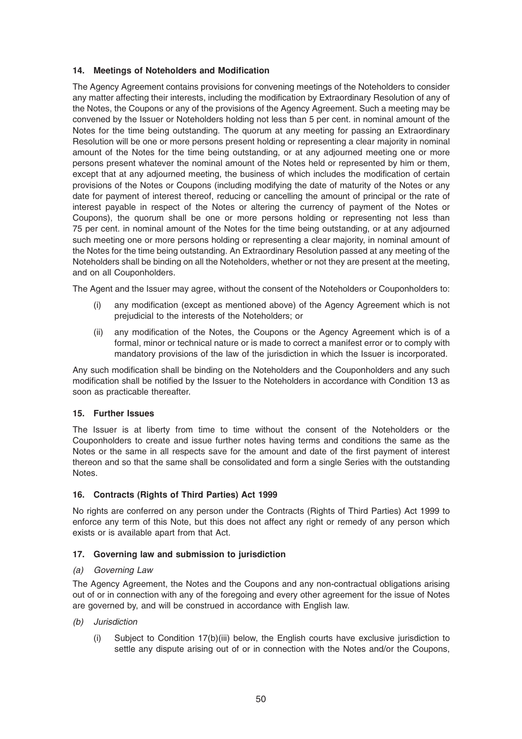## 14. Meetings of Noteholders and Modification

The Agency Agreement contains provisions for convening meetings of the Noteholders to consider any matter affecting their interests, including the modification by Extraordinary Resolution of any of the Notes, the Coupons or any of the provisions of the Agency Agreement. Such a meeting may be convened by the Issuer or Noteholders holding not less than 5 per cent. in nominal amount of the Notes for the time being outstanding. The quorum at any meeting for passing an Extraordinary Resolution will be one or more persons present holding or representing a clear majority in nominal amount of the Notes for the time being outstanding, or at any adjourned meeting one or more persons present whatever the nominal amount of the Notes held or represented by him or them, except that at any adjourned meeting, the business of which includes the modification of certain provisions of the Notes or Coupons (including modifying the date of maturity of the Notes or any date for payment of interest thereof, reducing or cancelling the amount of principal or the rate of interest payable in respect of the Notes or altering the currency of payment of the Notes or Coupons), the quorum shall be one or more persons holding or representing not less than 75 per cent. in nominal amount of the Notes for the time being outstanding, or at any adjourned such meeting one or more persons holding or representing a clear majority, in nominal amount of the Notes for the time being outstanding. An Extraordinary Resolution passed at any meeting of the Noteholders shall be binding on all the Noteholders, whether or not they are present at the meeting, and on all Couponholders.

The Agent and the Issuer may agree, without the consent of the Noteholders or Couponholders to:

- any modification (except as mentioned above) of the Agency Agreement which is not prejudicial to the interests of the Noteholders; or
- (ii) any modification of the Notes, the Coupons or the Agency Agreement which is of a formal, minor or technical nature or is made to correct a manifest error or to comply with mandatory provisions of the law of the jurisdiction in which the Issuer is incorporated.

Any such modification shall be binding on the Noteholders and the Couponholders and any such modification shall be notified by the Issuer to the Noteholders in accordance with Condition 13 as soon as practicable thereafter.

# 15. Further Issues

The Issuer is at liberty from time to time without the consent of the Noteholders or the Couponholders to create and issue further notes having terms and conditions the same as the Notes or the same in all respects save for the amount and date of the first payment of interest thereon and so that the same shall be consolidated and form a single Series with the outstanding Notes.

# 16. Contracts (Rights of Third Parties) Act 1999

No rights are conferred on any person under the Contracts (Rights of Third Parties) Act 1999 to enforce any term of this Note, but this does not affect any right or remedy of any person which exists or is available apart from that Act.

# 17. Governing law and submission to jurisdiction

#### (a) Governing Law

The Agency Agreement, the Notes and the Coupons and any non-contractual obligations arising out of or in connection with any of the foregoing and every other agreement for the issue of Notes are governed by, and will be construed in accordance with English law.

- (b) Jurisdiction
	- (i) Subject to Condition 17(b)(iii) below, the English courts have exclusive jurisdiction to settle any dispute arising out of or in connection with the Notes and/or the Coupons,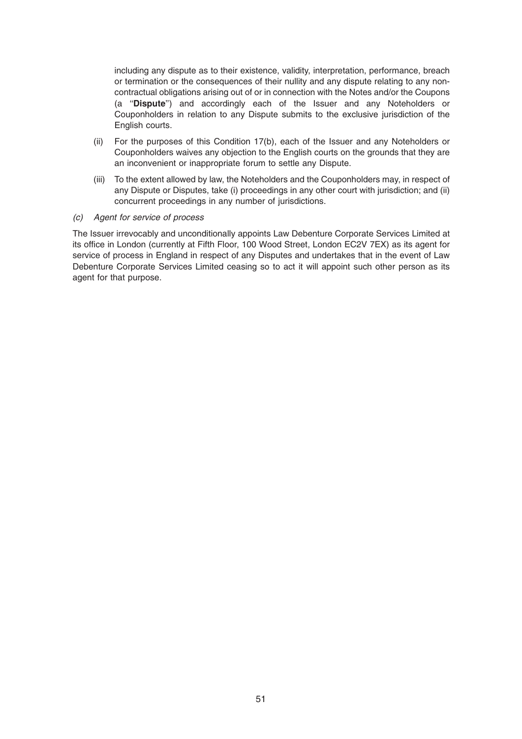including any dispute as to their existence, validity, interpretation, performance, breach or termination or the consequences of their nullity and any dispute relating to any noncontractual obligations arising out of or in connection with the Notes and/or the Coupons (a ''Dispute'') and accordingly each of the Issuer and any Noteholders or Couponholders in relation to any Dispute submits to the exclusive jurisdiction of the English courts.

- (ii) For the purposes of this Condition 17(b), each of the Issuer and any Noteholders or Couponholders waives any objection to the English courts on the grounds that they are an inconvenient or inappropriate forum to settle any Dispute.
- (iii) To the extent allowed by law, the Noteholders and the Couponholders may, in respect of any Dispute or Disputes, take (i) proceedings in any other court with jurisdiction; and (ii) concurrent proceedings in any number of jurisdictions.

#### (c) Agent for service of process

The Issuer irrevocably and unconditionally appoints Law Debenture Corporate Services Limited at its office in London (currently at Fifth Floor, 100 Wood Street, London EC2V 7EX) as its agent for service of process in England in respect of any Disputes and undertakes that in the event of Law Debenture Corporate Services Limited ceasing so to act it will appoint such other person as its agent for that purpose.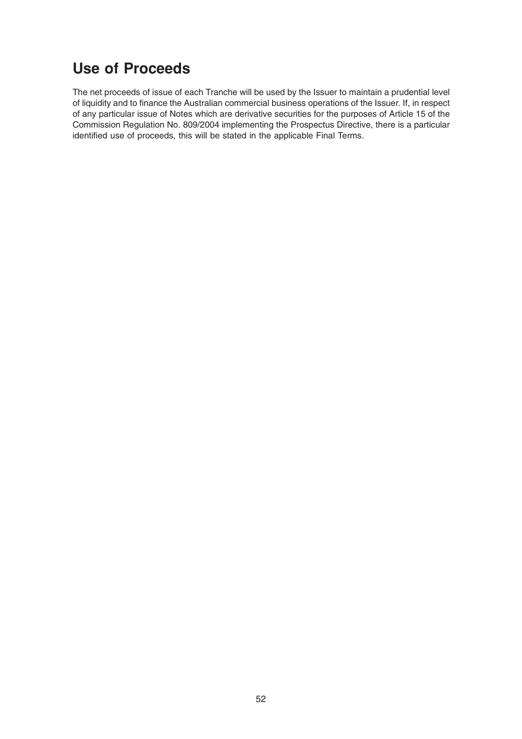# Use of Proceeds

The net proceeds of issue of each Tranche will be used by the Issuer to maintain a prudential level of liquidity and to finance the Australian commercial business operations of the Issuer. If, in respect of any particular issue of Notes which are derivative securities for the purposes of Article 15 of the Commission Regulation No. 809/2004 implementing the Prospectus Directive, there is a particular identified use of proceeds, this will be stated in the applicable Final Terms.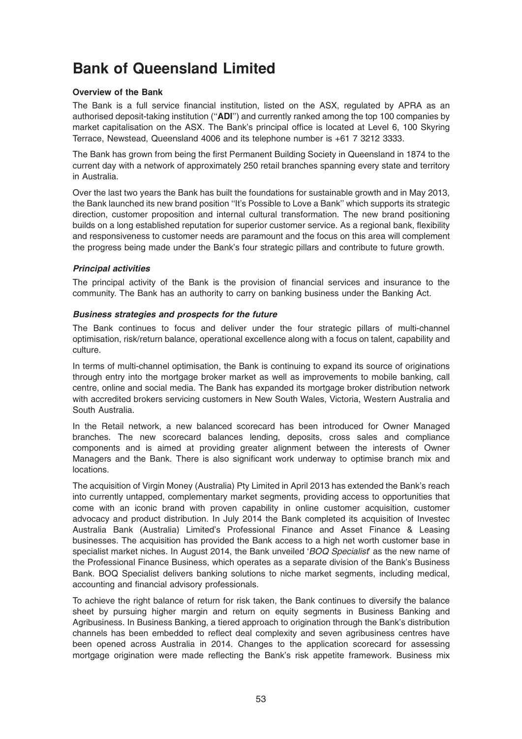# Bank of Queensland Limited

# Overview of the Bank

The Bank is a full service financial institution, listed on the ASX, regulated by APRA as an authorised deposit-taking institution ("ADI") and currently ranked among the top 100 companies by market capitalisation on the ASX. The Bank's principal office is located at Level 6, 100 Skyring Terrace, Newstead, Queensland 4006 and its telephone number is +61 7 3212 3333.

The Bank has grown from being the first Permanent Building Society in Queensland in 1874 to the current day with a network of approximately 250 retail branches spanning every state and territory in Australia.

Over the last two years the Bank has built the foundations for sustainable growth and in May 2013, the Bank launched its new brand position ''It's Possible to Love a Bank'' which supports its strategic direction, customer proposition and internal cultural transformation. The new brand positioning builds on a long established reputation for superior customer service. As a regional bank, flexibility and responsiveness to customer needs are paramount and the focus on this area will complement the progress being made under the Bank's four strategic pillars and contribute to future growth.

#### Principal activities

The principal activity of the Bank is the provision of financial services and insurance to the community. The Bank has an authority to carry on banking business under the Banking Act.

#### Business strategies and prospects for the future

The Bank continues to focus and deliver under the four strategic pillars of multi-channel optimisation, risk/return balance, operational excellence along with a focus on talent, capability and culture.

In terms of multi-channel optimisation, the Bank is continuing to expand its source of originations through entry into the mortgage broker market as well as improvements to mobile banking, call centre, online and social media. The Bank has expanded its mortgage broker distribution network with accredited brokers servicing customers in New South Wales, Victoria, Western Australia and South Australia.

In the Retail network, a new balanced scorecard has been introduced for Owner Managed branches. The new scorecard balances lending, deposits, cross sales and compliance components and is aimed at providing greater alignment between the interests of Owner Managers and the Bank. There is also significant work underway to optimise branch mix and locations.

The acquisition of Virgin Money (Australia) Pty Limited in April 2013 has extended the Bank's reach into currently untapped, complementary market segments, providing access to opportunities that come with an iconic brand with proven capability in online customer acquisition, customer advocacy and product distribution. In July 2014 the Bank completed its acquisition of Investec Australia Bank (Australia) Limited's Professional Finance and Asset Finance & Leasing businesses. The acquisition has provided the Bank access to a high net worth customer base in specialist market niches. In August 2014, the Bank unveiled 'BOQ Specialist' as the new name of the Professional Finance Business, which operates as a separate division of the Bank's Business Bank. BOQ Specialist delivers banking solutions to niche market segments, including medical, accounting and financial advisory professionals.

To achieve the right balance of return for risk taken, the Bank continues to diversify the balance sheet by pursuing higher margin and return on equity segments in Business Banking and Agribusiness. In Business Banking, a tiered approach to origination through the Bank's distribution channels has been embedded to reflect deal complexity and seven agribusiness centres have been opened across Australia in 2014. Changes to the application scorecard for assessing mortgage origination were made reflecting the Bank's risk appetite framework. Business mix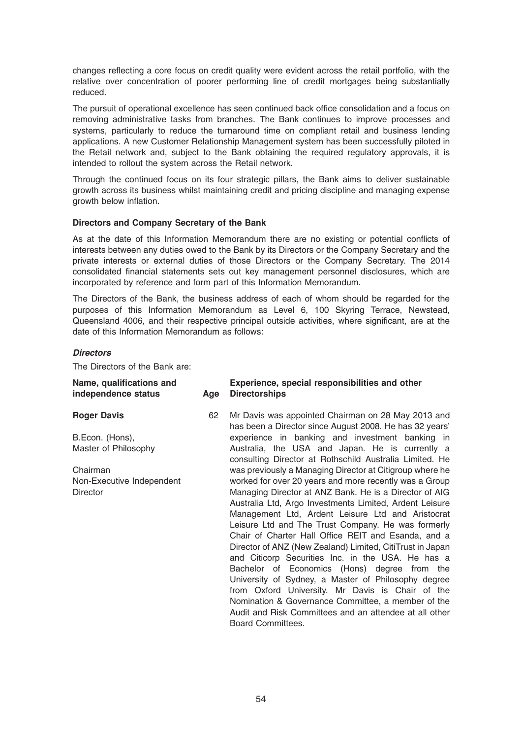changes reflecting a core focus on credit quality were evident across the retail portfolio, with the relative over concentration of poorer performing line of credit mortgages being substantially reduced.

The pursuit of operational excellence has seen continued back office consolidation and a focus on removing administrative tasks from branches. The Bank continues to improve processes and systems, particularly to reduce the turnaround time on compliant retail and business lending applications. A new Customer Relationship Management system has been successfully piloted in the Retail network and, subject to the Bank obtaining the required regulatory approvals, it is intended to rollout the system across the Retail network.

Through the continued focus on its four strategic pillars, the Bank aims to deliver sustainable growth across its business whilst maintaining credit and pricing discipline and managing expense growth below inflation.

# Directors and Company Secretary of the Bank

As at the date of this Information Memorandum there are no existing or potential conflicts of interests between any duties owed to the Bank by its Directors or the Company Secretary and the private interests or external duties of those Directors or the Company Secretary. The 2014 consolidated financial statements sets out key management personnel disclosures, which are incorporated by reference and form part of this Information Memorandum.

The Directors of the Bank, the business address of each of whom should be regarded for the purposes of this Information Memorandum as Level 6, 100 Skyring Terrace, Newstead, Queensland 4006, and their respective principal outside activities, where significant, are at the date of this Information Memorandum as follows:

# **Directors**

Chairman

**Director** 

The Directors of the Bank are:

Name, qualifications and independence status

# Experience, special responsibilities and other Age Directorships

Roger Davis B.Econ. (Hons), Master of Philosophy Non-Executive Independent 62 Mr Davis was appointed Chairman on 28 May 2013 and has been a Director since August 2008. He has 32 years' experience in banking and investment banking in Australia, the USA and Japan. He is currently a consulting Director at Rothschild Australia Limited. He was previously a Managing Director at Citigroup where he worked for over 20 years and more recently was a Group Managing Director at ANZ Bank. He is a Director of AIG Australia Ltd, Argo Investments Limited, Ardent Leisure Management Ltd, Ardent Leisure Ltd and Aristocrat Leisure Ltd and The Trust Company. He was formerly Chair of Charter Hall Office REIT and Esanda, and a Director of ANZ (New Zealand) Limited, CitiTrust in Japan and Citicorp Securities Inc. in the USA. He has a Bachelor of Economics (Hons) degree from the University of Sydney, a Master of Philosophy degree from Oxford University. Mr Davis is Chair of the Nomination & Governance Committee, a member of the Audit and Risk Committees and an attendee at all other Board Committees.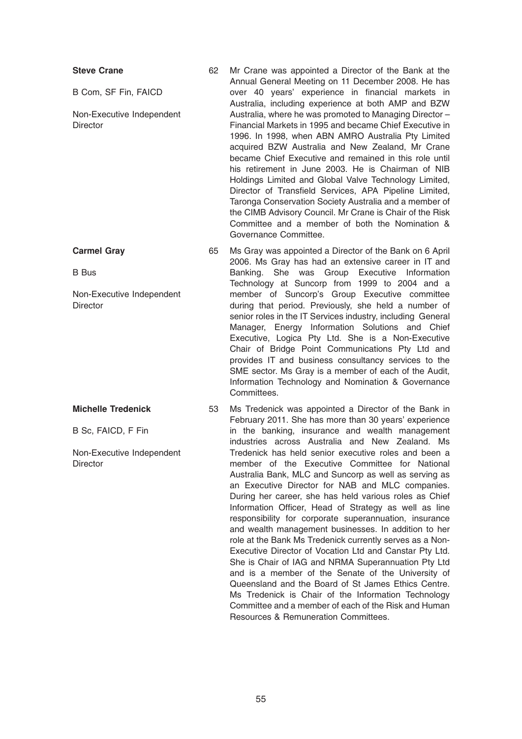| <b>Steve Crane</b>                           | 62 | Mr Crane was appointed a Director of the Bank at the<br>Annual General Meeting on 11 December 2008. He has                                                                                                                                                                                                                                                                                                                                                                                                                                                                                                                                                        |
|----------------------------------------------|----|-------------------------------------------------------------------------------------------------------------------------------------------------------------------------------------------------------------------------------------------------------------------------------------------------------------------------------------------------------------------------------------------------------------------------------------------------------------------------------------------------------------------------------------------------------------------------------------------------------------------------------------------------------------------|
| B Com, SF Fin, FAICD                         |    | over 40 years' experience in financial markets in<br>Australia, including experience at both AMP and BZW                                                                                                                                                                                                                                                                                                                                                                                                                                                                                                                                                          |
| Non-Executive Independent<br><b>Director</b> |    | Australia, where he was promoted to Managing Director -<br>Financial Markets in 1995 and became Chief Executive in<br>1996. In 1998, when ABN AMRO Australia Pty Limited<br>acquired BZW Australia and New Zealand, Mr Crane<br>became Chief Executive and remained in this role until<br>his retirement in June 2003. He is Chairman of NIB<br>Holdings Limited and Global Valve Technology Limited,<br>Director of Transfield Services, APA Pipeline Limited,<br>Taronga Conservation Society Australia and a member of<br>the CIMB Advisory Council. Mr Crane is Chair of the Risk<br>Committee and a member of both the Nomination &<br>Governance Committee. |
| <b>Carmel Gray</b>                           | 65 | Ms Gray was appointed a Director of the Bank on 6 April<br>2006 Me Gray has had an oxtonsive career in IT and                                                                                                                                                                                                                                                                                                                                                                                                                                                                                                                                                     |

B Bus

**Director** 

Non-Executive Independent

Michelle Tredenick

B Sc, FAICD, F Fin

**Director** 

2006. Ms Gray has had an extensive career in IT and Banking. She was Group Executive Information Technology at Suncorp from 1999 to 2004 and a member of Suncorp's Group Executive committee during that period. Previously, she held a number of senior roles in the IT Services industry, including General Manager, Energy Information Solutions and Chief Executive, Logica Pty Ltd. She is a Non-Executive Chair of Bridge Point Communications Pty Ltd and provides IT and business consultancy services to the SME sector. Ms Gray is a member of each of the Audit, Information Technology and Nomination & Governance Committees.

Non-Executive Independent 53 Ms Tredenick was appointed a Director of the Bank in February 2011. She has more than 30 years' experience in the banking, insurance and wealth management industries across Australia and New Zealand. Ms Tredenick has held senior executive roles and been a member of the Executive Committee for National Australia Bank, MLC and Suncorp as well as serving as an Executive Director for NAB and MLC companies. During her career, she has held various roles as Chief Information Officer, Head of Strategy as well as line responsibility for corporate superannuation, insurance and wealth management businesses. In addition to her role at the Bank Ms Tredenick currently serves as a Non-Executive Director of Vocation Ltd and Canstar Pty Ltd. She is Chair of IAG and NRMA Superannuation Pty Ltd and is a member of the Senate of the University of Queensland and the Board of St James Ethics Centre. Ms Tredenick is Chair of the Information Technology Committee and a member of each of the Risk and Human Resources & Remuneration Committees.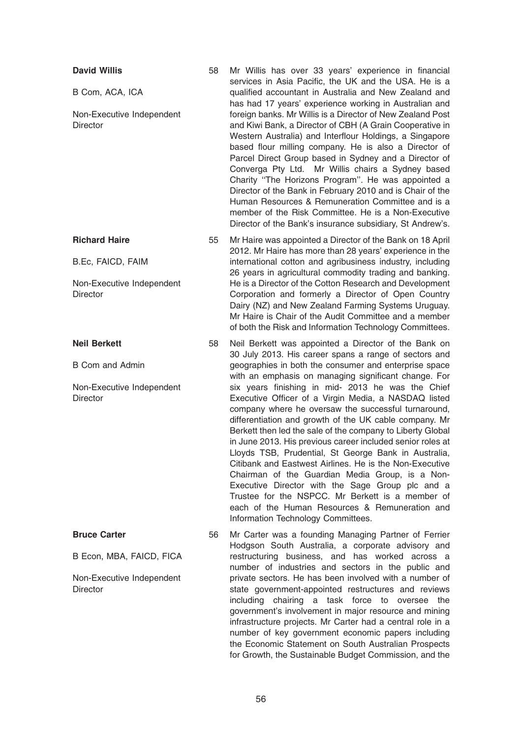| <b>David Willis</b><br>B Com, ACA, ICA       | 58 | Mr Willis has over 33 years' experience in financial<br>services in Asia Pacific, the UK and the USA. He is a<br>qualified accountant in Australia and New Zealand and                                                                                                                                                                                                                                                                                                                                                                                                                                                                                                                                         |  |
|----------------------------------------------|----|----------------------------------------------------------------------------------------------------------------------------------------------------------------------------------------------------------------------------------------------------------------------------------------------------------------------------------------------------------------------------------------------------------------------------------------------------------------------------------------------------------------------------------------------------------------------------------------------------------------------------------------------------------------------------------------------------------------|--|
| Non-Executive Independent<br>Director        |    | has had 17 years' experience working in Australian and<br>foreign banks. Mr Willis is a Director of New Zealand Post<br>and Kiwi Bank, a Director of CBH (A Grain Cooperative in<br>Western Australia) and Interflour Holdings, a Singapore<br>based flour milling company. He is also a Director of<br>Parcel Direct Group based in Sydney and a Director of<br>Converga Pty Ltd. Mr Willis chairs a Sydney based<br>Charity "The Horizons Program". He was appointed a<br>Director of the Bank in February 2010 and is Chair of the<br>Human Resources & Remuneration Committee and is a<br>member of the Risk Committee. He is a Non-Executive<br>Director of the Bank's insurance subsidiary, St Andrew's. |  |
| <b>Richard Haire</b>                         | 55 | Mr Haire was appointed a Director of the Bank on 18 April<br>2012. Mr Haire has more than 28 years' experience in the<br>international cotton and agribusiness industry, including<br>26 years in agricultural commodity trading and banking.                                                                                                                                                                                                                                                                                                                                                                                                                                                                  |  |
| B.Ec, FAICD, FAIM                            |    |                                                                                                                                                                                                                                                                                                                                                                                                                                                                                                                                                                                                                                                                                                                |  |
| Non-Executive Independent<br><b>Director</b> |    | He is a Director of the Cotton Research and Development<br>Corporation and formerly a Director of Open Country<br>Dairy (NZ) and New Zealand Farming Systems Uruguay.                                                                                                                                                                                                                                                                                                                                                                                                                                                                                                                                          |  |

Neil Berkett

B Com and Admin

Non-Executive Independent **Director** 

Bruce Carter

B Econ, MBA, FAICD, FICA

Non-Executive Independent **Director** 

58 Neil Berkett was appointed a Director of the Bank on 30 July 2013. His career spans a range of sectors and geographies in both the consumer and enterprise space with an emphasis on managing significant change. For six years finishing in mid- 2013 he was the Chief Executive Officer of a Virgin Media, a NASDAQ listed company where he oversaw the successful turnaround, differentiation and growth of the UK cable company. Mr Berkett then led the sale of the company to Liberty Global in June 2013. His previous career included senior roles at Lloyds TSB, Prudential, St George Bank in Australia, Citibank and Eastwest Airlines. He is the Non-Executive Chairman of the Guardian Media Group, is a Non-Executive Director with the Sage Group plc and a Trustee for the NSPCC. Mr Berkett is a member of each of the Human Resources & Remuneration and Information Technology Committees.

Mr Haire is Chair of the Audit Committee and a member of both the Risk and Information Technology Committees.

56 Mr Carter was a founding Managing Partner of Ferrier Hodgson South Australia, a corporate advisory and restructuring business, and has worked across a number of industries and sectors in the public and private sectors. He has been involved with a number of state government-appointed restructures and reviews including chairing a task force to oversee the government's involvement in major resource and mining infrastructure projects. Mr Carter had a central role in a number of key government economic papers including the Economic Statement on South Australian Prospects for Growth, the Sustainable Budget Commission, and the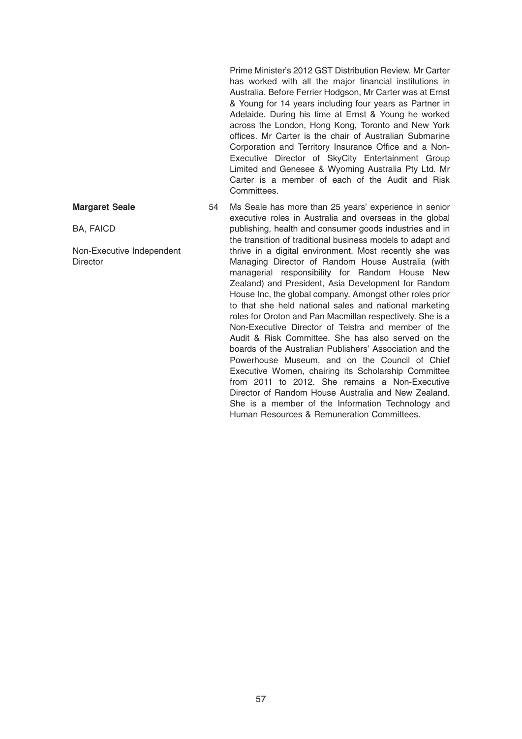Prime Minister's 2012 GST Distribution Review. Mr Carter has worked with all the major financial institutions in Australia. Before Ferrier Hodgson, Mr Carter was at Ernst & Young for 14 years including four years as Partner in Adelaide. During his time at Ernst & Young he worked across the London, Hong Kong, Toronto and New York offices. Mr Carter is the chair of Australian Submarine Corporation and Territory Insurance Office and a Non-Executive Director of SkyCity Entertainment Group Limited and Genesee & Wyoming Australia Pty Ltd. Mr Carter is a member of each of the Audit and Risk Committees.

**Margaret Seale** 

BA, FAICD

Non-Executive Independent **Director** 

54 Ms Seale has more than 25 years' experience in senior executive roles in Australia and overseas in the global publishing, health and consumer goods industries and in the transition of traditional business models to adapt and thrive in a digital environment. Most recently she was Managing Director of Random House Australia (with managerial responsibility for Random House New Zealand) and President, Asia Development for Random House Inc, the global company. Amongst other roles prior to that she held national sales and national marketing roles for Oroton and Pan Macmillan respectively. She is a Non-Executive Director of Telstra and member of the Audit & Risk Committee. She has also served on the boards of the Australian Publishers' Association and the Powerhouse Museum, and on the Council of Chief Executive Women, chairing its Scholarship Committee from 2011 to 2012. She remains a Non-Executive Director of Random House Australia and New Zealand. She is a member of the Information Technology and Human Resources & Remuneration Committees.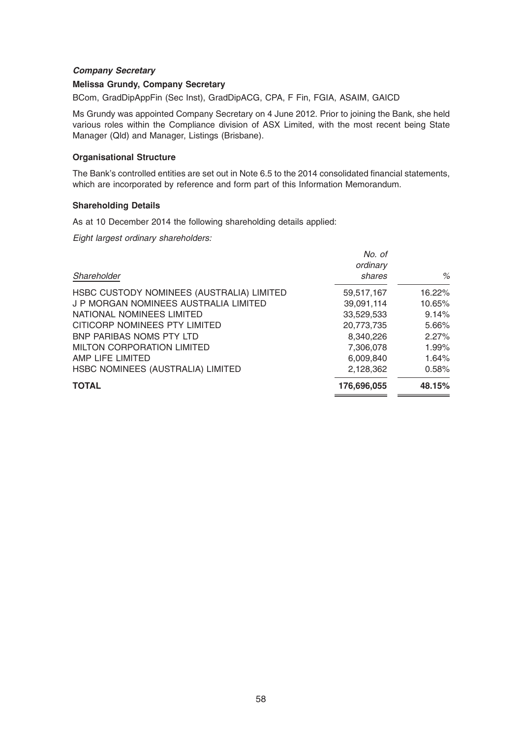# Company Secretary

# Melissa Grundy, Company Secretary

BCom, GradDipAppFin (Sec Inst), GradDipACG, CPA, F Fin, FGIA, ASAIM, GAICD

Ms Grundy was appointed Company Secretary on 4 June 2012. Prior to joining the Bank, she held various roles within the Compliance division of ASX Limited, with the most recent being State Manager (Qld) and Manager, Listings (Brisbane).

#### Organisational Structure

The Bank's controlled entities are set out in Note 6.5 to the 2014 consolidated financial statements, which are incorporated by reference and form part of this Information Memorandum.

## Shareholding Details

As at 10 December 2014 the following shareholding details applied:

Eight largest ordinary shareholders:

| Shareholder                               | No. of<br>ordinary<br>shares | %      |
|-------------------------------------------|------------------------------|--------|
| HSBC CUSTODY NOMINEES (AUSTRALIA) LIMITED | 59,517,167                   | 16.22% |
| J P MORGAN NOMINEES AUSTRALIA LIMITED     | 39,091,114                   | 10.65% |
| NATIONAL NOMINEES LIMITED                 | 33,529,533                   | 9.14%  |
| CITICORP NOMINEES PTY LIMITED             | 20,773,735                   | 5.66%  |
| BNP PARIBAS NOMS PTY LTD                  | 8,340,226                    | 2.27%  |
| <b>MILTON CORPORATION LIMITED</b>         | 7.306.078                    | 1.99%  |
| AMP LIFE LIMITED                          | 6,009,840                    | 1.64%  |
| HSBC NOMINEES (AUSTRALIA) LIMITED         | 2,128,362                    | 0.58%  |
| <b>TOTAL</b>                              | 176,696,055                  | 48.15% |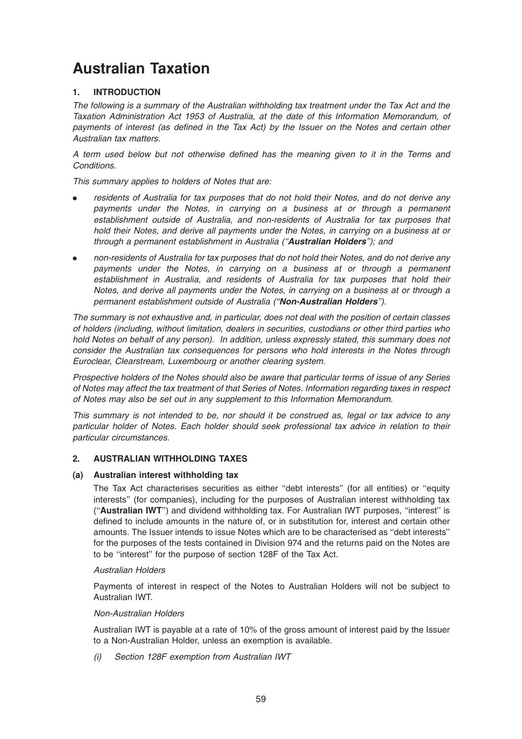# Australian Taxation

# 1. INTRODUCTION

The following is a summary of the Australian withholding tax treatment under the Tax Act and the Taxation Administration Act 1953 of Australia, at the date of this Information Memorandum, of payments of interest (as defined in the Tax Act) by the Issuer on the Notes and certain other Australian tax matters.

A term used below but not otherwise defined has the meaning given to it in the Terms and Conditions.

This summary applies to holders of Notes that are:

- residents of Australia for tax purposes that do not hold their Notes, and do not derive any payments under the Notes, in carrying on a business at or through a permanent establishment outside of Australia, and non-residents of Australia for tax purposes that hold their Notes, and derive all payments under the Notes, in carrying on a business at or through a permanent establishment in Australia ("Australian Holders"); and
- . non-residents of Australia for tax purposes that do not hold their Notes, and do not derive any payments under the Notes, in carrying on a business at or through a permanent establishment in Australia, and residents of Australia for tax purposes that hold their Notes, and derive all payments under the Notes, in carrying on a business at or through a permanent establishment outside of Australia ("Non-Australian Holders").

The summary is not exhaustive and, in particular, does not deal with the position of certain classes of holders (including, without limitation, dealers in securities, custodians or other third parties who hold Notes on behalf of any person). In addition, unless expressly stated, this summary does not consider the Australian tax consequences for persons who hold interests in the Notes through Euroclear, Clearstream, Luxembourg or another clearing system.

Prospective holders of the Notes should also be aware that particular terms of issue of any Series of Notes may affect the tax treatment of that Series of Notes. Information regarding taxes in respect of Notes may also be set out in any supplement to this Information Memorandum.

This summary is not intended to be, nor should it be construed as, legal or tax advice to any particular holder of Notes. Each holder should seek professional tax advice in relation to their particular circumstances.

# 2. AUSTRALIAN WITHHOLDING TAXES

# (a) Australian interest withholding tax

The Tax Act characterises securities as either ''debt interests'' (for all entities) or ''equity interests'' (for companies), including for the purposes of Australian interest withholding tax (''Australian IWT'') and dividend withholding tax. For Australian IWT purposes, ''interest'' is defined to include amounts in the nature of, or in substitution for, interest and certain other amounts. The Issuer intends to issue Notes which are to be characterised as ''debt interests'' for the purposes of the tests contained in Division 974 and the returns paid on the Notes are to be ''interest'' for the purpose of section 128F of the Tax Act.

# Australian Holders

Payments of interest in respect of the Notes to Australian Holders will not be subject to Australian IWT.

# Non-Australian Holders

Australian IWT is payable at a rate of 10% of the gross amount of interest paid by the Issuer to a Non-Australian Holder, unless an exemption is available.

(i) Section 128F exemption from Australian IWT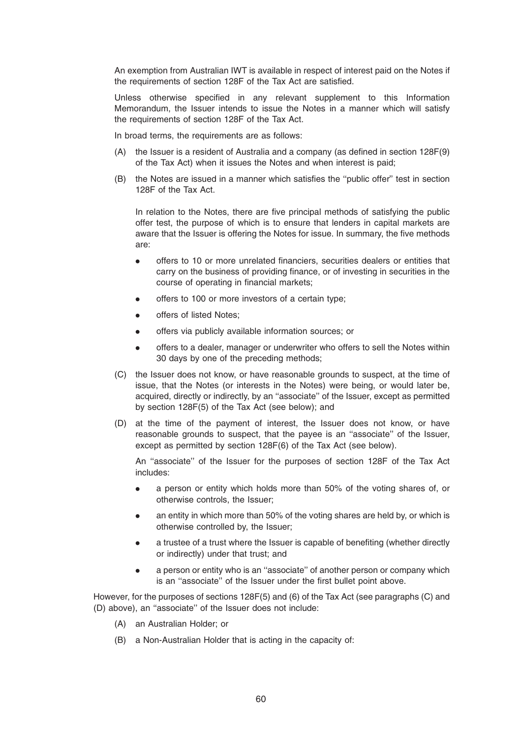An exemption from Australian IWT is available in respect of interest paid on the Notes if the requirements of section 128F of the Tax Act are satisfied.

Unless otherwise specified in any relevant supplement to this Information Memorandum, the Issuer intends to issue the Notes in a manner which will satisfy the requirements of section 128F of the Tax Act.

In broad terms, the requirements are as follows:

- (A) the Issuer is a resident of Australia and a company (as defined in section 128F(9) of the Tax Act) when it issues the Notes and when interest is paid;
- (B) the Notes are issued in a manner which satisfies the ''public offer'' test in section 128F of the Tax Act.

In relation to the Notes, there are five principal methods of satisfying the public offer test, the purpose of which is to ensure that lenders in capital markets are aware that the Issuer is offering the Notes for issue. In summary, the five methods are:

- . offers to 10 or more unrelated financiers, securities dealers or entities that carry on the business of providing finance, or of investing in securities in the course of operating in financial markets;
- . offers to 100 or more investors of a certain type;
- . offers of listed Notes;
- . offers via publicly available information sources; or
- . offers to a dealer, manager or underwriter who offers to sell the Notes within 30 days by one of the preceding methods;
- (C) the Issuer does not know, or have reasonable grounds to suspect, at the time of issue, that the Notes (or interests in the Notes) were being, or would later be, acquired, directly or indirectly, by an ''associate'' of the Issuer, except as permitted by section 128F(5) of the Tax Act (see below); and
- (D) at the time of the payment of interest, the Issuer does not know, or have reasonable grounds to suspect, that the payee is an ''associate'' of the Issuer, except as permitted by section 128F(6) of the Tax Act (see below).

An ''associate'' of the Issuer for the purposes of section 128F of the Tax Act includes:

- . a person or entity which holds more than 50% of the voting shares of, or otherwise controls, the Issuer;
- $\bullet$  an entity in which more than 50% of the voting shares are held by, or which is otherwise controlled by, the Issuer;
- . a trustee of a trust where the Issuer is capable of benefiting (whether directly or indirectly) under that trust; and
- . a person or entity who is an ''associate'' of another person or company which is an ''associate'' of the Issuer under the first bullet point above.

However, for the purposes of sections 128F(5) and (6) of the Tax Act (see paragraphs (C) and (D) above), an ''associate'' of the Issuer does not include:

- (A) an Australian Holder; or
- (B) a Non-Australian Holder that is acting in the capacity of: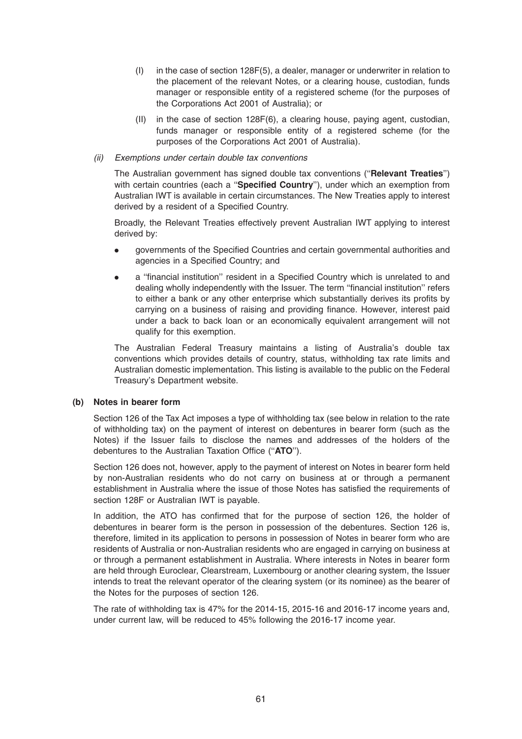- (I) in the case of section 128F(5), a dealer, manager or underwriter in relation to the placement of the relevant Notes, or a clearing house, custodian, funds manager or responsible entity of a registered scheme (for the purposes of the Corporations Act 2001 of Australia); or
- (II) in the case of section 128F(6), a clearing house, paying agent, custodian, funds manager or responsible entity of a registered scheme (for the purposes of the Corporations Act 2001 of Australia).

#### (ii) Exemptions under certain double tax conventions

The Australian government has signed double tax conventions (''Relevant Treaties'') with certain countries (each a "Specified Country"), under which an exemption from Australian IWT is available in certain circumstances. The New Treaties apply to interest derived by a resident of a Specified Country.

Broadly, the Relevant Treaties effectively prevent Australian IWT applying to interest derived by:

- . governments of the Specified Countries and certain governmental authorities and agencies in a Specified Country; and
- a "financial institution" resident in a Specified Country which is unrelated to and dealing wholly independently with the Issuer. The term ''financial institution'' refers to either a bank or any other enterprise which substantially derives its profits by carrying on a business of raising and providing finance. However, interest paid under a back to back loan or an economically equivalent arrangement will not qualify for this exemption.

The Australian Federal Treasury maintains a listing of Australia's double tax conventions which provides details of country, status, withholding tax rate limits and Australian domestic implementation. This listing is available to the public on the Federal Treasury's Department website.

# (b) Notes in bearer form

Section 126 of the Tax Act imposes a type of withholding tax (see below in relation to the rate of withholding tax) on the payment of interest on debentures in bearer form (such as the Notes) if the Issuer fails to disclose the names and addresses of the holders of the debentures to the Australian Taxation Office ("ATO").

Section 126 does not, however, apply to the payment of interest on Notes in bearer form held by non-Australian residents who do not carry on business at or through a permanent establishment in Australia where the issue of those Notes has satisfied the requirements of section 128F or Australian IWT is payable.

In addition, the ATO has confirmed that for the purpose of section 126, the holder of debentures in bearer form is the person in possession of the debentures. Section 126 is, therefore, limited in its application to persons in possession of Notes in bearer form who are residents of Australia or non-Australian residents who are engaged in carrying on business at or through a permanent establishment in Australia. Where interests in Notes in bearer form are held through Euroclear, Clearstream, Luxembourg or another clearing system, the Issuer intends to treat the relevant operator of the clearing system (or its nominee) as the bearer of the Notes for the purposes of section 126.

The rate of withholding tax is 47% for the 2014-15, 2015-16 and 2016-17 income years and, under current law, will be reduced to 45% following the 2016-17 income year.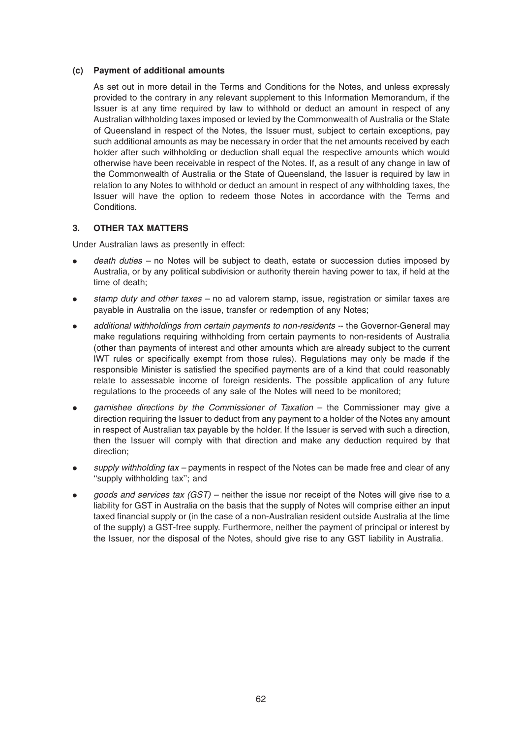#### (c) Payment of additional amounts

As set out in more detail in the Terms and Conditions for the Notes, and unless expressly provided to the contrary in any relevant supplement to this Information Memorandum, if the Issuer is at any time required by law to withhold or deduct an amount in respect of any Australian withholding taxes imposed or levied by the Commonwealth of Australia or the State of Queensland in respect of the Notes, the Issuer must, subject to certain exceptions, pay such additional amounts as may be necessary in order that the net amounts received by each holder after such withholding or deduction shall equal the respective amounts which would otherwise have been receivable in respect of the Notes. If, as a result of any change in law of the Commonwealth of Australia or the State of Queensland, the Issuer is required by law in relation to any Notes to withhold or deduct an amount in respect of any withholding taxes, the Issuer will have the option to redeem those Notes in accordance with the Terms and Conditions.

# 3. OTHER TAX MATTERS

Under Australian laws as presently in effect:

- $death$  duties no Notes will be subject to death, estate or succession duties imposed by Australia, or by any political subdivision or authority therein having power to tax, if held at the time of death;
- stamp duty and other taxes no ad valorem stamp, issue, registration or similar taxes are payable in Australia on the issue, transfer or redemption of any Notes;
- additional withholdings from certain payments to non-residents -- the Governor-General may make regulations requiring withholding from certain payments to non-residents of Australia (other than payments of interest and other amounts which are already subject to the current IWT rules or specifically exempt from those rules). Regulations may only be made if the responsible Minister is satisfied the specified payments are of a kind that could reasonably relate to assessable income of foreign residents. The possible application of any future regulations to the proceeds of any sale of the Notes will need to be monitored;
- . garnishee directions by the Commissioner of Taxation the Commissioner may give a direction requiring the Issuer to deduct from any payment to a holder of the Notes any amount in respect of Australian tax payable by the holder. If the Issuer is served with such a direction, then the Issuer will comply with that direction and make any deduction required by that direction;
- supply withholding tax  $-$  payments in respect of the Notes can be made free and clear of any ''supply withholding tax''; and
- goods and services tax (GST) neither the issue nor receipt of the Notes will give rise to a liability for GST in Australia on the basis that the supply of Notes will comprise either an input taxed financial supply or (in the case of a non-Australian resident outside Australia at the time of the supply) a GST-free supply. Furthermore, neither the payment of principal or interest by the Issuer, nor the disposal of the Notes, should give rise to any GST liability in Australia.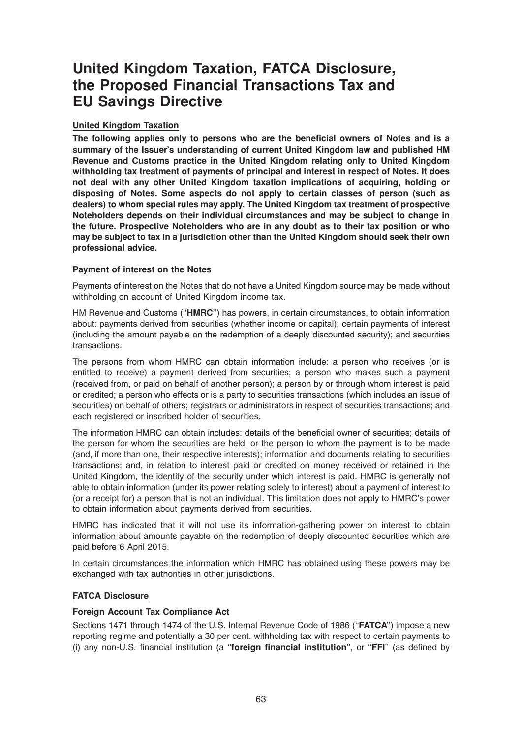# United Kingdom Taxation, FATCA Disclosure, the Proposed Financial Transactions Tax and EU Savings Directive

# United Kingdom Taxation

The following applies only to persons who are the beneficial owners of Notes and is a summary of the Issuer's understanding of current United Kingdom law and published HM Revenue and Customs practice in the United Kingdom relating only to United Kingdom withholding tax treatment of payments of principal and interest in respect of Notes. It does not deal with any other United Kingdom taxation implications of acquiring, holding or disposing of Notes. Some aspects do not apply to certain classes of person (such as dealers) to whom special rules may apply. The United Kingdom tax treatment of prospective Noteholders depends on their individual circumstances and may be subject to change in the future. Prospective Noteholders who are in any doubt as to their tax position or who may be subject to tax in a jurisdiction other than the United Kingdom should seek their own professional advice.

# Payment of interest on the Notes

Payments of interest on the Notes that do not have a United Kingdom source may be made without withholding on account of United Kingdom income tax.

HM Revenue and Customs ("HMRC") has powers, in certain circumstances, to obtain information about: payments derived from securities (whether income or capital); certain payments of interest (including the amount payable on the redemption of a deeply discounted security); and securities transactions.

The persons from whom HMRC can obtain information include: a person who receives (or is entitled to receive) a payment derived from securities; a person who makes such a payment (received from, or paid on behalf of another person); a person by or through whom interest is paid or credited; a person who effects or is a party to securities transactions (which includes an issue of securities) on behalf of others; registrars or administrators in respect of securities transactions; and each registered or inscribed holder of securities.

The information HMRC can obtain includes: details of the beneficial owner of securities; details of the person for whom the securities are held, or the person to whom the payment is to be made (and, if more than one, their respective interests); information and documents relating to securities transactions; and, in relation to interest paid or credited on money received or retained in the United Kingdom, the identity of the security under which interest is paid. HMRC is generally not able to obtain information (under its power relating solely to interest) about a payment of interest to (or a receipt for) a person that is not an individual. This limitation does not apply to HMRC's power to obtain information about payments derived from securities.

HMRC has indicated that it will not use its information-gathering power on interest to obtain information about amounts payable on the redemption of deeply discounted securities which are paid before 6 April 2015.

In certain circumstances the information which HMRC has obtained using these powers may be exchanged with tax authorities in other jurisdictions.

# FATCA Disclosure

# Foreign Account Tax Compliance Act

Sections 1471 through 1474 of the U.S. Internal Revenue Code of 1986 ("FATCA") impose a new reporting regime and potentially a 30 per cent. withholding tax with respect to certain payments to (i) any non-U.S. financial institution (a "foreign financial institution", or "FFI" (as defined by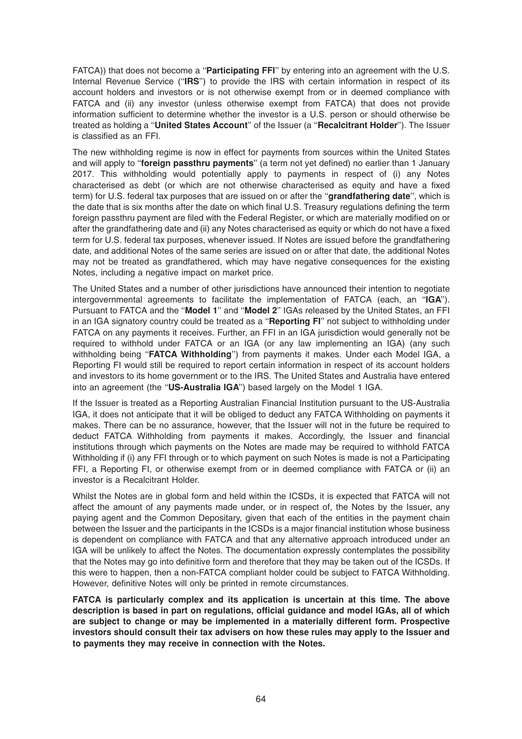FATCA)) that does not become a "**Participating FFI**" by entering into an agreement with the U.S. Internal Revenue Service ("IRS") to provide the IRS with certain information in respect of its account holders and investors or is not otherwise exempt from or in deemed compliance with FATCA and (ii) any investor (unless otherwise exempt from FATCA) that does not provide information sufficient to determine whether the investor is a U.S. person or should otherwise be treated as holding a "United States Account" of the Issuer (a "Recalcitrant Holder"). The Issuer is classified as an FFI.

The new withholding regime is now in effect for payments from sources within the United States and will apply to "foreign passthru payments" (a term not yet defined) no earlier than 1 January 2017. This withholding would potentially apply to payments in respect of (i) any Notes characterised as debt (or which are not otherwise characterised as equity and have a fixed term) for U.S. federal tax purposes that are issued on or after the "grandfathering date", which is the date that is six months after the date on which final U.S. Treasury regulations defining the term foreign passthru payment are filed with the Federal Register, or which are materially modified on or after the grandfathering date and (ii) any Notes characterised as equity or which do not have a fixed term for U.S. federal tax purposes, whenever issued. If Notes are issued before the grandfathering date, and additional Notes of the same series are issued on or after that date, the additional Notes may not be treated as grandfathered, which may have negative consequences for the existing Notes, including a negative impact on market price.

The United States and a number of other jurisdictions have announced their intention to negotiate intergovernmental agreements to facilitate the implementation of FATCA (each, an "IGA"). Pursuant to FATCA and the "Model 1" and "Model 2" IGAs released by the United States, an FFI in an IGA signatory country could be treated as a "Reporting FI" not subject to withholding under FATCA on any payments it receives. Further, an FFI in an IGA jurisdiction would generally not be required to withhold under FATCA or an IGA (or any law implementing an IGA) (any such withholding being "FATCA Withholding") from payments it makes. Under each Model IGA, a Reporting FI would still be required to report certain information in respect of its account holders and investors to its home government or to the IRS. The United States and Australia have entered into an agreement (the "US-Australia IGA") based largely on the Model 1 IGA.

If the Issuer is treated as a Reporting Australian Financial Institution pursuant to the US-Australia IGA, it does not anticipate that it will be obliged to deduct any FATCA Withholding on payments it makes. There can be no assurance, however, that the Issuer will not in the future be required to deduct FATCA Withholding from payments it makes. Accordingly, the Issuer and financial institutions through which payments on the Notes are made may be required to withhold FATCA Withholding if (i) any FFI through or to which payment on such Notes is made is not a Participating FFI, a Reporting FI, or otherwise exempt from or in deemed compliance with FATCA or (ii) an investor is a Recalcitrant Holder.

Whilst the Notes are in global form and held within the ICSDs, it is expected that FATCA will not affect the amount of any payments made under, or in respect of, the Notes by the Issuer, any paying agent and the Common Depositary, given that each of the entities in the payment chain between the Issuer and the participants in the ICSDs is a major financial institution whose business is dependent on compliance with FATCA and that any alternative approach introduced under an IGA will be unlikely to affect the Notes. The documentation expressly contemplates the possibility that the Notes may go into definitive form and therefore that they may be taken out of the ICSDs. If this were to happen, then a non-FATCA compliant holder could be subject to FATCA Withholding. However, definitive Notes will only be printed in remote circumstances.

FATCA is particularly complex and its application is uncertain at this time. The above description is based in part on regulations, official guidance and model IGAs, all of which are subject to change or may be implemented in a materially different form. Prospective investors should consult their tax advisers on how these rules may apply to the Issuer and to payments they may receive in connection with the Notes.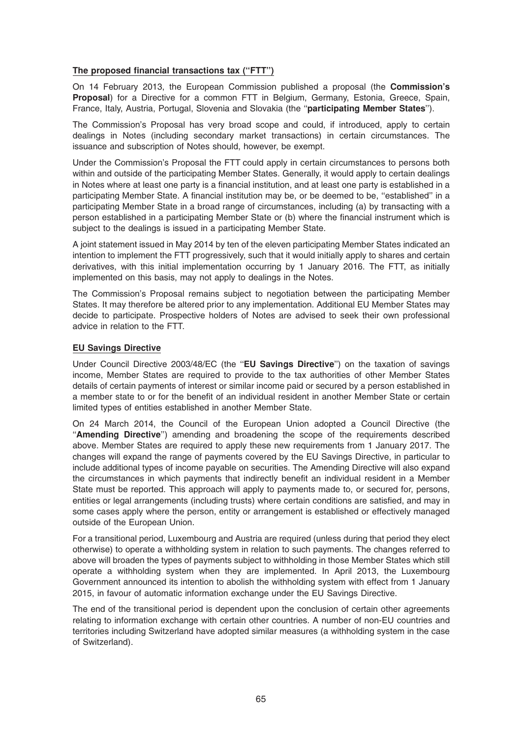# The proposed financial transactions tax (''FTT'')

On 14 February 2013, the European Commission published a proposal (the Commission's Proposal) for a Directive for a common FTT in Belgium, Germany, Estonia, Greece, Spain, France, Italy, Austria, Portugal, Slovenia and Slovakia (the "participating Member States").

The Commission's Proposal has very broad scope and could, if introduced, apply to certain dealings in Notes (including secondary market transactions) in certain circumstances. The issuance and subscription of Notes should, however, be exempt.

Under the Commission's Proposal the FTT could apply in certain circumstances to persons both within and outside of the participating Member States. Generally, it would apply to certain dealings in Notes where at least one party is a financial institution, and at least one party is established in a participating Member State. A financial institution may be, or be deemed to be, ''established'' in a participating Member State in a broad range of circumstances, including (a) by transacting with a person established in a participating Member State or (b) where the financial instrument which is subject to the dealings is issued in a participating Member State.

A joint statement issued in May 2014 by ten of the eleven participating Member States indicated an intention to implement the FTT progressively, such that it would initially apply to shares and certain derivatives, with this initial implementation occurring by 1 January 2016. The FTT, as initially implemented on this basis, may not apply to dealings in the Notes.

The Commission's Proposal remains subject to negotiation between the participating Member States. It may therefore be altered prior to any implementation. Additional EU Member States may decide to participate. Prospective holders of Notes are advised to seek their own professional advice in relation to the FTT.

#### EU Savings Directive

Under Council Directive 2003/48/EC (the "EU Savings Directive") on the taxation of savings income, Member States are required to provide to the tax authorities of other Member States details of certain payments of interest or similar income paid or secured by a person established in a member state to or for the benefit of an individual resident in another Member State or certain limited types of entities established in another Member State.

On 24 March 2014, the Council of the European Union adopted a Council Directive (the "Amending Directive") amending and broadening the scope of the requirements described above. Member States are required to apply these new requirements from 1 January 2017. The changes will expand the range of payments covered by the EU Savings Directive, in particular to include additional types of income payable on securities. The Amending Directive will also expand the circumstances in which payments that indirectly benefit an individual resident in a Member State must be reported. This approach will apply to payments made to, or secured for, persons, entities or legal arrangements (including trusts) where certain conditions are satisfied, and may in some cases apply where the person, entity or arrangement is established or effectively managed outside of the European Union.

For a transitional period, Luxembourg and Austria are required (unless during that period they elect otherwise) to operate a withholding system in relation to such payments. The changes referred to above will broaden the types of payments subject to withholding in those Member States which still operate a withholding system when they are implemented. In April 2013, the Luxembourg Government announced its intention to abolish the withholding system with effect from 1 January 2015, in favour of automatic information exchange under the EU Savings Directive.

The end of the transitional period is dependent upon the conclusion of certain other agreements relating to information exchange with certain other countries. A number of non-EU countries and territories including Switzerland have adopted similar measures (a withholding system in the case of Switzerland).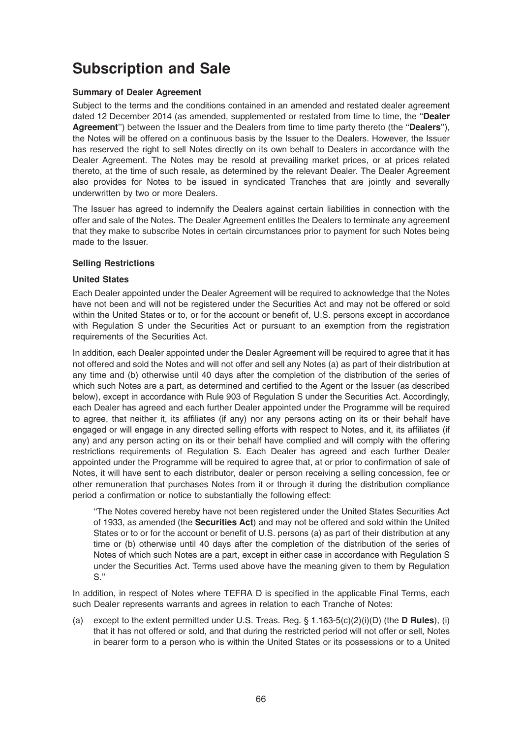# Subscription and Sale

## Summary of Dealer Agreement

Subject to the terms and the conditions contained in an amended and restated dealer agreement dated 12 December 2014 (as amended, supplemented or restated from time to time, the "Dealer Agreement") between the Issuer and the Dealers from time to time party thereto (the "Dealers"), the Notes will be offered on a continuous basis by the Issuer to the Dealers. However, the Issuer has reserved the right to sell Notes directly on its own behalf to Dealers in accordance with the Dealer Agreement. The Notes may be resold at prevailing market prices, or at prices related thereto, at the time of such resale, as determined by the relevant Dealer. The Dealer Agreement also provides for Notes to be issued in syndicated Tranches that are jointly and severally underwritten by two or more Dealers.

The Issuer has agreed to indemnify the Dealers against certain liabilities in connection with the offer and sale of the Notes. The Dealer Agreement entitles the Dealers to terminate any agreement that they make to subscribe Notes in certain circumstances prior to payment for such Notes being made to the Issuer.

#### Selling Restrictions

#### United States

Each Dealer appointed under the Dealer Agreement will be required to acknowledge that the Notes have not been and will not be registered under the Securities Act and may not be offered or sold within the United States or to, or for the account or benefit of, U.S. persons except in accordance with Regulation S under the Securities Act or pursuant to an exemption from the registration requirements of the Securities Act.

In addition, each Dealer appointed under the Dealer Agreement will be required to agree that it has not offered and sold the Notes and will not offer and sell any Notes (a) as part of their distribution at any time and (b) otherwise until 40 days after the completion of the distribution of the series of which such Notes are a part, as determined and certified to the Agent or the Issuer (as described below), except in accordance with Rule 903 of Regulation S under the Securities Act. Accordingly, each Dealer has agreed and each further Dealer appointed under the Programme will be required to agree, that neither it, its affiliates (if any) nor any persons acting on its or their behalf have engaged or will engage in any directed selling efforts with respect to Notes, and it, its affiliates (if any) and any person acting on its or their behalf have complied and will comply with the offering restrictions requirements of Regulation S. Each Dealer has agreed and each further Dealer appointed under the Programme will be required to agree that, at or prior to confirmation of sale of Notes, it will have sent to each distributor, dealer or person receiving a selling concession, fee or other remuneration that purchases Notes from it or through it during the distribution compliance period a confirmation or notice to substantially the following effect:

''The Notes covered hereby have not been registered under the United States Securities Act of 1933, as amended (the Securities Act) and may not be offered and sold within the United States or to or for the account or benefit of U.S. persons (a) as part of their distribution at any time or (b) otherwise until 40 days after the completion of the distribution of the series of Notes of which such Notes are a part, except in either case in accordance with Regulation S under the Securities Act. Terms used above have the meaning given to them by Regulation S.''

In addition, in respect of Notes where TEFRA D is specified in the applicable Final Terms, each such Dealer represents warrants and agrees in relation to each Tranche of Notes:

(a) except to the extent permitted under U.S. Treas. Reg.  $\S$  1.163-5(c)(2)(i)(D) (the **D Rules**), (i) that it has not offered or sold, and that during the restricted period will not offer or sell, Notes in bearer form to a person who is within the United States or its possessions or to a United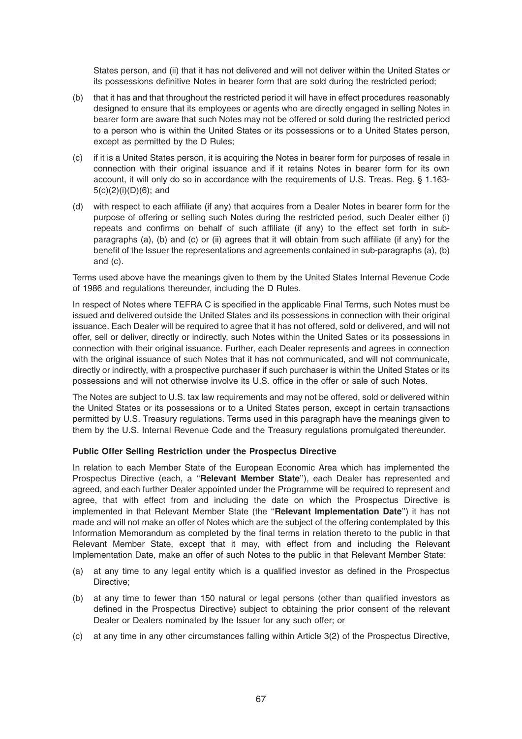States person, and (ii) that it has not delivered and will not deliver within the United States or its possessions definitive Notes in bearer form that are sold during the restricted period;

- (b) that it has and that throughout the restricted period it will have in effect procedures reasonably designed to ensure that its employees or agents who are directly engaged in selling Notes in bearer form are aware that such Notes may not be offered or sold during the restricted period to a person who is within the United States or its possessions or to a United States person, except as permitted by the D Rules;
- (c) if it is a United States person, it is acquiring the Notes in bearer form for purposes of resale in connection with their original issuance and if it retains Notes in bearer form for its own account, it will only do so in accordance with the requirements of U.S. Treas. Reg. § 1.163-  $5(c)(2)(i)(D)(6)$ ; and
- (d) with respect to each affiliate (if any) that acquires from a Dealer Notes in bearer form for the purpose of offering or selling such Notes during the restricted period, such Dealer either (i) repeats and confirms on behalf of such affiliate (if any) to the effect set forth in subparagraphs (a), (b) and (c) or (ii) agrees that it will obtain from such affiliate (if any) for the benefit of the Issuer the representations and agreements contained in sub-paragraphs (a), (b) and (c).

Terms used above have the meanings given to them by the United States Internal Revenue Code of 1986 and regulations thereunder, including the D Rules.

In respect of Notes where TEFRA C is specified in the applicable Final Terms, such Notes must be issued and delivered outside the United States and its possessions in connection with their original issuance. Each Dealer will be required to agree that it has not offered, sold or delivered, and will not offer, sell or deliver, directly or indirectly, such Notes within the United Sates or its possessions in connection with their original issuance. Further, each Dealer represents and agrees in connection with the original issuance of such Notes that it has not communicated, and will not communicate, directly or indirectly, with a prospective purchaser if such purchaser is within the United States or its possessions and will not otherwise involve its U.S. office in the offer or sale of such Notes.

The Notes are subject to U.S. tax law requirements and may not be offered, sold or delivered within the United States or its possessions or to a United States person, except in certain transactions permitted by U.S. Treasury regulations. Terms used in this paragraph have the meanings given to them by the U.S. Internal Revenue Code and the Treasury regulations promulgated thereunder.

# Public Offer Selling Restriction under the Prospectus Directive

In relation to each Member State of the European Economic Area which has implemented the Prospectus Directive (each, a "Relevant Member State"), each Dealer has represented and agreed, and each further Dealer appointed under the Programme will be required to represent and agree, that with effect from and including the date on which the Prospectus Directive is implemented in that Relevant Member State (the "Relevant Implementation Date") it has not made and will not make an offer of Notes which are the subject of the offering contemplated by this Information Memorandum as completed by the final terms in relation thereto to the public in that Relevant Member State, except that it may, with effect from and including the Relevant Implementation Date, make an offer of such Notes to the public in that Relevant Member State:

- (a) at any time to any legal entity which is a qualified investor as defined in the Prospectus Directive;
- (b) at any time to fewer than 150 natural or legal persons (other than qualified investors as defined in the Prospectus Directive) subject to obtaining the prior consent of the relevant Dealer or Dealers nominated by the Issuer for any such offer; or
- (c) at any time in any other circumstances falling within Article 3(2) of the Prospectus Directive,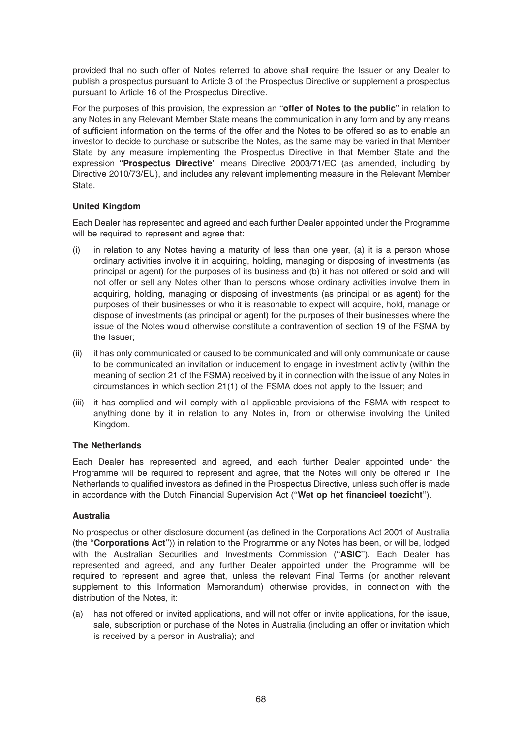provided that no such offer of Notes referred to above shall require the Issuer or any Dealer to publish a prospectus pursuant to Article 3 of the Prospectus Directive or supplement a prospectus pursuant to Article 16 of the Prospectus Directive.

For the purposes of this provision, the expression an "offer of Notes to the public" in relation to any Notes in any Relevant Member State means the communication in any form and by any means of sufficient information on the terms of the offer and the Notes to be offered so as to enable an investor to decide to purchase or subscribe the Notes, as the same may be varied in that Member State by any measure implementing the Prospectus Directive in that Member State and the expression "Prospectus Directive" means Directive 2003/71/EC (as amended, including by Directive 2010/73/EU), and includes any relevant implementing measure in the Relevant Member State.

# United Kingdom

Each Dealer has represented and agreed and each further Dealer appointed under the Programme will be required to represent and agree that:

- (i) in relation to any Notes having a maturity of less than one year, (a) it is a person whose ordinary activities involve it in acquiring, holding, managing or disposing of investments (as principal or agent) for the purposes of its business and (b) it has not offered or sold and will not offer or sell any Notes other than to persons whose ordinary activities involve them in acquiring, holding, managing or disposing of investments (as principal or as agent) for the purposes of their businesses or who it is reasonable to expect will acquire, hold, manage or dispose of investments (as principal or agent) for the purposes of their businesses where the issue of the Notes would otherwise constitute a contravention of section 19 of the FSMA by the Issuer;
- (ii) it has only communicated or caused to be communicated and will only communicate or cause to be communicated an invitation or inducement to engage in investment activity (within the meaning of section 21 of the FSMA) received by it in connection with the issue of any Notes in circumstances in which section 21(1) of the FSMA does not apply to the Issuer; and
- (iii) it has complied and will comply with all applicable provisions of the FSMA with respect to anything done by it in relation to any Notes in, from or otherwise involving the United Kingdom.

# The Netherlands

Each Dealer has represented and agreed, and each further Dealer appointed under the Programme will be required to represent and agree, that the Notes will only be offered in The Netherlands to qualified investors as defined in the Prospectus Directive, unless such offer is made in accordance with the Dutch Financial Supervision Act ("Wet op het financieel toezicht").

# Australia

No prospectus or other disclosure document (as defined in the Corporations Act 2001 of Australia (the ''Corporations Act'')) in relation to the Programme or any Notes has been, or will be, lodged with the Australian Securities and Investments Commission ("ASIC"). Each Dealer has represented and agreed, and any further Dealer appointed under the Programme will be required to represent and agree that, unless the relevant Final Terms (or another relevant supplement to this Information Memorandum) otherwise provides, in connection with the distribution of the Notes, it:

(a) has not offered or invited applications, and will not offer or invite applications, for the issue, sale, subscription or purchase of the Notes in Australia (including an offer or invitation which is received by a person in Australia); and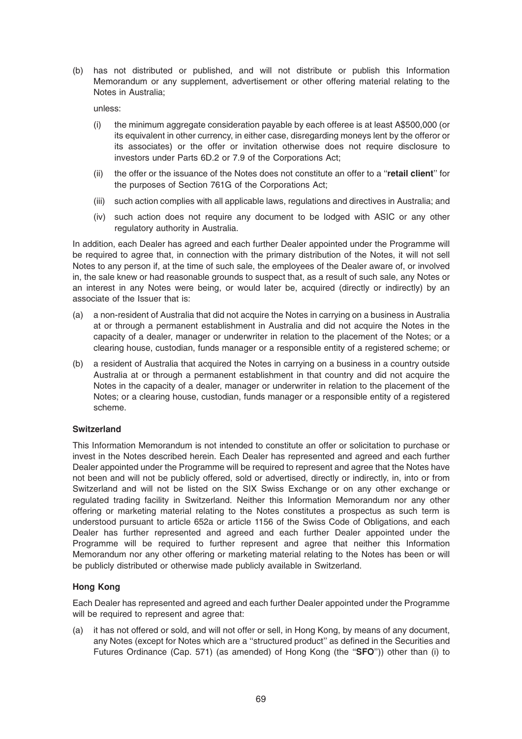(b) has not distributed or published, and will not distribute or publish this Information Memorandum or any supplement, advertisement or other offering material relating to the Notes in Australia;

unless:

- (i) the minimum aggregate consideration payable by each offeree is at least A\$500,000 (or its equivalent in other currency, in either case, disregarding moneys lent by the offeror or its associates) or the offer or invitation otherwise does not require disclosure to investors under Parts 6D.2 or 7.9 of the Corporations Act;
- (ii) the offer or the issuance of the Notes does not constitute an offer to a "retail client" for the purposes of Section 761G of the Corporations Act;
- (iii) such action complies with all applicable laws, regulations and directives in Australia; and
- (iv) such action does not require any document to be lodged with ASIC or any other regulatory authority in Australia.

In addition, each Dealer has agreed and each further Dealer appointed under the Programme will be required to agree that, in connection with the primary distribution of the Notes, it will not sell Notes to any person if, at the time of such sale, the employees of the Dealer aware of, or involved in, the sale knew or had reasonable grounds to suspect that, as a result of such sale, any Notes or an interest in any Notes were being, or would later be, acquired (directly or indirectly) by an associate of the Issuer that is:

- (a) a non-resident of Australia that did not acquire the Notes in carrying on a business in Australia at or through a permanent establishment in Australia and did not acquire the Notes in the capacity of a dealer, manager or underwriter in relation to the placement of the Notes; or a clearing house, custodian, funds manager or a responsible entity of a registered scheme; or
- (b) a resident of Australia that acquired the Notes in carrying on a business in a country outside Australia at or through a permanent establishment in that country and did not acquire the Notes in the capacity of a dealer, manager or underwriter in relation to the placement of the Notes; or a clearing house, custodian, funds manager or a responsible entity of a registered scheme.

# **Switzerland**

This Information Memorandum is not intended to constitute an offer or solicitation to purchase or invest in the Notes described herein. Each Dealer has represented and agreed and each further Dealer appointed under the Programme will be required to represent and agree that the Notes have not been and will not be publicly offered, sold or advertised, directly or indirectly, in, into or from Switzerland and will not be listed on the SIX Swiss Exchange or on any other exchange or regulated trading facility in Switzerland. Neither this Information Memorandum nor any other offering or marketing material relating to the Notes constitutes a prospectus as such term is understood pursuant to article 652a or article 1156 of the Swiss Code of Obligations, and each Dealer has further represented and agreed and each further Dealer appointed under the Programme will be required to further represent and agree that neither this Information Memorandum nor any other offering or marketing material relating to the Notes has been or will be publicly distributed or otherwise made publicly available in Switzerland.

# Hong Kong

Each Dealer has represented and agreed and each further Dealer appointed under the Programme will be required to represent and agree that:

(a) it has not offered or sold, and will not offer or sell, in Hong Kong, by means of any document, any Notes (except for Notes which are a ''structured product'' as defined in the Securities and Futures Ordinance (Cap. 571) (as amended) of Hong Kong (the "SFO")) other than (i) to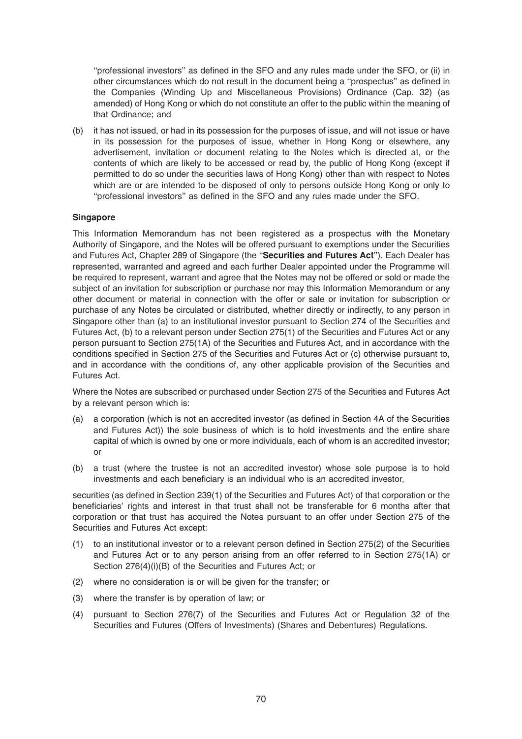''professional investors'' as defined in the SFO and any rules made under the SFO, or (ii) in other circumstances which do not result in the document being a ''prospectus'' as defined in the Companies (Winding Up and Miscellaneous Provisions) Ordinance (Cap. 32) (as amended) of Hong Kong or which do not constitute an offer to the public within the meaning of that Ordinance; and

(b) it has not issued, or had in its possession for the purposes of issue, and will not issue or have in its possession for the purposes of issue, whether in Hong Kong or elsewhere, any advertisement, invitation or document relating to the Notes which is directed at, or the contents of which are likely to be accessed or read by, the public of Hong Kong (except if permitted to do so under the securities laws of Hong Kong) other than with respect to Notes which are or are intended to be disposed of only to persons outside Hong Kong or only to ''professional investors'' as defined in the SFO and any rules made under the SFO.

# Singapore

This Information Memorandum has not been registered as a prospectus with the Monetary Authority of Singapore, and the Notes will be offered pursuant to exemptions under the Securities and Futures Act, Chapter 289 of Singapore (the "Securities and Futures Act"). Each Dealer has represented, warranted and agreed and each further Dealer appointed under the Programme will be required to represent, warrant and agree that the Notes may not be offered or sold or made the subject of an invitation for subscription or purchase nor may this Information Memorandum or any other document or material in connection with the offer or sale or invitation for subscription or purchase of any Notes be circulated or distributed, whether directly or indirectly, to any person in Singapore other than (a) to an institutional investor pursuant to Section 274 of the Securities and Futures Act, (b) to a relevant person under Section 275(1) of the Securities and Futures Act or any person pursuant to Section 275(1A) of the Securities and Futures Act, and in accordance with the conditions specified in Section 275 of the Securities and Futures Act or (c) otherwise pursuant to, and in accordance with the conditions of, any other applicable provision of the Securities and Futures Act.

Where the Notes are subscribed or purchased under Section 275 of the Securities and Futures Act by a relevant person which is:

- (a) a corporation (which is not an accredited investor (as defined in Section 4A of the Securities and Futures Act)) the sole business of which is to hold investments and the entire share capital of which is owned by one or more individuals, each of whom is an accredited investor;  $\alpha$ r
- (b) a trust (where the trustee is not an accredited investor) whose sole purpose is to hold investments and each beneficiary is an individual who is an accredited investor,

securities (as defined in Section 239(1) of the Securities and Futures Act) of that corporation or the beneficiaries' rights and interest in that trust shall not be transferable for 6 months after that corporation or that trust has acquired the Notes pursuant to an offer under Section 275 of the Securities and Futures Act except:

- (1) to an institutional investor or to a relevant person defined in Section 275(2) of the Securities and Futures Act or to any person arising from an offer referred to in Section 275(1A) or Section 276(4)(i)(B) of the Securities and Futures Act; or
- (2) where no consideration is or will be given for the transfer; or
- (3) where the transfer is by operation of law; or
- (4) pursuant to Section 276(7) of the Securities and Futures Act or Regulation 32 of the Securities and Futures (Offers of Investments) (Shares and Debentures) Regulations.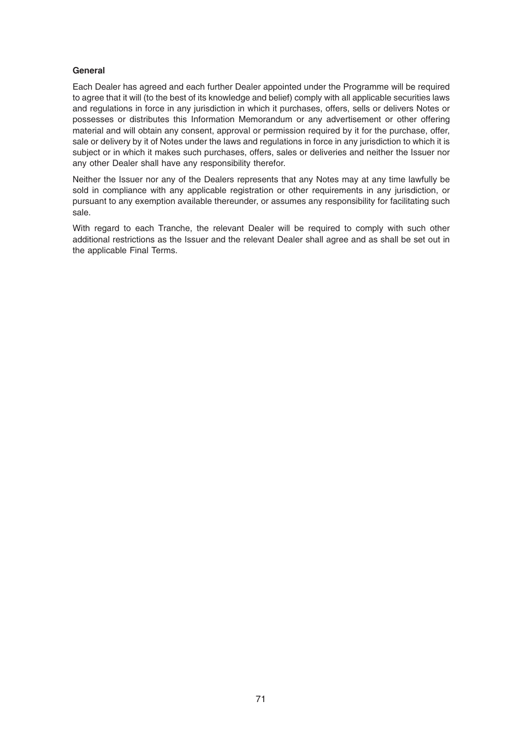### General

Each Dealer has agreed and each further Dealer appointed under the Programme will be required to agree that it will (to the best of its knowledge and belief) comply with all applicable securities laws and regulations in force in any jurisdiction in which it purchases, offers, sells or delivers Notes or possesses or distributes this Information Memorandum or any advertisement or other offering material and will obtain any consent, approval or permission required by it for the purchase, offer, sale or delivery by it of Notes under the laws and regulations in force in any jurisdiction to which it is subject or in which it makes such purchases, offers, sales or deliveries and neither the Issuer nor any other Dealer shall have any responsibility therefor.

Neither the Issuer nor any of the Dealers represents that any Notes may at any time lawfully be sold in compliance with any applicable registration or other requirements in any jurisdiction, or pursuant to any exemption available thereunder, or assumes any responsibility for facilitating such sale.

With regard to each Tranche, the relevant Dealer will be required to comply with such other additional restrictions as the Issuer and the relevant Dealer shall agree and as shall be set out in the applicable Final Terms.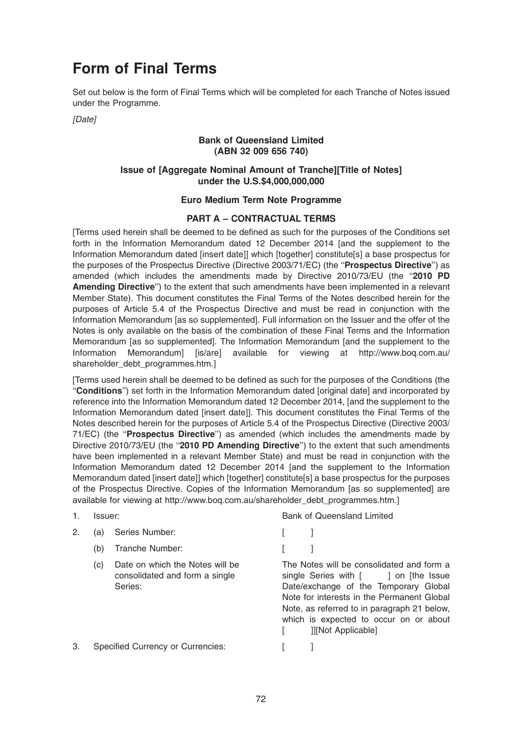# Form of Final Terms

Set out below is the form of Final Terms which will be completed for each Tranche of Notes issued under the Programme.

[Date]

# Bank of Queensland Limited (ABN 32 009 656 740)

# Issue of [Aggregate Nominal Amount of Tranche][Title of Notes] under the U.S.\$4,000,000,000

# Euro Medium Term Note Programme

# PART A – CONTRACTUAL TERMS

[Terms used herein shall be deemed to be defined as such for the purposes of the Conditions set forth in the Information Memorandum dated 12 December 2014 [and the supplement to the Information Memorandum dated [insert date]] which [together] constitute[s] a base prospectus for the purposes of the Prospectus Directive (Directive 2003/71/EC) (the ''Prospectus Directive'') as amended (which includes the amendments made by Directive 2010/73/EU (the ''2010 PD Amending Directive") to the extent that such amendments have been implemented in a relevant Member State). This document constitutes the Final Terms of the Notes described herein for the purposes of Article 5.4 of the Prospectus Directive and must be read in conjunction with the Information Memorandum [as so supplemented]. Full information on the Issuer and the offer of the Notes is only available on the basis of the combination of these Final Terms and the Information Memorandum [as so supplemented]. The Information Memorandum [and the supplement to the Information Memorandum] [is/are] available for viewing at http://www.boq.com.au/ shareholder\_debt\_programmes.htm.]

[Terms used herein shall be deemed to be defined as such for the purposes of the Conditions (the ''Conditions'') set forth in the Information Memorandum dated [original date] and incorporated by reference into the Information Memorandum dated 12 December 2014, [and the supplement to the Information Memorandum dated [insert date]]. This document constitutes the Final Terms of the Notes described herein for the purposes of Article 5.4 of the Prospectus Directive (Directive 2003/ 71/EC) (the "Prospectus Directive") as amended (which includes the amendments made by Directive 2010/73/EU (the "2010 PD Amending Directive") to the extent that such amendments have been implemented in a relevant Member State) and must be read in conjunction with the Information Memorandum dated 12 December 2014 [and the supplement to the Information Memorandum dated [insert date]] which [together] constitute[s] a base prospectus for the purposes of the Prospectus Directive. Copies of the Information Memorandum [as so supplemented] are available for viewing at http://www.bog.com.au/shareholder\_debt\_programmes.htm.]

| 1. | Issuer: |                                                                              | <b>Bank of Queensland Limited</b> |                                                                                                                                                                                                                                                                                                                                                                              |  |
|----|---------|------------------------------------------------------------------------------|-----------------------------------|------------------------------------------------------------------------------------------------------------------------------------------------------------------------------------------------------------------------------------------------------------------------------------------------------------------------------------------------------------------------------|--|
| 2. | (a)     | Series Number:                                                               |                                   |                                                                                                                                                                                                                                                                                                                                                                              |  |
|    | (b)     | Tranche Number:                                                              |                                   |                                                                                                                                                                                                                                                                                                                                                                              |  |
|    | (C)     | Date on which the Notes will be<br>consolidated and form a single<br>Series: |                                   | The Notes will be consolidated and form a<br>single Series with $\begin{bmatrix} 1 & 1 \\ 0 & 1 \end{bmatrix}$ on $\begin{bmatrix} 1 & 1 \\ 0 & 1 \end{bmatrix}$ issue<br>Date/exchange of the Temporary Global<br>Note for interests in the Permanent Global<br>Note, as referred to in paragraph 21 below,<br>which is expected to occur on or about<br>]][Not Applicable] |  |
| З. |         | <b>Specified Currency or Currencies:</b>                                     |                                   |                                                                                                                                                                                                                                                                                                                                                                              |  |
|    |         |                                                                              |                                   |                                                                                                                                                                                                                                                                                                                                                                              |  |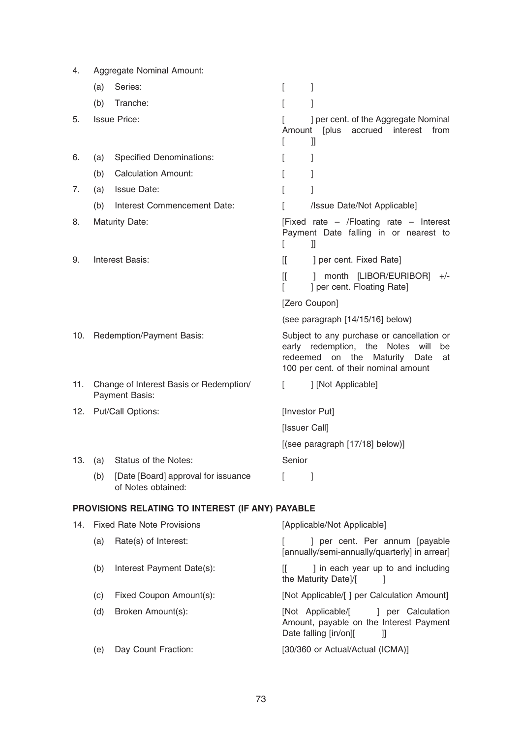| 4.                                               | Aggregate Nominal Amount:         |                                                                |                                                                                                   |                                                                                                                                                                            |  |  |  |  |  |  |
|--------------------------------------------------|-----------------------------------|----------------------------------------------------------------|---------------------------------------------------------------------------------------------------|----------------------------------------------------------------------------------------------------------------------------------------------------------------------------|--|--|--|--|--|--|
|                                                  | (a)                               | Series:                                                        | I                                                                                                 |                                                                                                                                                                            |  |  |  |  |  |  |
|                                                  | (b)                               | Tranche:                                                       | L                                                                                                 |                                                                                                                                                                            |  |  |  |  |  |  |
| 5.                                               | <b>Issue Price:</b>               |                                                                | ] per cent. of the Aggregate Nominal<br>[plus]<br>accrued<br>interest<br>from<br>Amount<br>Ш<br>L |                                                                                                                                                                            |  |  |  |  |  |  |
| 6.                                               | (a)                               | <b>Specified Denominations:</b>                                | L                                                                                                 | I                                                                                                                                                                          |  |  |  |  |  |  |
|                                                  | (b)                               | <b>Calculation Amount:</b>                                     | L                                                                                                 |                                                                                                                                                                            |  |  |  |  |  |  |
| 7.                                               | (a)                               | <b>Issue Date:</b>                                             | L                                                                                                 |                                                                                                                                                                            |  |  |  |  |  |  |
|                                                  | (b)                               | Interest Commencement Date:                                    |                                                                                                   | /Issue Date/Not Applicable]                                                                                                                                                |  |  |  |  |  |  |
| 8.                                               | <b>Maturity Date:</b>             |                                                                |                                                                                                   | [Fixed rate $-$ /Floating rate $-$ Interest<br>Payment Date falling in or nearest to<br>II<br>L                                                                            |  |  |  |  |  |  |
| 9.                                               | Interest Basis:                   |                                                                |                                                                                                   | ] per cent. Fixed Rate]                                                                                                                                                    |  |  |  |  |  |  |
|                                                  |                                   |                                                                |                                                                                                   | ] month [LIBOR/EURIBOR]<br>$+/-$<br>] per cent. Floating Rate]                                                                                                             |  |  |  |  |  |  |
|                                                  |                                   |                                                                |                                                                                                   | [Zero Coupon]                                                                                                                                                              |  |  |  |  |  |  |
|                                                  |                                   |                                                                |                                                                                                   | (see paragraph [14/15/16] below)                                                                                                                                           |  |  |  |  |  |  |
| 10.                                              | Redemption/Payment Basis:         |                                                                |                                                                                                   | Subject to any purchase or cancellation or<br>early redemption, the Notes<br>will<br>be<br>redeemed on the Maturity<br>Date<br>at<br>100 per cent. of their nominal amount |  |  |  |  |  |  |
| 11.                                              |                                   | Change of Interest Basis or Redemption/<br>L<br>Payment Basis: |                                                                                                   | ] [Not Applicable]                                                                                                                                                         |  |  |  |  |  |  |
| 12.                                              | Put/Call Options:                 |                                                                |                                                                                                   | [Investor Put]                                                                                                                                                             |  |  |  |  |  |  |
|                                                  |                                   |                                                                |                                                                                                   | [Issuer Call]                                                                                                                                                              |  |  |  |  |  |  |
|                                                  |                                   |                                                                |                                                                                                   | [(see paragraph [17/18] below)]                                                                                                                                            |  |  |  |  |  |  |
| 13.                                              |                                   | (a) Status of the Notes:                                       | Senior                                                                                            |                                                                                                                                                                            |  |  |  |  |  |  |
|                                                  | (b)                               | [Date [Board] approval for issuance<br>of Notes obtained:      | L                                                                                                 | $\overline{1}$                                                                                                                                                             |  |  |  |  |  |  |
| PROVISIONS RELATING TO INTEREST (IF ANY) PAYABLE |                                   |                                                                |                                                                                                   |                                                                                                                                                                            |  |  |  |  |  |  |
| 14.                                              | <b>Fixed Rate Note Provisions</b> |                                                                |                                                                                                   | [Applicable/Not Applicable]                                                                                                                                                |  |  |  |  |  |  |
|                                                  | (a)                               | Rate(s) of Interest:                                           |                                                                                                   | ] per cent. Per annum [payable<br>[annually/semi-annually/quarterly] in arrear]                                                                                            |  |  |  |  |  |  |
|                                                  | (b)                               | Interest Payment Date(s):                                      | ] in each year up to and including<br>IL.<br>the Maturity Date]/[                                 |                                                                                                                                                                            |  |  |  |  |  |  |
|                                                  | (c)                               | Fixed Coupon Amount(s):                                        |                                                                                                   | [Not Applicable/[] per Calculation Amount]                                                                                                                                 |  |  |  |  |  |  |

- (d) Broken Amount(s): [Not Applicable/[ ] per Calculation
- (e) Day Count Fraction: [30/360 or Actual/Actual (ICMA)]

Amount, payable on the Interest Payment

Date falling [in/on][ ]]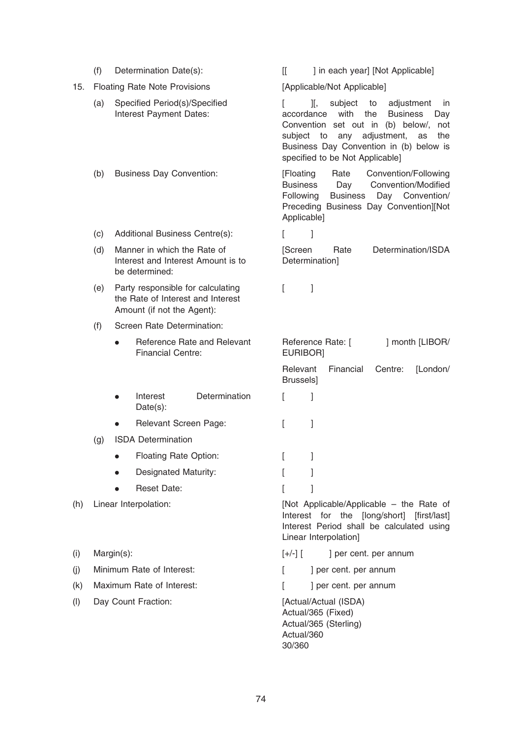|     | (f) | Determination Date(s):                                                                               | IL.<br>] in each year] [Not Applicable]                                                                                                                                                                                                                                          |  |  |  |
|-----|-----|------------------------------------------------------------------------------------------------------|----------------------------------------------------------------------------------------------------------------------------------------------------------------------------------------------------------------------------------------------------------------------------------|--|--|--|
| 15. |     | <b>Floating Rate Note Provisions</b>                                                                 | [Applicable/Not Applicable]                                                                                                                                                                                                                                                      |  |  |  |
|     | (a) | Specified Period(s)/Specified<br>Interest Payment Dates:                                             | subject<br>L<br>II,<br>to<br>adjustment<br>in.<br>with<br>the<br>accordance<br><b>Business</b><br>Day<br>Convention set out in (b) below/,<br>not<br>any adjustment,<br>subject<br>to<br>as<br>the<br>Business Day Convention in (b) below is<br>specified to be Not Applicable] |  |  |  |
|     | (b) | <b>Business Day Convention:</b>                                                                      | [Floating<br>Rate<br>Convention/Following<br><b>Business</b><br>Convention/Modified<br>Day<br>Day Convention/<br>Following<br><b>Business</b><br>Preceding Business Day Convention][Not<br>Applicable]                                                                           |  |  |  |
|     | (c) | Additional Business Centre(s):                                                                       | 1<br>L                                                                                                                                                                                                                                                                           |  |  |  |
|     | (d) | Manner in which the Rate of<br>Interest and Interest Amount is to<br>be determined:                  | Determination/ISDA<br><b>Screen</b><br>Rate<br>Determination]                                                                                                                                                                                                                    |  |  |  |
|     | (e) | Party responsible for calculating<br>the Rate of Interest and Interest<br>Amount (if not the Agent): | 1<br>L                                                                                                                                                                                                                                                                           |  |  |  |
|     | (f) | Screen Rate Determination:                                                                           |                                                                                                                                                                                                                                                                                  |  |  |  |
|     |     | Reference Rate and Relevant<br><b>Financial Centre:</b>                                              | Reference Rate: [<br>] month [LIBOR/<br>EURIBOR]                                                                                                                                                                                                                                 |  |  |  |
|     |     |                                                                                                      | Relevant<br>Financial<br>Centre:<br>[London/<br>Brussels]                                                                                                                                                                                                                        |  |  |  |
|     |     | Determination<br>Interest<br>$Date(s)$ :                                                             | L<br>1                                                                                                                                                                                                                                                                           |  |  |  |
|     |     | Relevant Screen Page:                                                                                | ſ<br>1                                                                                                                                                                                                                                                                           |  |  |  |
|     | (g) | <b>ISDA Determination</b>                                                                            |                                                                                                                                                                                                                                                                                  |  |  |  |
|     |     | Floating Rate Option:                                                                                |                                                                                                                                                                                                                                                                                  |  |  |  |
|     |     | <b>Designated Maturity:</b>                                                                          |                                                                                                                                                                                                                                                                                  |  |  |  |
|     |     | Reset Date:                                                                                          | 1<br>L                                                                                                                                                                                                                                                                           |  |  |  |
| (h) |     | Linear Interpolation:                                                                                | [Not Applicable/Applicable – the Rate of<br>Interest for the [long/short] [first/last]<br>Interest Period shall be calculated using<br>Linear Interpolation]                                                                                                                     |  |  |  |
| (i) |     | $Margin(s)$ :                                                                                        | $[+/-]$ $[$<br>] per cent. per annum                                                                                                                                                                                                                                             |  |  |  |
| (j) |     | Minimum Rate of Interest:                                                                            | L<br>] per cent. per annum                                                                                                                                                                                                                                                       |  |  |  |
| (k) |     | Maximum Rate of Interest:                                                                            | ] per cent. per annum                                                                                                                                                                                                                                                            |  |  |  |
| (1) |     | Day Count Fraction:                                                                                  | [Actual/Actual (ISDA)<br>Actual/365 (Fixed)<br>Actual/365 (Sterling)<br>Actual/360                                                                                                                                                                                               |  |  |  |

30/360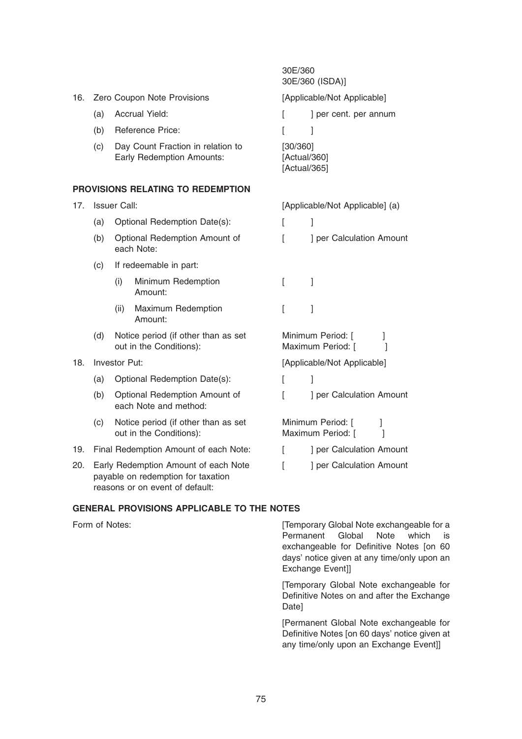|                                   |                                       |                                                        |                                                                                                               | 30E/360<br>30E/360 (ISDA)]      |                                                  |  |  |  |  |
|-----------------------------------|---------------------------------------|--------------------------------------------------------|---------------------------------------------------------------------------------------------------------------|---------------------------------|--------------------------------------------------|--|--|--|--|
| 16.                               |                                       |                                                        | Zero Coupon Note Provisions                                                                                   | [Applicable/Not Applicable]     |                                                  |  |  |  |  |
|                                   | (a)                                   |                                                        | <b>Accrual Yield:</b>                                                                                         | f                               | ] per cent. per annum                            |  |  |  |  |
|                                   | (b)                                   |                                                        | Reference Price:                                                                                              | L                               | $\overline{1}$                                   |  |  |  |  |
|                                   | (c)                                   |                                                        | Day Count Fraction in relation to<br><b>Early Redemption Amounts:</b>                                         | [30/360]                        | [Actual/360]<br>[Actual/365]                     |  |  |  |  |
| PROVISIONS RELATING TO REDEMPTION |                                       |                                                        |                                                                                                               |                                 |                                                  |  |  |  |  |
| 17.                               |                                       | <b>Issuer Call:</b>                                    |                                                                                                               | [Applicable/Not Applicable] (a) |                                                  |  |  |  |  |
|                                   | (a)                                   |                                                        | Optional Redemption Date(s):                                                                                  | T                               | 1                                                |  |  |  |  |
|                                   | (b)                                   |                                                        | Optional Redemption Amount of<br>each Note:                                                                   | L                               | ] per Calculation Amount                         |  |  |  |  |
|                                   | (c)                                   | If redeemable in part:                                 |                                                                                                               |                                 |                                                  |  |  |  |  |
|                                   |                                       | (i)                                                    | Minimum Redemption<br>Amount:                                                                                 | ſ                               | 1                                                |  |  |  |  |
|                                   |                                       | (ii)                                                   | Maximum Redemption<br>Amount:                                                                                 | ſ                               | 1                                                |  |  |  |  |
|                                   | (d)                                   |                                                        | Notice period (if other than as set<br>out in the Conditions):                                                |                                 | Minimum Period: [<br>l<br>Maximum Period: [<br>1 |  |  |  |  |
| 18.                               |                                       | Investor Put:                                          |                                                                                                               |                                 | [Applicable/Not Applicable]                      |  |  |  |  |
|                                   | (a)                                   | Optional Redemption Date(s):                           |                                                                                                               | L                               | ı                                                |  |  |  |  |
|                                   | (b)                                   | Optional Redemption Amount of<br>each Note and method: |                                                                                                               | ſ                               | ] per Calculation Amount                         |  |  |  |  |
|                                   | (c)                                   |                                                        | Notice period (if other than as set<br>out in the Conditions):                                                |                                 | Minimum Period: [<br>1<br>Maximum Period: [<br>1 |  |  |  |  |
| 19.                               | Final Redemption Amount of each Note: |                                                        |                                                                                                               |                                 | ] per Calculation Amount                         |  |  |  |  |
| 20.                               |                                       |                                                        | Early Redemption Amount of each Note<br>payable on redemption for taxation<br>reasons or on event of default: | ſ                               | ] per Calculation Amount                         |  |  |  |  |

# GENERAL PROVISIONS APPLICABLE TO THE NOTES

Form of Notes: <br>
Form of Notes: <br>
Fermanent Global Note which is Permanent Global exchangeable for Definitive Notes [on 60 days' notice given at any time/only upon an Exchange Event]]

> [Temporary Global Note exchangeable for Definitive Notes on and after the Exchange Date]

> [Permanent Global Note exchangeable for Definitive Notes [on 60 days' notice given at any time/only upon an Exchange Event]]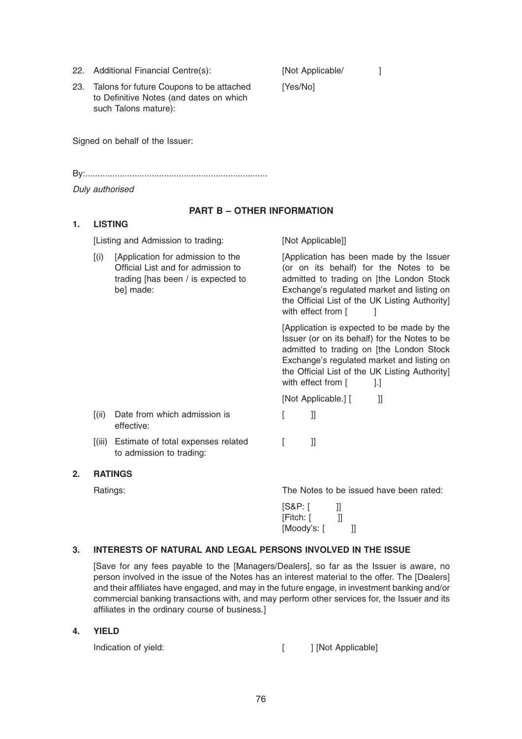- 22. Additional Financial Centre(s): [Not Applicable/ ]
- 23. Talons for future Coupons to be attached to Definitive Notes (and dates on which such Talons mature):

Signed on behalf of the Issuer:

By:..........................................................................

Duly authorised

### PART B – OTHER INFORMATION

### 1. LISTING

[Listing and Admission to trading: [Not Applicable]]

[(i) [Application for admission to the Official List and for admission to trading [has been / is expected to be] made: [Application has been made by the Issuer (or on its behalf) for the Notes to be admitted to trading on [the London Stock Exchange's regulated market and listing on the Official List of the UK Listing Authority] with effect from [ ] [Application is expected to be made by the Issuer (or on its behalf) for the Notes to be admitted to trading on [the London Stock Exchange's regulated market and listing on the Official List of the UK Listing Authority] with effect from [ ].] [Not Applicable.] [ ]] [(ii) Date from which admission is effective:  $\Box$ [(iii) Estimate of total expenses related to admission to trading:  $\|$ 2. RATINGS Ratings: The Notes to be issued have been rated:

> [S&P: [ ]] [Fitch: [ ]] [Moody's: [ ]]

### 3. INTERESTS OF NATURAL AND LEGAL PERSONS INVOLVED IN THE ISSUE

[Save for any fees payable to the [Managers/Dealers], so far as the Issuer is aware, no person involved in the issue of the Notes has an interest material to the offer. The [Dealers] and their affiliates have engaged, and may in the future engage, in investment banking and/or commercial banking transactions with, and may perform other services for, the Issuer and its affiliates in the ordinary course of business.]

4. YIELD

Indication of yield: <br>
Indication of yield: 
Indication of yield:
Indication of yield:
Indication of yield:
Indication of yield:
Indication of yield:
Indication of yield:
Indication of yield:
Indication of yield:
Indicatio

[Yes/No]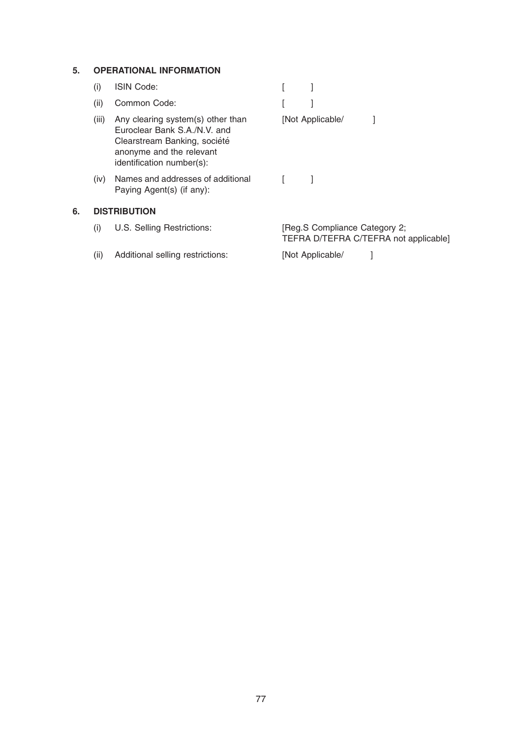# 5. OPERATIONAL INFORMATION

- (i) ISIN Code: [ ]
- (ii) Common Code: [ ]
- (iii) Any clearing system(s) other than Euroclear Bank S.A./N.V. and Clearstream Banking, société anonyme and the relevant identification number(s):
- (iv) Names and addresses of additional Paying Agent(s) (if any):

# 6. DISTRIBUTION

- 
- (ii) Additional selling restrictions: [Not Applicable/ ]

[Not Applicable/ ]

 $[$   $]$ 

(i) U.S. Selling Restrictions: [Reg.S Compliance Category 2; TEFRA D/TEFRA C/TEFRA not applicable]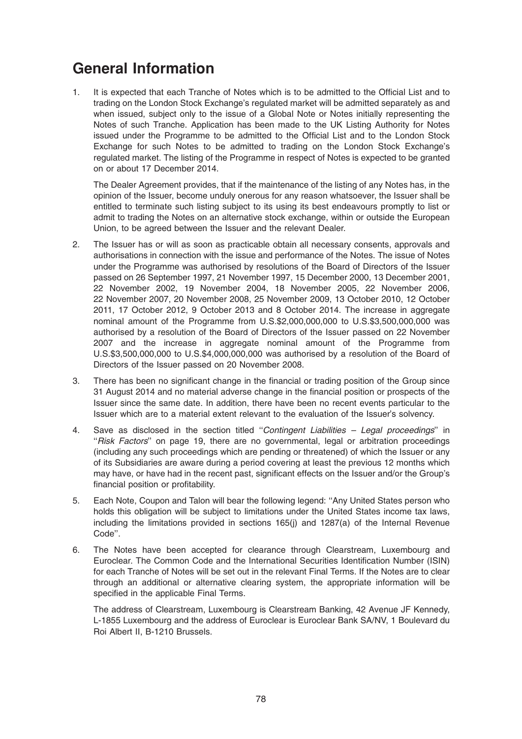# General Information

1. It is expected that each Tranche of Notes which is to be admitted to the Official List and to trading on the London Stock Exchange's regulated market will be admitted separately as and when issued, subject only to the issue of a Global Note or Notes initially representing the Notes of such Tranche. Application has been made to the UK Listing Authority for Notes issued under the Programme to be admitted to the Official List and to the London Stock Exchange for such Notes to be admitted to trading on the London Stock Exchange's regulated market. The listing of the Programme in respect of Notes is expected to be granted on or about 17 December 2014.

The Dealer Agreement provides, that if the maintenance of the listing of any Notes has, in the opinion of the Issuer, become unduly onerous for any reason whatsoever, the Issuer shall be entitled to terminate such listing subject to its using its best endeavours promptly to list or admit to trading the Notes on an alternative stock exchange, within or outside the European Union, to be agreed between the Issuer and the relevant Dealer.

- 2. The Issuer has or will as soon as practicable obtain all necessary consents, approvals and authorisations in connection with the issue and performance of the Notes. The issue of Notes under the Programme was authorised by resolutions of the Board of Directors of the Issuer passed on 26 September 1997, 21 November 1997, 15 December 2000, 13 December 2001, 22 November 2002, 19 November 2004, 18 November 2005, 22 November 2006, 22 November 2007, 20 November 2008, 25 November 2009, 13 October 2010, 12 October 2011, 17 October 2012, 9 October 2013 and 8 October 2014. The increase in aggregate nominal amount of the Programme from U.S.\$2,000,000,000 to U.S.\$3,500,000,000 was authorised by a resolution of the Board of Directors of the Issuer passed on 22 November 2007 and the increase in aggregate nominal amount of the Programme from U.S.\$3,500,000,000 to U.S.\$4,000,000,000 was authorised by a resolution of the Board of Directors of the Issuer passed on 20 November 2008.
- 3. There has been no significant change in the financial or trading position of the Group since 31 August 2014 and no material adverse change in the financial position or prospects of the Issuer since the same date. In addition, there have been no recent events particular to the Issuer which are to a material extent relevant to the evaluation of the Issuer's solvency.
- 4. Save as disclosed in the section titled "Contingent Liabilities Legal proceedings" in "Risk Factors" on page 19, there are no governmental, legal or arbitration proceedings (including any such proceedings which are pending or threatened) of which the Issuer or any of its Subsidiaries are aware during a period covering at least the previous 12 months which may have, or have had in the recent past, significant effects on the Issuer and/or the Group's financial position or profitability.
- 5. Each Note, Coupon and Talon will bear the following legend: ''Any United States person who holds this obligation will be subject to limitations under the United States income tax laws, including the limitations provided in sections 165(j) and 1287(a) of the Internal Revenue Code''.
- 6. The Notes have been accepted for clearance through Clearstream, Luxembourg and Euroclear. The Common Code and the International Securities Identification Number (ISIN) for each Tranche of Notes will be set out in the relevant Final Terms. If the Notes are to clear through an additional or alternative clearing system, the appropriate information will be specified in the applicable Final Terms.

The address of Clearstream, Luxembourg is Clearstream Banking, 42 Avenue JF Kennedy, L-1855 Luxembourg and the address of Euroclear is Euroclear Bank SA/NV, 1 Boulevard du Roi Albert II, B-1210 Brussels.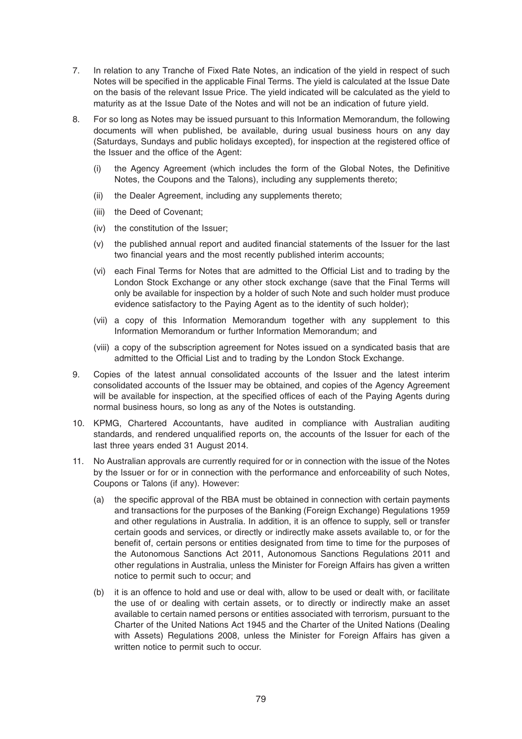- 7. In relation to any Tranche of Fixed Rate Notes, an indication of the yield in respect of such Notes will be specified in the applicable Final Terms. The yield is calculated at the Issue Date on the basis of the relevant Issue Price. The yield indicated will be calculated as the yield to maturity as at the Issue Date of the Notes and will not be an indication of future yield.
- 8. For so long as Notes may be issued pursuant to this Information Memorandum, the following documents will when published, be available, during usual business hours on any day (Saturdays, Sundays and public holidays excepted), for inspection at the registered office of the Issuer and the office of the Agent:
	- (i) the Agency Agreement (which includes the form of the Global Notes, the Definitive Notes, the Coupons and the Talons), including any supplements thereto;
	- (ii) the Dealer Agreement, including any supplements thereto;
	- (iii) the Deed of Covenant;
	- (iv) the constitution of the Issuer;
	- (v) the published annual report and audited financial statements of the Issuer for the last two financial years and the most recently published interim accounts;
	- (vi) each Final Terms for Notes that are admitted to the Official List and to trading by the London Stock Exchange or any other stock exchange (save that the Final Terms will only be available for inspection by a holder of such Note and such holder must produce evidence satisfactory to the Paying Agent as to the identity of such holder);
	- (vii) a copy of this Information Memorandum together with any supplement to this Information Memorandum or further Information Memorandum; and
	- (viii) a copy of the subscription agreement for Notes issued on a syndicated basis that are admitted to the Official List and to trading by the London Stock Exchange.
- 9. Copies of the latest annual consolidated accounts of the Issuer and the latest interim consolidated accounts of the Issuer may be obtained, and copies of the Agency Agreement will be available for inspection, at the specified offices of each of the Paying Agents during normal business hours, so long as any of the Notes is outstanding.
- 10. KPMG, Chartered Accountants, have audited in compliance with Australian auditing standards, and rendered unqualified reports on, the accounts of the Issuer for each of the last three years ended 31 August 2014.
- 11. No Australian approvals are currently required for or in connection with the issue of the Notes by the Issuer or for or in connection with the performance and enforceability of such Notes, Coupons or Talons (if any). However:
	- (a) the specific approval of the RBA must be obtained in connection with certain payments and transactions for the purposes of the Banking (Foreign Exchange) Regulations 1959 and other regulations in Australia. In addition, it is an offence to supply, sell or transfer certain goods and services, or directly or indirectly make assets available to, or for the benefit of, certain persons or entities designated from time to time for the purposes of the Autonomous Sanctions Act 2011, Autonomous Sanctions Regulations 2011 and other regulations in Australia, unless the Minister for Foreign Affairs has given a written notice to permit such to occur; and
	- (b) it is an offence to hold and use or deal with, allow to be used or dealt with, or facilitate the use of or dealing with certain assets, or to directly or indirectly make an asset available to certain named persons or entities associated with terrorism, pursuant to the Charter of the United Nations Act 1945 and the Charter of the United Nations (Dealing with Assets) Regulations 2008, unless the Minister for Foreign Affairs has given a written notice to permit such to occur.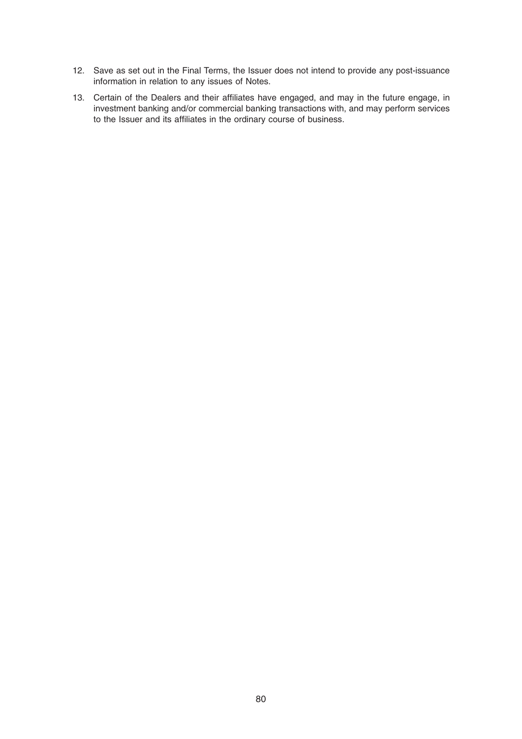- 12. Save as set out in the Final Terms, the Issuer does not intend to provide any post-issuance information in relation to any issues of Notes.
- 13. Certain of the Dealers and their affiliates have engaged, and may in the future engage, in investment banking and/or commercial banking transactions with, and may perform services to the Issuer and its affiliates in the ordinary course of business.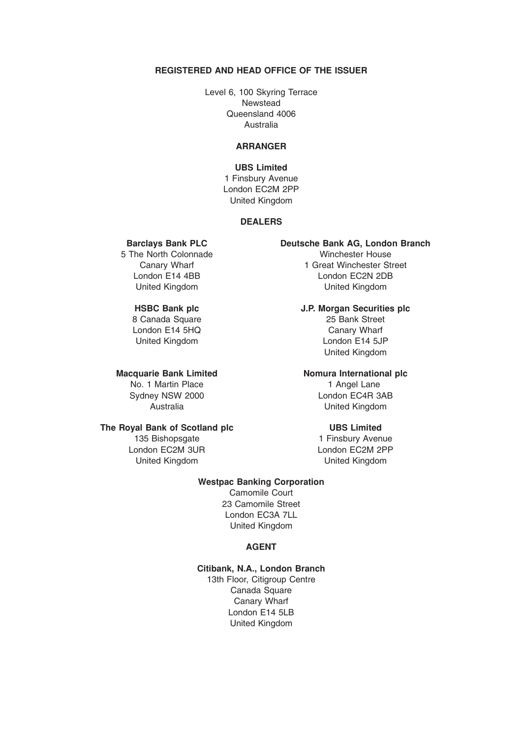#### REGISTERED AND HEAD OFFICE OF THE ISSUER

Level 6, 100 Skyring Terrace Newstead Queensland 4006 Australia

#### ARRANGER

#### UBS Limited

1 Finsbury Avenue London EC2M 2PP United Kingdom

#### DEALERS

5 The North Colonnade Winchester House<br>
Canary Wharf 1 Great Winchester St

8 Canada Square 25 Bank Street London E14 5HQ Canary Wharf

# The Royal Bank of Scotland plc<br>135 Bishopsqate<br>1 Finsbury Aven

London EC2M 3UR London EC2M 2PP United Kingdom United Kingdom

#### Barclays Bank PLC Deutsche Bank AG, London Branch

1 Great Winchester Street London E14 4BB London EC2N 2DB United Kingdom United Kingdom

# HSBC Bank plc **J.P. Morgan Securities plc**

United Kingdom London E14 5JP United Kingdom

#### Macquarie Bank Limited Nomura International plc

No. 1 Martin Place 1 Angel Lane Sydney NSW 2000 London EC4R 3AB Australia United Kingdom

1 Finsbury Avenue

#### Westpac Banking Corporation

Camomile Court 23 Camomile Street London EC3A 7LL United Kingdom

#### AGENT

### Citibank, N.A., London Branch

13th Floor, Citigroup Centre Canada Square Canary Wharf London E14 5LB United Kingdom